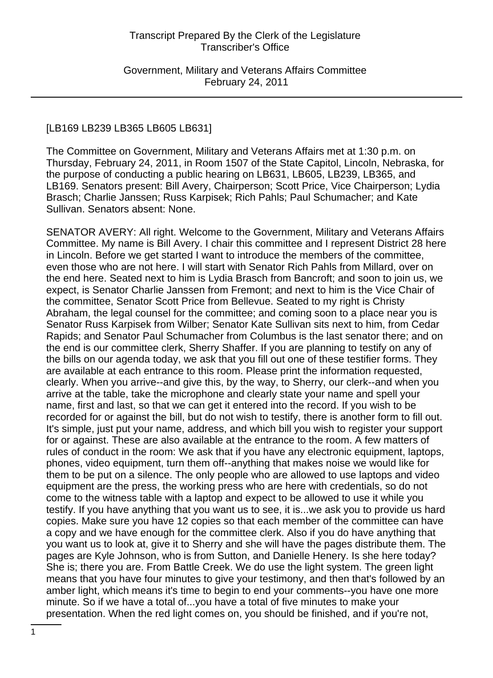Government, Military and Veterans Affairs Committee February 24, 2011

#### [LB169 LB239 LB365 LB605 LB631]

The Committee on Government, Military and Veterans Affairs met at 1:30 p.m. on Thursday, February 24, 2011, in Room 1507 of the State Capitol, Lincoln, Nebraska, for the purpose of conducting a public hearing on LB631, LB605, LB239, LB365, and LB169. Senators present: Bill Avery, Chairperson; Scott Price, Vice Chairperson; Lydia Brasch; Charlie Janssen; Russ Karpisek; Rich Pahls; Paul Schumacher; and Kate Sullivan. Senators absent: None.

SENATOR AVERY: All right. Welcome to the Government, Military and Veterans Affairs Committee. My name is Bill Avery. I chair this committee and I represent District 28 here in Lincoln. Before we get started I want to introduce the members of the committee, even those who are not here. I will start with Senator Rich Pahls from Millard, over on the end here. Seated next to him is Lydia Brasch from Bancroft; and soon to join us, we expect, is Senator Charlie Janssen from Fremont; and next to him is the Vice Chair of the committee, Senator Scott Price from Bellevue. Seated to my right is Christy Abraham, the legal counsel for the committee; and coming soon to a place near you is Senator Russ Karpisek from Wilber; Senator Kate Sullivan sits next to him, from Cedar Rapids; and Senator Paul Schumacher from Columbus is the last senator there; and on the end is our committee clerk, Sherry Shaffer. If you are planning to testify on any of the bills on our agenda today, we ask that you fill out one of these testifier forms. They are available at each entrance to this room. Please print the information requested, clearly. When you arrive--and give this, by the way, to Sherry, our clerk--and when you arrive at the table, take the microphone and clearly state your name and spell your name, first and last, so that we can get it entered into the record. If you wish to be recorded for or against the bill, but do not wish to testify, there is another form to fill out. It's simple, just put your name, address, and which bill you wish to register your support for or against. These are also available at the entrance to the room. A few matters of rules of conduct in the room: We ask that if you have any electronic equipment, laptops, phones, video equipment, turn them off--anything that makes noise we would like for them to be put on a silence. The only people who are allowed to use laptops and video equipment are the press, the working press who are here with credentials, so do not come to the witness table with a laptop and expect to be allowed to use it while you testify. If you have anything that you want us to see, it is...we ask you to provide us hard copies. Make sure you have 12 copies so that each member of the committee can have a copy and we have enough for the committee clerk. Also if you do have anything that you want us to look at, give it to Sherry and she will have the pages distribute them. The pages are Kyle Johnson, who is from Sutton, and Danielle Henery. Is she here today? She is; there you are. From Battle Creek. We do use the light system. The green light means that you have four minutes to give your testimony, and then that's followed by an amber light, which means it's time to begin to end your comments--you have one more minute. So if we have a total of...you have a total of five minutes to make your presentation. When the red light comes on, you should be finished, and if you're not,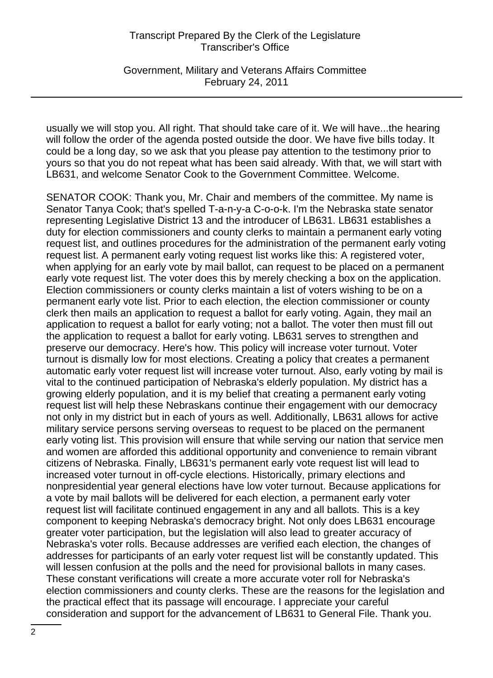Government, Military and Veterans Affairs Committee February 24, 2011

usually we will stop you. All right. That should take care of it. We will have...the hearing will follow the order of the agenda posted outside the door. We have five bills today. It could be a long day, so we ask that you please pay attention to the testimony prior to yours so that you do not repeat what has been said already. With that, we will start with LB631, and welcome Senator Cook to the Government Committee. Welcome.

SENATOR COOK: Thank you, Mr. Chair and members of the committee. My name is Senator Tanya Cook; that's spelled T-a-n-y-a C-o-o-k. I'm the Nebraska state senator representing Legislative District 13 and the introducer of LB631. LB631 establishes a duty for election commissioners and county clerks to maintain a permanent early voting request list, and outlines procedures for the administration of the permanent early voting request list. A permanent early voting request list works like this: A registered voter, when applying for an early vote by mail ballot, can request to be placed on a permanent early vote request list. The voter does this by merely checking a box on the application. Election commissioners or county clerks maintain a list of voters wishing to be on a permanent early vote list. Prior to each election, the election commissioner or county clerk then mails an application to request a ballot for early voting. Again, they mail an application to request a ballot for early voting; not a ballot. The voter then must fill out the application to request a ballot for early voting. LB631 serves to strengthen and preserve our democracy. Here's how. This policy will increase voter turnout. Voter turnout is dismally low for most elections. Creating a policy that creates a permanent automatic early voter request list will increase voter turnout. Also, early voting by mail is vital to the continued participation of Nebraska's elderly population. My district has a growing elderly population, and it is my belief that creating a permanent early voting request list will help these Nebraskans continue their engagement with our democracy not only in my district but in each of yours as well. Additionally, LB631 allows for active military service persons serving overseas to request to be placed on the permanent early voting list. This provision will ensure that while serving our nation that service men and women are afforded this additional opportunity and convenience to remain vibrant citizens of Nebraska. Finally, LB631's permanent early vote request list will lead to increased voter turnout in off-cycle elections. Historically, primary elections and nonpresidential year general elections have low voter turnout. Because applications for a vote by mail ballots will be delivered for each election, a permanent early voter request list will facilitate continued engagement in any and all ballots. This is a key component to keeping Nebraska's democracy bright. Not only does LB631 encourage greater voter participation, but the legislation will also lead to greater accuracy of Nebraska's voter rolls. Because addresses are verified each election, the changes of addresses for participants of an early voter request list will be constantly updated. This will lessen confusion at the polls and the need for provisional ballots in many cases. These constant verifications will create a more accurate voter roll for Nebraska's election commissioners and county clerks. These are the reasons for the legislation and the practical effect that its passage will encourage. I appreciate your careful consideration and support for the advancement of LB631 to General File. Thank you.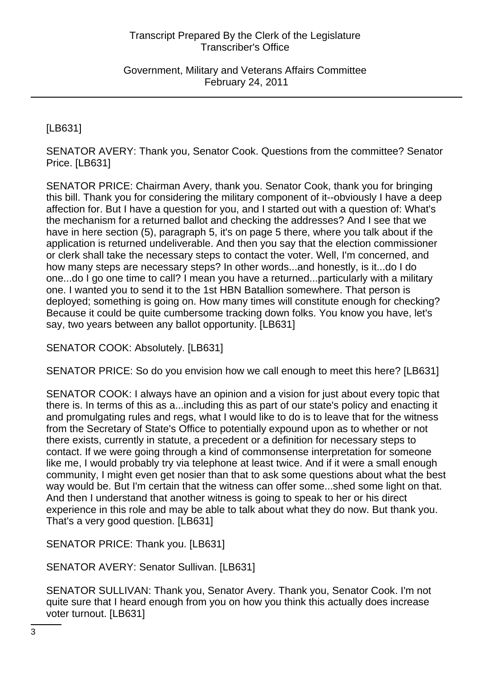Government, Military and Veterans Affairs Committee February 24, 2011

[LB631]

SENATOR AVERY: Thank you, Senator Cook. Questions from the committee? Senator Price. [LB631]

SENATOR PRICE: Chairman Avery, thank you. Senator Cook, thank you for bringing this bill. Thank you for considering the military component of it--obviously I have a deep affection for. But I have a question for you, and I started out with a question of: What's the mechanism for a returned ballot and checking the addresses? And I see that we have in here section (5), paragraph 5, it's on page 5 there, where you talk about if the application is returned undeliverable. And then you say that the election commissioner or clerk shall take the necessary steps to contact the voter. Well, I'm concerned, and how many steps are necessary steps? In other words...and honestly, is it...do I do one...do I go one time to call? I mean you have a returned...particularly with a military one. I wanted you to send it to the 1st HBN Batallion somewhere. That person is deployed; something is going on. How many times will constitute enough for checking? Because it could be quite cumbersome tracking down folks. You know you have, let's say, two years between any ballot opportunity. [LB631]

SENATOR COOK: Absolutely. [LB631]

SENATOR PRICE: So do you envision how we call enough to meet this here? [LB631]

SENATOR COOK: I always have an opinion and a vision for just about every topic that there is. In terms of this as a...including this as part of our state's policy and enacting it and promulgating rules and regs, what I would like to do is to leave that for the witness from the Secretary of State's Office to potentially expound upon as to whether or not there exists, currently in statute, a precedent or a definition for necessary steps to contact. If we were going through a kind of commonsense interpretation for someone like me, I would probably try via telephone at least twice. And if it were a small enough community, I might even get nosier than that to ask some questions about what the best way would be. But I'm certain that the witness can offer some...shed some light on that. And then I understand that another witness is going to speak to her or his direct experience in this role and may be able to talk about what they do now. But thank you. That's a very good question. [LB631]

SENATOR PRICE: Thank you. [LB631]

SENATOR AVERY: Senator Sullivan. [LB631]

SENATOR SULLIVAN: Thank you, Senator Avery. Thank you, Senator Cook. I'm not quite sure that I heard enough from you on how you think this actually does increase voter turnout. [LB631]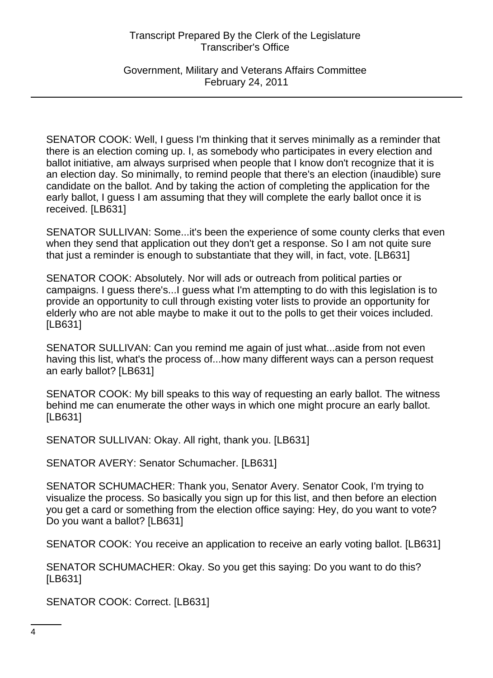Government, Military and Veterans Affairs Committee February 24, 2011

SENATOR COOK: Well, I guess I'm thinking that it serves minimally as a reminder that there is an election coming up. I, as somebody who participates in every election and ballot initiative, am always surprised when people that I know don't recognize that it is an election day. So minimally, to remind people that there's an election (inaudible) sure candidate on the ballot. And by taking the action of completing the application for the early ballot, I guess I am assuming that they will complete the early ballot once it is received. [LB631]

SENATOR SULLIVAN: Some...it's been the experience of some county clerks that even when they send that application out they don't get a response. So I am not quite sure that just a reminder is enough to substantiate that they will, in fact, vote. [LB631]

SENATOR COOK: Absolutely. Nor will ads or outreach from political parties or campaigns. I guess there's...I guess what I'm attempting to do with this legislation is to provide an opportunity to cull through existing voter lists to provide an opportunity for elderly who are not able maybe to make it out to the polls to get their voices included. [LB631]

SENATOR SULLIVAN: Can you remind me again of just what...aside from not even having this list, what's the process of...how many different ways can a person request an early ballot? [LB631]

SENATOR COOK: My bill speaks to this way of requesting an early ballot. The witness behind me can enumerate the other ways in which one might procure an early ballot. [LB631]

SENATOR SULLIVAN: Okay. All right, thank you. [LB631]

SENATOR AVERY: Senator Schumacher. [LB631]

SENATOR SCHUMACHER: Thank you, Senator Avery. Senator Cook, I'm trying to visualize the process. So basically you sign up for this list, and then before an election you get a card or something from the election office saying: Hey, do you want to vote? Do you want a ballot? [LB631]

SENATOR COOK: You receive an application to receive an early voting ballot. [LB631]

SENATOR SCHUMACHER: Okay. So you get this saying: Do you want to do this? [LB631]

SENATOR COOK: Correct. [LB631]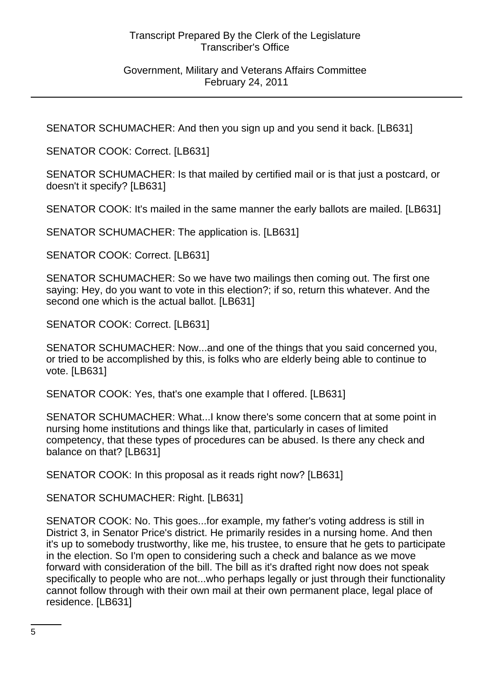## Government, Military and Veterans Affairs Committee February 24, 2011

SENATOR SCHUMACHER: And then you sign up and you send it back. [LB631]

SENATOR COOK: Correct. [LB631]

SENATOR SCHUMACHER: Is that mailed by certified mail or is that just a postcard, or doesn't it specify? [LB631]

SENATOR COOK: It's mailed in the same manner the early ballots are mailed. [LB631]

SENATOR SCHUMACHER: The application is. [LB631]

SENATOR COOK: Correct. [LB631]

SENATOR SCHUMACHER: So we have two mailings then coming out. The first one saying: Hey, do you want to vote in this election?; if so, return this whatever. And the second one which is the actual ballot. [LB631]

SENATOR COOK: Correct. [LB631]

SENATOR SCHUMACHER: Now...and one of the things that you said concerned you, or tried to be accomplished by this, is folks who are elderly being able to continue to vote. [LB631]

SENATOR COOK: Yes, that's one example that I offered. [LB631]

SENATOR SCHUMACHER: What...I know there's some concern that at some point in nursing home institutions and things like that, particularly in cases of limited competency, that these types of procedures can be abused. Is there any check and balance on that? [LB631]

SENATOR COOK: In this proposal as it reads right now? [LB631]

SENATOR SCHUMACHER: Right. [LB631]

SENATOR COOK: No. This goes...for example, my father's voting address is still in District 3, in Senator Price's district. He primarily resides in a nursing home. And then it's up to somebody trustworthy, like me, his trustee, to ensure that he gets to participate in the election. So I'm open to considering such a check and balance as we move forward with consideration of the bill. The bill as it's drafted right now does not speak specifically to people who are not...who perhaps legally or just through their functionality cannot follow through with their own mail at their own permanent place, legal place of residence. [LB631]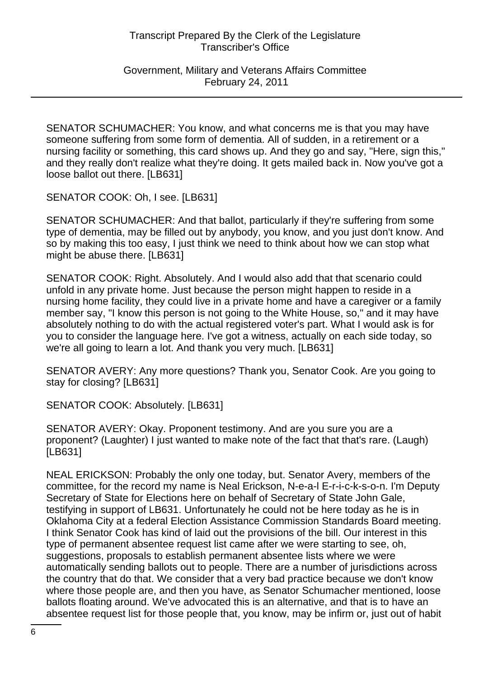Government, Military and Veterans Affairs Committee February 24, 2011

SENATOR SCHUMACHER: You know, and what concerns me is that you may have someone suffering from some form of dementia. All of sudden, in a retirement or a nursing facility or something, this card shows up. And they go and say, "Here, sign this," and they really don't realize what they're doing. It gets mailed back in. Now you've got a loose ballot out there. [LB631]

SENATOR COOK: Oh, I see. [LB631]

SENATOR SCHUMACHER: And that ballot, particularly if they're suffering from some type of dementia, may be filled out by anybody, you know, and you just don't know. And so by making this too easy, I just think we need to think about how we can stop what might be abuse there. [LB631]

SENATOR COOK: Right. Absolutely. And I would also add that that scenario could unfold in any private home. Just because the person might happen to reside in a nursing home facility, they could live in a private home and have a caregiver or a family member say, "I know this person is not going to the White House, so," and it may have absolutely nothing to do with the actual registered voter's part. What I would ask is for you to consider the language here. I've got a witness, actually on each side today, so we're all going to learn a lot. And thank you very much. [LB631]

SENATOR AVERY: Any more questions? Thank you, Senator Cook. Are you going to stay for closing? [LB631]

SENATOR COOK: Absolutely. [LB631]

SENATOR AVERY: Okay. Proponent testimony. And are you sure you are a proponent? (Laughter) I just wanted to make note of the fact that that's rare. (Laugh) [LB631]

NEAL ERICKSON: Probably the only one today, but. Senator Avery, members of the committee, for the record my name is Neal Erickson, N-e-a-l E-r-i-c-k-s-o-n. I'm Deputy Secretary of State for Elections here on behalf of Secretary of State John Gale, testifying in support of LB631. Unfortunately he could not be here today as he is in Oklahoma City at a federal Election Assistance Commission Standards Board meeting. I think Senator Cook has kind of laid out the provisions of the bill. Our interest in this type of permanent absentee request list came after we were starting to see, oh, suggestions, proposals to establish permanent absentee lists where we were automatically sending ballots out to people. There are a number of jurisdictions across the country that do that. We consider that a very bad practice because we don't know where those people are, and then you have, as Senator Schumacher mentioned, loose ballots floating around. We've advocated this is an alternative, and that is to have an absentee request list for those people that, you know, may be infirm or, just out of habit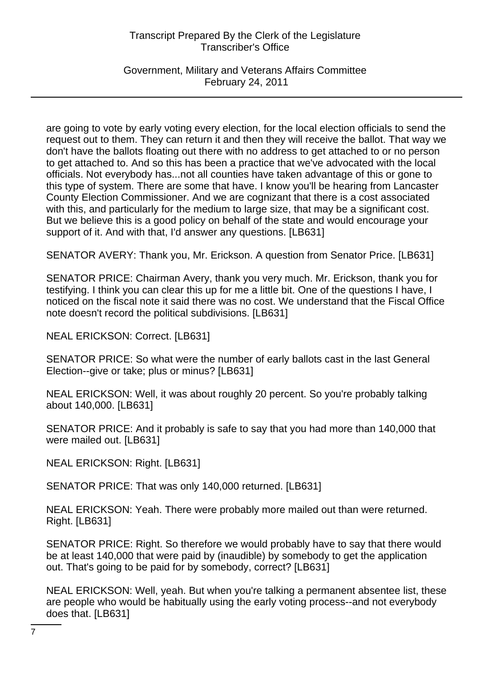Government, Military and Veterans Affairs Committee February 24, 2011

are going to vote by early voting every election, for the local election officials to send the request out to them. They can return it and then they will receive the ballot. That way we don't have the ballots floating out there with no address to get attached to or no person to get attached to. And so this has been a practice that we've advocated with the local officials. Not everybody has...not all counties have taken advantage of this or gone to this type of system. There are some that have. I know you'll be hearing from Lancaster County Election Commissioner. And we are cognizant that there is a cost associated with this, and particularly for the medium to large size, that may be a significant cost. But we believe this is a good policy on behalf of the state and would encourage your support of it. And with that, I'd answer any questions. [LB631]

SENATOR AVERY: Thank you, Mr. Erickson. A question from Senator Price. [LB631]

SENATOR PRICE: Chairman Avery, thank you very much. Mr. Erickson, thank you for testifying. I think you can clear this up for me a little bit. One of the questions I have, I noticed on the fiscal note it said there was no cost. We understand that the Fiscal Office note doesn't record the political subdivisions. [LB631]

NEAL ERICKSON: Correct. [LB631]

SENATOR PRICE: So what were the number of early ballots cast in the last General Election--give or take; plus or minus? [LB631]

NEAL ERICKSON: Well, it was about roughly 20 percent. So you're probably talking about 140,000. [LB631]

SENATOR PRICE: And it probably is safe to say that you had more than 140,000 that were mailed out. [LB631]

NEAL ERICKSON: Right. [LB631]

SENATOR PRICE: That was only 140,000 returned. [LB631]

NEAL ERICKSON: Yeah. There were probably more mailed out than were returned. Right. [LB631]

SENATOR PRICE: Right. So therefore we would probably have to say that there would be at least 140,000 that were paid by (inaudible) by somebody to get the application out. That's going to be paid for by somebody, correct? [LB631]

NEAL ERICKSON: Well, yeah. But when you're talking a permanent absentee list, these are people who would be habitually using the early voting process--and not everybody does that. [LB631]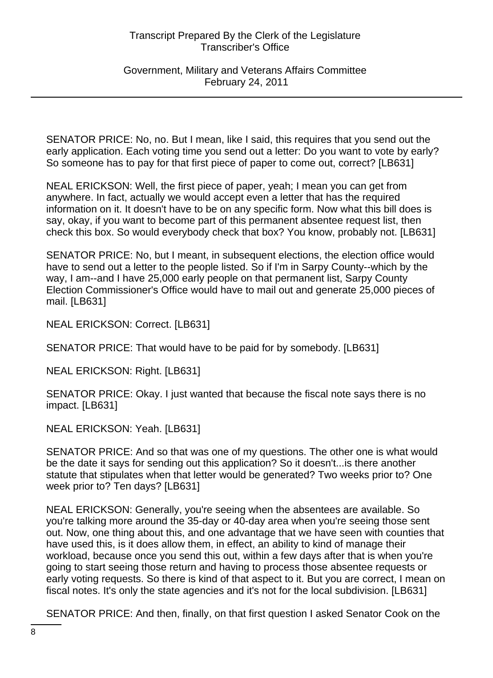## Government, Military and Veterans Affairs Committee February 24, 2011

SENATOR PRICE: No, no. But I mean, like I said, this requires that you send out the early application. Each voting time you send out a letter: Do you want to vote by early? So someone has to pay for that first piece of paper to come out, correct? [LB631]

NEAL ERICKSON: Well, the first piece of paper, yeah; I mean you can get from anywhere. In fact, actually we would accept even a letter that has the required information on it. It doesn't have to be on any specific form. Now what this bill does is say, okay, if you want to become part of this permanent absentee request list, then check this box. So would everybody check that box? You know, probably not. [LB631]

SENATOR PRICE: No, but I meant, in subsequent elections, the election office would have to send out a letter to the people listed. So if I'm in Sarpy County--which by the way, I am--and I have 25,000 early people on that permanent list, Sarpy County Election Commissioner's Office would have to mail out and generate 25,000 pieces of mail. [LB631]

NEAL ERICKSON: Correct. [LB631]

SENATOR PRICE: That would have to be paid for by somebody. [LB631]

NEAL ERICKSON: Right. [LB631]

SENATOR PRICE: Okay. I just wanted that because the fiscal note says there is no impact. [LB631]

NEAL ERICKSON: Yeah. [LB631]

SENATOR PRICE: And so that was one of my questions. The other one is what would be the date it says for sending out this application? So it doesn't...is there another statute that stipulates when that letter would be generated? Two weeks prior to? One week prior to? Ten days? [LB631]

NEAL ERICKSON: Generally, you're seeing when the absentees are available. So you're talking more around the 35-day or 40-day area when you're seeing those sent out. Now, one thing about this, and one advantage that we have seen with counties that have used this, is it does allow them, in effect, an ability to kind of manage their workload, because once you send this out, within a few days after that is when you're going to start seeing those return and having to process those absentee requests or early voting requests. So there is kind of that aspect to it. But you are correct, I mean on fiscal notes. It's only the state agencies and it's not for the local subdivision. [LB631]

SENATOR PRICE: And then, finally, on that first question I asked Senator Cook on the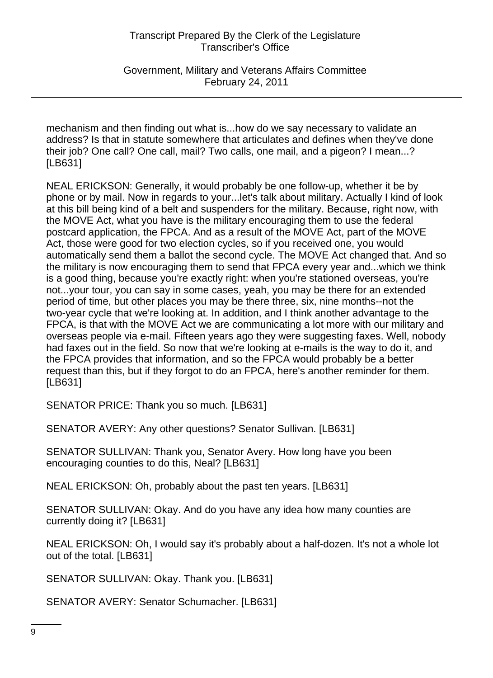Government, Military and Veterans Affairs Committee February 24, 2011

mechanism and then finding out what is...how do we say necessary to validate an address? Is that in statute somewhere that articulates and defines when they've done their job? One call? One call, mail? Two calls, one mail, and a pigeon? I mean...? [LB631]

NEAL ERICKSON: Generally, it would probably be one follow-up, whether it be by phone or by mail. Now in regards to your...let's talk about military. Actually I kind of look at this bill being kind of a belt and suspenders for the military. Because, right now, with the MOVE Act, what you have is the military encouraging them to use the federal postcard application, the FPCA. And as a result of the MOVE Act, part of the MOVE Act, those were good for two election cycles, so if you received one, you would automatically send them a ballot the second cycle. The MOVE Act changed that. And so the military is now encouraging them to send that FPCA every year and...which we think is a good thing, because you're exactly right: when you're stationed overseas, you're not...your tour, you can say in some cases, yeah, you may be there for an extended period of time, but other places you may be there three, six, nine months--not the two-year cycle that we're looking at. In addition, and I think another advantage to the FPCA, is that with the MOVE Act we are communicating a lot more with our military and overseas people via e-mail. Fifteen years ago they were suggesting faxes. Well, nobody had faxes out in the field. So now that we're looking at e-mails is the way to do it, and the FPCA provides that information, and so the FPCA would probably be a better request than this, but if they forgot to do an FPCA, here's another reminder for them. [LB631]

SENATOR PRICE: Thank you so much. [LB631]

SENATOR AVERY: Any other questions? Senator Sullivan. [LB631]

SENATOR SULLIVAN: Thank you, Senator Avery. How long have you been encouraging counties to do this, Neal? [LB631]

NEAL ERICKSON: Oh, probably about the past ten years. [LB631]

SENATOR SULLIVAN: Okay. And do you have any idea how many counties are currently doing it? [LB631]

NEAL ERICKSON: Oh, I would say it's probably about a half-dozen. It's not a whole lot out of the total. [LB631]

SENATOR SULLIVAN: Okay. Thank you. [LB631]

SENATOR AVERY: Senator Schumacher. [LB631]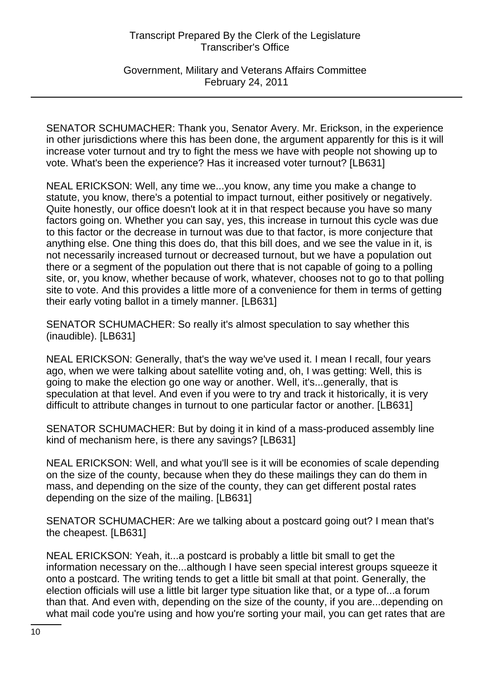Government, Military and Veterans Affairs Committee February 24, 2011

SENATOR SCHUMACHER: Thank you, Senator Avery. Mr. Erickson, in the experience in other jurisdictions where this has been done, the argument apparently for this is it will increase voter turnout and try to fight the mess we have with people not showing up to vote. What's been the experience? Has it increased voter turnout? [LB631]

NEAL ERICKSON: Well, any time we...you know, any time you make a change to statute, you know, there's a potential to impact turnout, either positively or negatively. Quite honestly, our office doesn't look at it in that respect because you have so many factors going on. Whether you can say, yes, this increase in turnout this cycle was due to this factor or the decrease in turnout was due to that factor, is more conjecture that anything else. One thing this does do, that this bill does, and we see the value in it, is not necessarily increased turnout or decreased turnout, but we have a population out there or a segment of the population out there that is not capable of going to a polling site, or, you know, whether because of work, whatever, chooses not to go to that polling site to vote. And this provides a little more of a convenience for them in terms of getting their early voting ballot in a timely manner. [LB631]

SENATOR SCHUMACHER: So really it's almost speculation to say whether this (inaudible). [LB631]

NEAL ERICKSON: Generally, that's the way we've used it. I mean I recall, four years ago, when we were talking about satellite voting and, oh, I was getting: Well, this is going to make the election go one way or another. Well, it's...generally, that is speculation at that level. And even if you were to try and track it historically, it is very difficult to attribute changes in turnout to one particular factor or another. [LB631]

SENATOR SCHUMACHER: But by doing it in kind of a mass-produced assembly line kind of mechanism here, is there any savings? [LB631]

NEAL ERICKSON: Well, and what you'll see is it will be economies of scale depending on the size of the county, because when they do these mailings they can do them in mass, and depending on the size of the county, they can get different postal rates depending on the size of the mailing. [LB631]

SENATOR SCHUMACHER: Are we talking about a postcard going out? I mean that's the cheapest. [LB631]

NEAL ERICKSON: Yeah, it...a postcard is probably a little bit small to get the information necessary on the...although I have seen special interest groups squeeze it onto a postcard. The writing tends to get a little bit small at that point. Generally, the election officials will use a little bit larger type situation like that, or a type of...a forum than that. And even with, depending on the size of the county, if you are...depending on what mail code you're using and how you're sorting your mail, you can get rates that are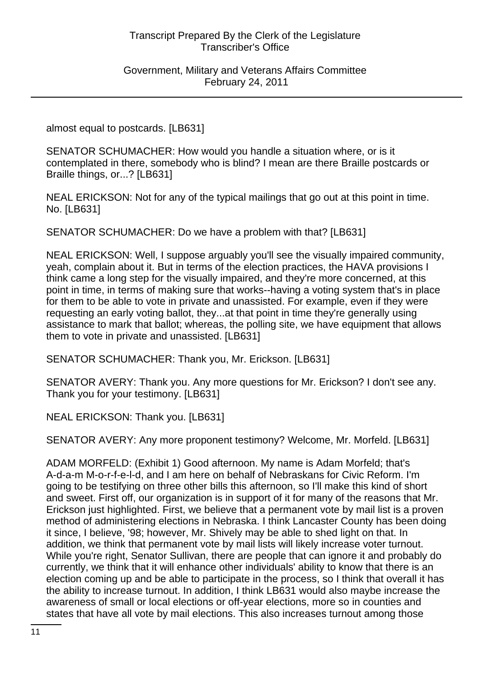Government, Military and Veterans Affairs Committee February 24, 2011

almost equal to postcards. [LB631]

SENATOR SCHUMACHER: How would you handle a situation where, or is it contemplated in there, somebody who is blind? I mean are there Braille postcards or Braille things, or...? [LB631]

NEAL ERICKSON: Not for any of the typical mailings that go out at this point in time. No. [LB631]

SENATOR SCHUMACHER: Do we have a problem with that? [LB631]

NEAL ERICKSON: Well, I suppose arguably you'll see the visually impaired community, yeah, complain about it. But in terms of the election practices, the HAVA provisions I think came a long step for the visually impaired, and they're more concerned, at this point in time, in terms of making sure that works--having a voting system that's in place for them to be able to vote in private and unassisted. For example, even if they were requesting an early voting ballot, they...at that point in time they're generally using assistance to mark that ballot; whereas, the polling site, we have equipment that allows them to vote in private and unassisted. [LB631]

SENATOR SCHUMACHER: Thank you, Mr. Erickson. [LB631]

SENATOR AVERY: Thank you. Any more questions for Mr. Erickson? I don't see any. Thank you for your testimony. [LB631]

NEAL ERICKSON: Thank you. [LB631]

SENATOR AVERY: Any more proponent testimony? Welcome, Mr. Morfeld. [LB631]

ADAM MORFELD: (Exhibit 1) Good afternoon. My name is Adam Morfeld; that's A-d-a-m M-o-r-f-e-l-d, and I am here on behalf of Nebraskans for Civic Reform. I'm going to be testifying on three other bills this afternoon, so I'll make this kind of short and sweet. First off, our organization is in support of it for many of the reasons that Mr. Erickson just highlighted. First, we believe that a permanent vote by mail list is a proven method of administering elections in Nebraska. I think Lancaster County has been doing it since, I believe, '98; however, Mr. Shively may be able to shed light on that. In addition, we think that permanent vote by mail lists will likely increase voter turnout. While you're right, Senator Sullivan, there are people that can ignore it and probably do currently, we think that it will enhance other individuals' ability to know that there is an election coming up and be able to participate in the process, so I think that overall it has the ability to increase turnout. In addition, I think LB631 would also maybe increase the awareness of small or local elections or off-year elections, more so in counties and states that have all vote by mail elections. This also increases turnout among those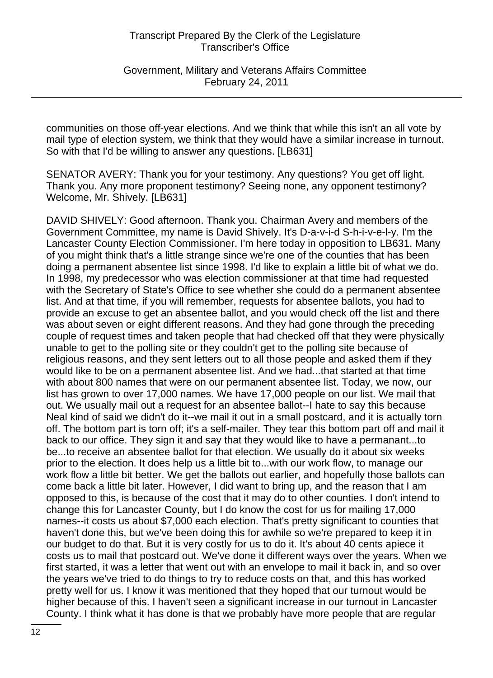Government, Military and Veterans Affairs Committee February 24, 2011

communities on those off-year elections. And we think that while this isn't an all vote by mail type of election system, we think that they would have a similar increase in turnout. So with that I'd be willing to answer any questions. [LB631]

SENATOR AVERY: Thank you for your testimony. Any questions? You get off light. Thank you. Any more proponent testimony? Seeing none, any opponent testimony? Welcome, Mr. Shively. [LB631]

DAVID SHIVELY: Good afternoon. Thank you. Chairman Avery and members of the Government Committee, my name is David Shively. It's D-a-v-i-d S-h-i-v-e-l-y. I'm the Lancaster County Election Commissioner. I'm here today in opposition to LB631. Many of you might think that's a little strange since we're one of the counties that has been doing a permanent absentee list since 1998. I'd like to explain a little bit of what we do. In 1998, my predecessor who was election commissioner at that time had requested with the Secretary of State's Office to see whether she could do a permanent absentee list. And at that time, if you will remember, requests for absentee ballots, you had to provide an excuse to get an absentee ballot, and you would check off the list and there was about seven or eight different reasons. And they had gone through the preceding couple of request times and taken people that had checked off that they were physically unable to get to the polling site or they couldn't get to the polling site because of religious reasons, and they sent letters out to all those people and asked them if they would like to be on a permanent absentee list. And we had...that started at that time with about 800 names that were on our permanent absentee list. Today, we now, our list has grown to over 17,000 names. We have 17,000 people on our list. We mail that out. We usually mail out a request for an absentee ballot--I hate to say this because Neal kind of said we didn't do it--we mail it out in a small postcard, and it is actually torn off. The bottom part is torn off; it's a self-mailer. They tear this bottom part off and mail it back to our office. They sign it and say that they would like to have a permanant...to be...to receive an absentee ballot for that election. We usually do it about six weeks prior to the election. It does help us a little bit to...with our work flow, to manage our work flow a little bit better. We get the ballots out earlier, and hopefully those ballots can come back a little bit later. However, I did want to bring up, and the reason that I am opposed to this, is because of the cost that it may do to other counties. I don't intend to change this for Lancaster County, but I do know the cost for us for mailing 17,000 names--it costs us about \$7,000 each election. That's pretty significant to counties that haven't done this, but we've been doing this for awhile so we're prepared to keep it in our budget to do that. But it is very costly for us to do it. It's about 40 cents apiece it costs us to mail that postcard out. We've done it different ways over the years. When we first started, it was a letter that went out with an envelope to mail it back in, and so over the years we've tried to do things to try to reduce costs on that, and this has worked pretty well for us. I know it was mentioned that they hoped that our turnout would be higher because of this. I haven't seen a significant increase in our turnout in Lancaster County. I think what it has done is that we probably have more people that are regular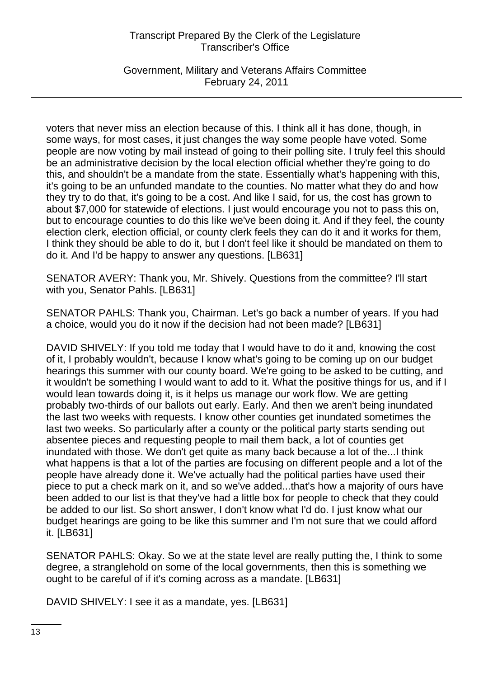Government, Military and Veterans Affairs Committee February 24, 2011

voters that never miss an election because of this. I think all it has done, though, in some ways, for most cases, it just changes the way some people have voted. Some people are now voting by mail instead of going to their polling site. I truly feel this should be an administrative decision by the local election official whether they're going to do this, and shouldn't be a mandate from the state. Essentially what's happening with this, it's going to be an unfunded mandate to the counties. No matter what they do and how they try to do that, it's going to be a cost. And like I said, for us, the cost has grown to about \$7,000 for statewide of elections. I just would encourage you not to pass this on, but to encourage counties to do this like we've been doing it. And if they feel, the county election clerk, election official, or county clerk feels they can do it and it works for them, I think they should be able to do it, but I don't feel like it should be mandated on them to do it. And I'd be happy to answer any questions. [LB631]

SENATOR AVERY: Thank you, Mr. Shively. Questions from the committee? I'll start with you, Senator Pahls. [LB631]

SENATOR PAHLS: Thank you, Chairman. Let's go back a number of years. If you had a choice, would you do it now if the decision had not been made? [LB631]

DAVID SHIVELY: If you told me today that I would have to do it and, knowing the cost of it, I probably wouldn't, because I know what's going to be coming up on our budget hearings this summer with our county board. We're going to be asked to be cutting, and it wouldn't be something I would want to add to it. What the positive things for us, and if I would lean towards doing it, is it helps us manage our work flow. We are getting probably two-thirds of our ballots out early. Early. And then we aren't being inundated the last two weeks with requests. I know other counties get inundated sometimes the last two weeks. So particularly after a county or the political party starts sending out absentee pieces and requesting people to mail them back, a lot of counties get inundated with those. We don't get quite as many back because a lot of the...I think what happens is that a lot of the parties are focusing on different people and a lot of the people have already done it. We've actually had the political parties have used their piece to put a check mark on it, and so we've added...that's how a majority of ours have been added to our list is that they've had a little box for people to check that they could be added to our list. So short answer, I don't know what I'd do. I just know what our budget hearings are going to be like this summer and I'm not sure that we could afford it. [LB631]

SENATOR PAHLS: Okay. So we at the state level are really putting the, I think to some degree, a stranglehold on some of the local governments, then this is something we ought to be careful of if it's coming across as a mandate. [LB631]

DAVID SHIVELY: I see it as a mandate, yes. [LB631]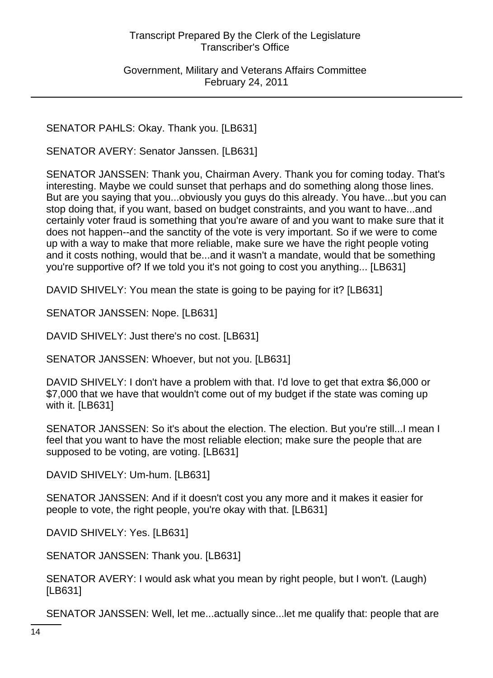Government, Military and Veterans Affairs Committee February 24, 2011

SENATOR PAHLS: Okay. Thank you. [LB631]

SENATOR AVERY: Senator Janssen. [LB631]

SENATOR JANSSEN: Thank you, Chairman Avery. Thank you for coming today. That's interesting. Maybe we could sunset that perhaps and do something along those lines. But are you saying that you...obviously you guys do this already. You have...but you can stop doing that, if you want, based on budget constraints, and you want to have...and certainly voter fraud is something that you're aware of and you want to make sure that it does not happen--and the sanctity of the vote is very important. So if we were to come up with a way to make that more reliable, make sure we have the right people voting and it costs nothing, would that be...and it wasn't a mandate, would that be something you're supportive of? If we told you it's not going to cost you anything... [LB631]

DAVID SHIVELY: You mean the state is going to be paying for it? [LB631]

SENATOR JANSSEN: Nope. [LB631]

DAVID SHIVELY: Just there's no cost. [LB631]

SENATOR JANSSEN: Whoever, but not you. [LB631]

DAVID SHIVELY: I don't have a problem with that. I'd love to get that extra \$6,000 or \$7,000 that we have that wouldn't come out of my budget if the state was coming up with it. [LB631]

SENATOR JANSSEN: So it's about the election. The election. But you're still...I mean I feel that you want to have the most reliable election; make sure the people that are supposed to be voting, are voting. [LB631]

DAVID SHIVELY: Um-hum. [LB631]

SENATOR JANSSEN: And if it doesn't cost you any more and it makes it easier for people to vote, the right people, you're okay with that. [LB631]

DAVID SHIVELY: Yes. [LB631]

SENATOR JANSSEN: Thank you. [LB631]

SENATOR AVERY: I would ask what you mean by right people, but I won't. (Laugh) [LB631]

SENATOR JANSSEN: Well, let me...actually since...let me qualify that: people that are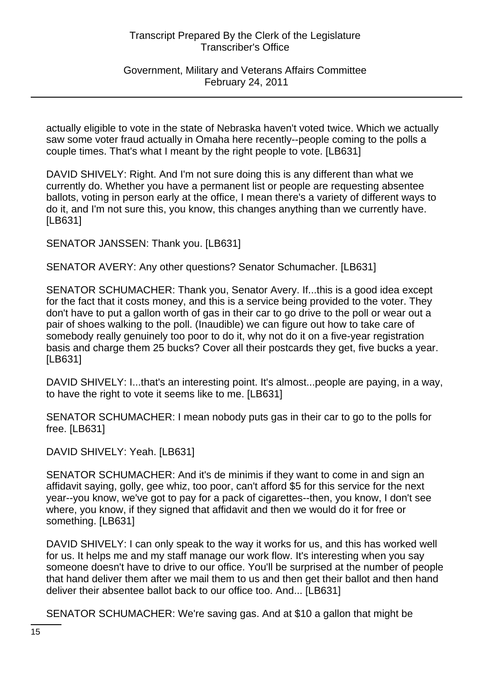Government, Military and Veterans Affairs Committee February 24, 2011

actually eligible to vote in the state of Nebraska haven't voted twice. Which we actually saw some voter fraud actually in Omaha here recently--people coming to the polls a couple times. That's what I meant by the right people to vote. [LB631]

DAVID SHIVELY: Right. And I'm not sure doing this is any different than what we currently do. Whether you have a permanent list or people are requesting absentee ballots, voting in person early at the office, I mean there's a variety of different ways to do it, and I'm not sure this, you know, this changes anything than we currently have. [LB631]

SENATOR JANSSEN: Thank you. [LB631]

SENATOR AVERY: Any other questions? Senator Schumacher. [LB631]

SENATOR SCHUMACHER: Thank you, Senator Avery. If...this is a good idea except for the fact that it costs money, and this is a service being provided to the voter. They don't have to put a gallon worth of gas in their car to go drive to the poll or wear out a pair of shoes walking to the poll. (Inaudible) we can figure out how to take care of somebody really genuinely too poor to do it, why not do it on a five-year registration basis and charge them 25 bucks? Cover all their postcards they get, five bucks a year. [LB631]

DAVID SHIVELY: I...that's an interesting point. It's almost...people are paying, in a way, to have the right to vote it seems like to me. [LB631]

SENATOR SCHUMACHER: I mean nobody puts gas in their car to go to the polls for free. [LB631]

DAVID SHIVELY: Yeah. [LB631]

SENATOR SCHUMACHER: And it's de minimis if they want to come in and sign an affidavit saying, golly, gee whiz, too poor, can't afford \$5 for this service for the next year--you know, we've got to pay for a pack of cigarettes--then, you know, I don't see where, you know, if they signed that affidavit and then we would do it for free or something. [LB631]

DAVID SHIVELY: I can only speak to the way it works for us, and this has worked well for us. It helps me and my staff manage our work flow. It's interesting when you say someone doesn't have to drive to our office. You'll be surprised at the number of people that hand deliver them after we mail them to us and then get their ballot and then hand deliver their absentee ballot back to our office too. And... [LB631]

SENATOR SCHUMACHER: We're saving gas. And at \$10 a gallon that might be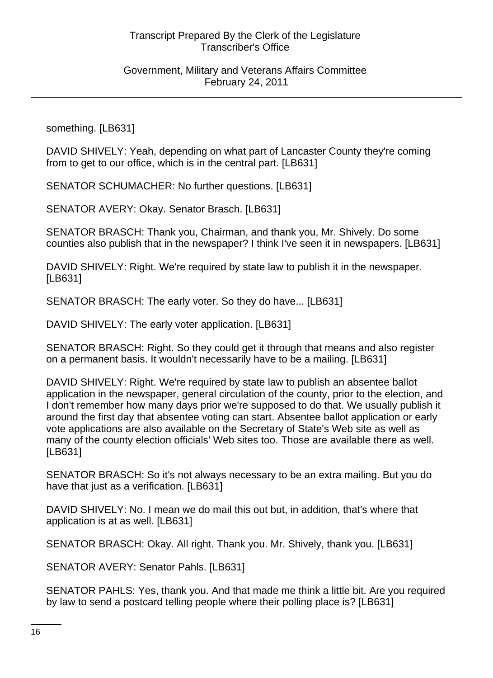Government, Military and Veterans Affairs Committee February 24, 2011

something. [LB631]

DAVID SHIVELY: Yeah, depending on what part of Lancaster County they're coming from to get to our office, which is in the central part. [LB631]

SENATOR SCHUMACHER: No further questions. [LB631]

SENATOR AVERY: Okay. Senator Brasch. [LB631]

SENATOR BRASCH: Thank you, Chairman, and thank you, Mr. Shively. Do some counties also publish that in the newspaper? I think I've seen it in newspapers. [LB631]

DAVID SHIVELY: Right. We're required by state law to publish it in the newspaper. [LB631]

SENATOR BRASCH: The early voter. So they do have... [LB631]

DAVID SHIVELY: The early voter application. [LB631]

SENATOR BRASCH: Right. So they could get it through that means and also register on a permanent basis. It wouldn't necessarily have to be a mailing. [LB631]

DAVID SHIVELY: Right. We're required by state law to publish an absentee ballot application in the newspaper, general circulation of the county, prior to the election, and I don't remember how many days prior we're supposed to do that. We usually publish it around the first day that absentee voting can start. Absentee ballot application or early vote applications are also available on the Secretary of State's Web site as well as many of the county election officials' Web sites too. Those are available there as well. [LB631]

SENATOR BRASCH: So it's not always necessary to be an extra mailing. But you do have that just as a verification. [LB631]

DAVID SHIVELY: No. I mean we do mail this out but, in addition, that's where that application is at as well. [LB631]

SENATOR BRASCH: Okay. All right. Thank you. Mr. Shively, thank you. [LB631]

SENATOR AVERY: Senator Pahls. [LB631]

SENATOR PAHLS: Yes, thank you. And that made me think a little bit. Are you required by law to send a postcard telling people where their polling place is? [LB631]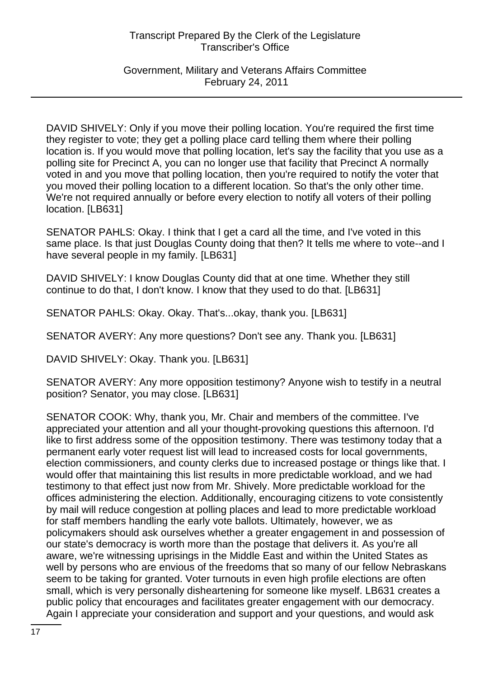Government, Military and Veterans Affairs Committee February 24, 2011

DAVID SHIVELY: Only if you move their polling location. You're required the first time they register to vote; they get a polling place card telling them where their polling location is. If you would move that polling location, let's say the facility that you use as a polling site for Precinct A, you can no longer use that facility that Precinct A normally voted in and you move that polling location, then you're required to notify the voter that you moved their polling location to a different location. So that's the only other time. We're not required annually or before every election to notify all voters of their polling location. [LB631]

SENATOR PAHLS: Okay. I think that I get a card all the time, and I've voted in this same place. Is that just Douglas County doing that then? It tells me where to vote--and I have several people in my family. [LB631]

DAVID SHIVELY: I know Douglas County did that at one time. Whether they still continue to do that, I don't know. I know that they used to do that. [LB631]

SENATOR PAHLS: Okay. Okay. That's...okay, thank you. [LB631]

SENATOR AVERY: Any more questions? Don't see any. Thank you. [LB631]

DAVID SHIVELY: Okay. Thank you. [LB631]

SENATOR AVERY: Any more opposition testimony? Anyone wish to testify in a neutral position? Senator, you may close. [LB631]

SENATOR COOK: Why, thank you, Mr. Chair and members of the committee. I've appreciated your attention and all your thought-provoking questions this afternoon. I'd like to first address some of the opposition testimony. There was testimony today that a permanent early voter request list will lead to increased costs for local governments, election commissioners, and county clerks due to increased postage or things like that. I would offer that maintaining this list results in more predictable workload, and we had testimony to that effect just now from Mr. Shively. More predictable workload for the offices administering the election. Additionally, encouraging citizens to vote consistently by mail will reduce congestion at polling places and lead to more predictable workload for staff members handling the early vote ballots. Ultimately, however, we as policymakers should ask ourselves whether a greater engagement in and possession of our state's democracy is worth more than the postage that delivers it. As you're all aware, we're witnessing uprisings in the Middle East and within the United States as well by persons who are envious of the freedoms that so many of our fellow Nebraskans seem to be taking for granted. Voter turnouts in even high profile elections are often small, which is very personally disheartening for someone like myself. LB631 creates a public policy that encourages and facilitates greater engagement with our democracy. Again I appreciate your consideration and support and your questions, and would ask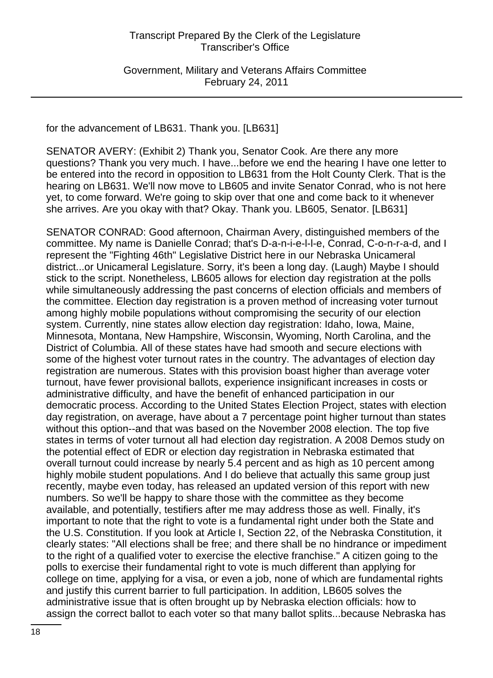Government, Military and Veterans Affairs Committee February 24, 2011

for the advancement of LB631. Thank you. [LB631]

SENATOR AVERY: (Exhibit 2) Thank you, Senator Cook. Are there any more questions? Thank you very much. I have...before we end the hearing I have one letter to be entered into the record in opposition to LB631 from the Holt County Clerk. That is the hearing on LB631. We'll now move to LB605 and invite Senator Conrad, who is not here yet, to come forward. We're going to skip over that one and come back to it whenever she arrives. Are you okay with that? Okay. Thank you. LB605, Senator. [LB631]

SENATOR CONRAD: Good afternoon, Chairman Avery, distinguished members of the committee. My name is Danielle Conrad; that's D-a-n-i-e-l-l-e, Conrad, C-o-n-r-a-d, and I represent the "Fighting 46th" Legislative District here in our Nebraska Unicameral district...or Unicameral Legislature. Sorry, it's been a long day. (Laugh) Maybe I should stick to the script. Nonetheless, LB605 allows for election day registration at the polls while simultaneously addressing the past concerns of election officials and members of the committee. Election day registration is a proven method of increasing voter turnout among highly mobile populations without compromising the security of our election system. Currently, nine states allow election day registration: Idaho, Iowa, Maine, Minnesota, Montana, New Hampshire, Wisconsin, Wyoming, North Carolina, and the District of Columbia. All of these states have had smooth and secure elections with some of the highest voter turnout rates in the country. The advantages of election day registration are numerous. States with this provision boast higher than average voter turnout, have fewer provisional ballots, experience insignificant increases in costs or administrative difficulty, and have the benefit of enhanced participation in our democratic process. According to the United States Election Project, states with election day registration, on average, have about a 7 percentage point higher turnout than states without this option--and that was based on the November 2008 election. The top five states in terms of voter turnout all had election day registration. A 2008 Demos study on the potential effect of EDR or election day registration in Nebraska estimated that overall turnout could increase by nearly 5.4 percent and as high as 10 percent among highly mobile student populations. And I do believe that actually this same group just recently, maybe even today, has released an updated version of this report with new numbers. So we'll be happy to share those with the committee as they become available, and potentially, testifiers after me may address those as well. Finally, it's important to note that the right to vote is a fundamental right under both the State and the U.S. Constitution. If you look at Article I, Section 22, of the Nebraska Constitution, it clearly states: "All elections shall be free; and there shall be no hindrance or impediment to the right of a qualified voter to exercise the elective franchise." A citizen going to the polls to exercise their fundamental right to vote is much different than applying for college on time, applying for a visa, or even a job, none of which are fundamental rights and justify this current barrier to full participation. In addition, LB605 solves the administrative issue that is often brought up by Nebraska election officials: how to assign the correct ballot to each voter so that many ballot splits...because Nebraska has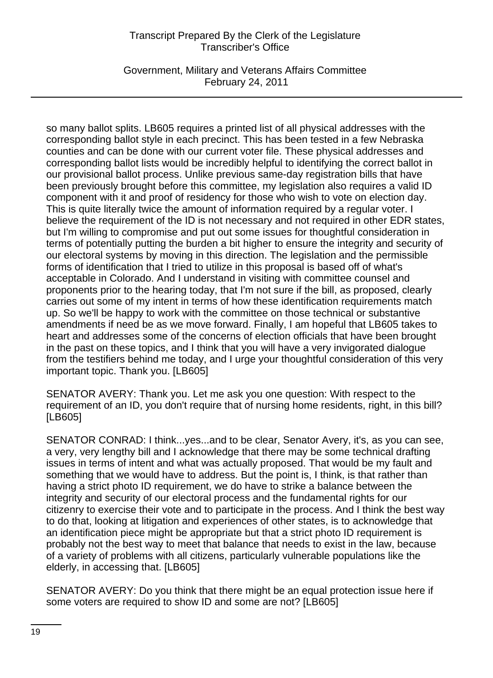Government, Military and Veterans Affairs Committee February 24, 2011

so many ballot splits. LB605 requires a printed list of all physical addresses with the corresponding ballot style in each precinct. This has been tested in a few Nebraska counties and can be done with our current voter file. These physical addresses and corresponding ballot lists would be incredibly helpful to identifying the correct ballot in our provisional ballot process. Unlike previous same-day registration bills that have been previously brought before this committee, my legislation also requires a valid ID component with it and proof of residency for those who wish to vote on election day. This is quite literally twice the amount of information required by a regular voter. I believe the requirement of the ID is not necessary and not required in other EDR states, but I'm willing to compromise and put out some issues for thoughtful consideration in terms of potentially putting the burden a bit higher to ensure the integrity and security of our electoral systems by moving in this direction. The legislation and the permissible forms of identification that I tried to utilize in this proposal is based off of what's acceptable in Colorado. And I understand in visiting with committee counsel and proponents prior to the hearing today, that I'm not sure if the bill, as proposed, clearly carries out some of my intent in terms of how these identification requirements match up. So we'll be happy to work with the committee on those technical or substantive amendments if need be as we move forward. Finally, I am hopeful that LB605 takes to heart and addresses some of the concerns of election officials that have been brought in the past on these topics, and I think that you will have a very invigorated dialogue from the testifiers behind me today, and I urge your thoughtful consideration of this very important topic. Thank you. [LB605]

SENATOR AVERY: Thank you. Let me ask you one question: With respect to the requirement of an ID, you don't require that of nursing home residents, right, in this bill? [LB605]

SENATOR CONRAD: I think...yes...and to be clear, Senator Avery, it's, as you can see, a very, very lengthy bill and I acknowledge that there may be some technical drafting issues in terms of intent and what was actually proposed. That would be my fault and something that we would have to address. But the point is, I think, is that rather than having a strict photo ID requirement, we do have to strike a balance between the integrity and security of our electoral process and the fundamental rights for our citizenry to exercise their vote and to participate in the process. And I think the best way to do that, looking at litigation and experiences of other states, is to acknowledge that an identification piece might be appropriate but that a strict photo ID requirement is probably not the best way to meet that balance that needs to exist in the law, because of a variety of problems with all citizens, particularly vulnerable populations like the elderly, in accessing that. [LB605]

SENATOR AVERY: Do you think that there might be an equal protection issue here if some voters are required to show ID and some are not? [LB605]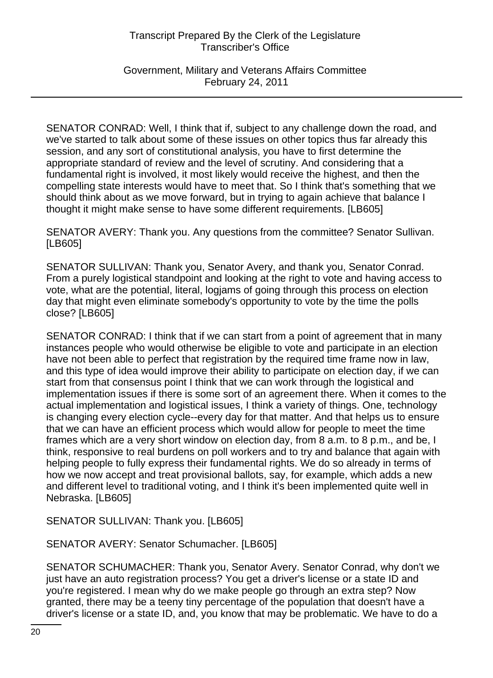Government, Military and Veterans Affairs Committee February 24, 2011

SENATOR CONRAD: Well, I think that if, subject to any challenge down the road, and we've started to talk about some of these issues on other topics thus far already this session, and any sort of constitutional analysis, you have to first determine the appropriate standard of review and the level of scrutiny. And considering that a fundamental right is involved, it most likely would receive the highest, and then the compelling state interests would have to meet that. So I think that's something that we should think about as we move forward, but in trying to again achieve that balance I thought it might make sense to have some different requirements. [LB605]

SENATOR AVERY: Thank you. Any questions from the committee? Senator Sullivan. [LB605]

SENATOR SULLIVAN: Thank you, Senator Avery, and thank you, Senator Conrad. From a purely logistical standpoint and looking at the right to vote and having access to vote, what are the potential, literal, logjams of going through this process on election day that might even eliminate somebody's opportunity to vote by the time the polls close? [LB605]

SENATOR CONRAD: I think that if we can start from a point of agreement that in many instances people who would otherwise be eligible to vote and participate in an election have not been able to perfect that registration by the required time frame now in law, and this type of idea would improve their ability to participate on election day, if we can start from that consensus point I think that we can work through the logistical and implementation issues if there is some sort of an agreement there. When it comes to the actual implementation and logistical issues, I think a variety of things. One, technology is changing every election cycle--every day for that matter. And that helps us to ensure that we can have an efficient process which would allow for people to meet the time frames which are a very short window on election day, from 8 a.m. to 8 p.m., and be, I think, responsive to real burdens on poll workers and to try and balance that again with helping people to fully express their fundamental rights. We do so already in terms of how we now accept and treat provisional ballots, say, for example, which adds a new and different level to traditional voting, and I think it's been implemented quite well in Nebraska. [LB605]

SENATOR SULLIVAN: Thank you. [LB605]

SENATOR AVERY: Senator Schumacher. [LB605]

SENATOR SCHUMACHER: Thank you, Senator Avery. Senator Conrad, why don't we just have an auto registration process? You get a driver's license or a state ID and you're registered. I mean why do we make people go through an extra step? Now granted, there may be a teeny tiny percentage of the population that doesn't have a driver's license or a state ID, and, you know that may be problematic. We have to do a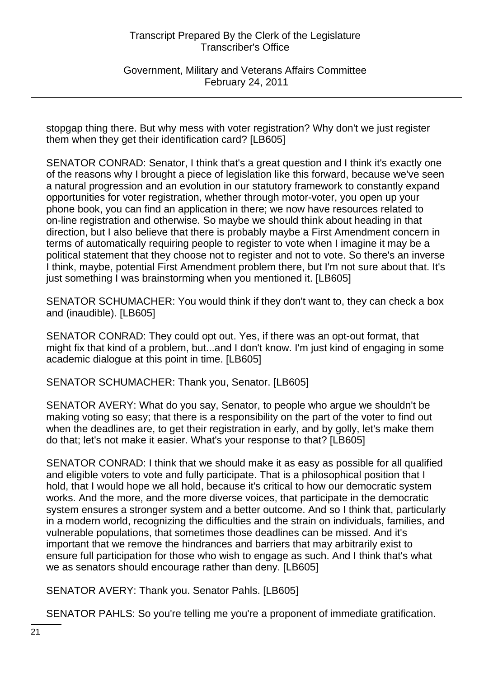Government, Military and Veterans Affairs Committee February 24, 2011

stopgap thing there. But why mess with voter registration? Why don't we just register them when they get their identification card? [LB605]

SENATOR CONRAD: Senator, I think that's a great question and I think it's exactly one of the reasons why I brought a piece of legislation like this forward, because we've seen a natural progression and an evolution in our statutory framework to constantly expand opportunities for voter registration, whether through motor-voter, you open up your phone book, you can find an application in there; we now have resources related to on-line registration and otherwise. So maybe we should think about heading in that direction, but I also believe that there is probably maybe a First Amendment concern in terms of automatically requiring people to register to vote when I imagine it may be a political statement that they choose not to register and not to vote. So there's an inverse I think, maybe, potential First Amendment problem there, but I'm not sure about that. It's just something I was brainstorming when you mentioned it. [LB605]

SENATOR SCHUMACHER: You would think if they don't want to, they can check a box and (inaudible). [LB605]

SENATOR CONRAD: They could opt out. Yes, if there was an opt-out format, that might fix that kind of a problem, but...and I don't know. I'm just kind of engaging in some academic dialogue at this point in time. [LB605]

SENATOR SCHUMACHER: Thank you, Senator. [LB605]

SENATOR AVERY: What do you say, Senator, to people who argue we shouldn't be making voting so easy; that there is a responsibility on the part of the voter to find out when the deadlines are, to get their registration in early, and by golly, let's make them do that; let's not make it easier. What's your response to that? [LB605]

SENATOR CONRAD: I think that we should make it as easy as possible for all qualified and eligible voters to vote and fully participate. That is a philosophical position that I hold, that I would hope we all hold, because it's critical to how our democratic system works. And the more, and the more diverse voices, that participate in the democratic system ensures a stronger system and a better outcome. And so I think that, particularly in a modern world, recognizing the difficulties and the strain on individuals, families, and vulnerable populations, that sometimes those deadlines can be missed. And it's important that we remove the hindrances and barriers that may arbitrarily exist to ensure full participation for those who wish to engage as such. And I think that's what we as senators should encourage rather than deny. [LB605]

SENATOR AVERY: Thank you. Senator Pahls. [LB605]

SENATOR PAHLS: So you're telling me you're a proponent of immediate gratification.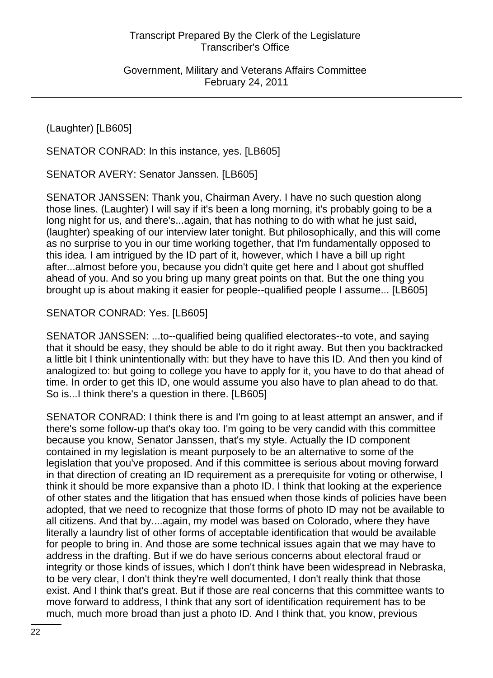Government, Military and Veterans Affairs Committee February 24, 2011

(Laughter) [LB605]

SENATOR CONRAD: In this instance, yes. [LB605]

SENATOR AVERY: Senator Janssen. [LB605]

SENATOR JANSSEN: Thank you, Chairman Avery. I have no such question along those lines. (Laughter) I will say if it's been a long morning, it's probably going to be a long night for us, and there's...again, that has nothing to do with what he just said, (laughter) speaking of our interview later tonight. But philosophically, and this will come as no surprise to you in our time working together, that I'm fundamentally opposed to this idea. I am intrigued by the ID part of it, however, which I have a bill up right after...almost before you, because you didn't quite get here and I about got shuffled ahead of you. And so you bring up many great points on that. But the one thing you brought up is about making it easier for people--qualified people I assume... [LB605]

# SENATOR CONRAD: Yes. [LB605]

SENATOR JANSSEN: ...to--qualified being qualified electorates--to vote, and saying that it should be easy, they should be able to do it right away. But then you backtracked a little bit I think unintentionally with: but they have to have this ID. And then you kind of analogized to: but going to college you have to apply for it, you have to do that ahead of time. In order to get this ID, one would assume you also have to plan ahead to do that. So is...I think there's a question in there. [LB605]

SENATOR CONRAD: I think there is and I'm going to at least attempt an answer, and if there's some follow-up that's okay too. I'm going to be very candid with this committee because you know, Senator Janssen, that's my style. Actually the ID component contained in my legislation is meant purposely to be an alternative to some of the legislation that you've proposed. And if this committee is serious about moving forward in that direction of creating an ID requirement as a prerequisite for voting or otherwise, I think it should be more expansive than a photo ID. I think that looking at the experience of other states and the litigation that has ensued when those kinds of policies have been adopted, that we need to recognize that those forms of photo ID may not be available to all citizens. And that by....again, my model was based on Colorado, where they have literally a laundry list of other forms of acceptable identification that would be available for people to bring in. And those are some technical issues again that we may have to address in the drafting. But if we do have serious concerns about electoral fraud or integrity or those kinds of issues, which I don't think have been widespread in Nebraska, to be very clear, I don't think they're well documented, I don't really think that those exist. And I think that's great. But if those are real concerns that this committee wants to move forward to address, I think that any sort of identification requirement has to be much, much more broad than just a photo ID. And I think that, you know, previous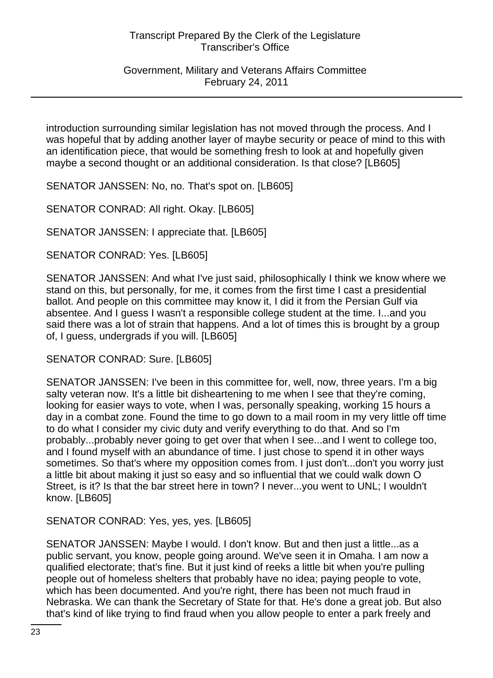Government, Military and Veterans Affairs Committee February 24, 2011

introduction surrounding similar legislation has not moved through the process. And I was hopeful that by adding another layer of maybe security or peace of mind to this with an identification piece, that would be something fresh to look at and hopefully given maybe a second thought or an additional consideration. Is that close? [LB605]

SENATOR JANSSEN: No, no. That's spot on. [LB605]

SENATOR CONRAD: All right. Okay. [LB605]

SENATOR JANSSEN: I appreciate that. [LB605]

SENATOR CONRAD: Yes. [LB605]

SENATOR JANSSEN: And what I've just said, philosophically I think we know where we stand on this, but personally, for me, it comes from the first time I cast a presidential ballot. And people on this committee may know it, I did it from the Persian Gulf via absentee. And I guess I wasn't a responsible college student at the time. I...and you said there was a lot of strain that happens. And a lot of times this is brought by a group of, I guess, undergrads if you will. [LB605]

SENATOR CONRAD: Sure. [LB605]

SENATOR JANSSEN: I've been in this committee for, well, now, three years. I'm a big salty veteran now. It's a little bit disheartening to me when I see that they're coming, looking for easier ways to vote, when I was, personally speaking, working 15 hours a day in a combat zone. Found the time to go down to a mail room in my very little off time to do what I consider my civic duty and verify everything to do that. And so I'm probably...probably never going to get over that when I see...and I went to college too, and I found myself with an abundance of time. I just chose to spend it in other ways sometimes. So that's where my opposition comes from. I just don't...don't you worry just a little bit about making it just so easy and so influential that we could walk down O Street, is it? Is that the bar street here in town? I never...you went to UNL; I wouldn't know. [LB605]

SENATOR CONRAD: Yes, yes, yes. [LB605]

SENATOR JANSSEN: Maybe I would. I don't know. But and then just a little...as a public servant, you know, people going around. We've seen it in Omaha. I am now a qualified electorate; that's fine. But it just kind of reeks a little bit when you're pulling people out of homeless shelters that probably have no idea; paying people to vote, which has been documented. And you're right, there has been not much fraud in Nebraska. We can thank the Secretary of State for that. He's done a great job. But also that's kind of like trying to find fraud when you allow people to enter a park freely and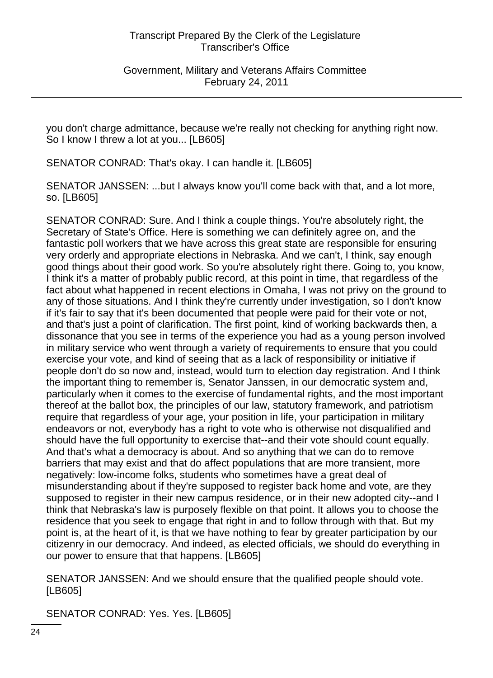Government, Military and Veterans Affairs Committee February 24, 2011

you don't charge admittance, because we're really not checking for anything right now. So I know I threw a lot at you... [LB605]

SENATOR CONRAD: That's okay. I can handle it. [LB605]

SENATOR JANSSEN: ...but I always know you'll come back with that, and a lot more, so. [LB605]

SENATOR CONRAD: Sure. And I think a couple things. You're absolutely right, the Secretary of State's Office. Here is something we can definitely agree on, and the fantastic poll workers that we have across this great state are responsible for ensuring very orderly and appropriate elections in Nebraska. And we can't, I think, say enough good things about their good work. So you're absolutely right there. Going to, you know, I think it's a matter of probably public record, at this point in time, that regardless of the fact about what happened in recent elections in Omaha, I was not privy on the ground to any of those situations. And I think they're currently under investigation, so I don't know if it's fair to say that it's been documented that people were paid for their vote or not, and that's just a point of clarification. The first point, kind of working backwards then, a dissonance that you see in terms of the experience you had as a young person involved in military service who went through a variety of requirements to ensure that you could exercise your vote, and kind of seeing that as a lack of responsibility or initiative if people don't do so now and, instead, would turn to election day registration. And I think the important thing to remember is, Senator Janssen, in our democratic system and, particularly when it comes to the exercise of fundamental rights, and the most important thereof at the ballot box, the principles of our law, statutory framework, and patriotism require that regardless of your age, your position in life, your participation in military endeavors or not, everybody has a right to vote who is otherwise not disqualified and should have the full opportunity to exercise that--and their vote should count equally. And that's what a democracy is about. And so anything that we can do to remove barriers that may exist and that do affect populations that are more transient, more negatively: low-income folks, students who sometimes have a great deal of misunderstanding about if they're supposed to register back home and vote, are they supposed to register in their new campus residence, or in their new adopted city--and I think that Nebraska's law is purposely flexible on that point. It allows you to choose the residence that you seek to engage that right in and to follow through with that. But my point is, at the heart of it, is that we have nothing to fear by greater participation by our citizenry in our democracy. And indeed, as elected officials, we should do everything in our power to ensure that that happens. [LB605]

SENATOR JANSSEN: And we should ensure that the qualified people should vote. [LB605]

SENATOR CONRAD: Yes. Yes. [LB605]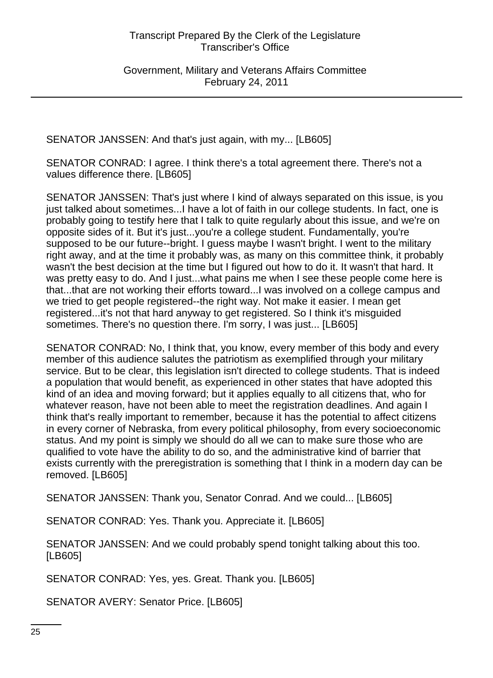Government, Military and Veterans Affairs Committee February 24, 2011

SENATOR JANSSEN: And that's just again, with my... [LB605]

SENATOR CONRAD: I agree. I think there's a total agreement there. There's not a values difference there. [LB605]

SENATOR JANSSEN: That's just where I kind of always separated on this issue, is you just talked about sometimes...I have a lot of faith in our college students. In fact, one is probably going to testify here that I talk to quite regularly about this issue, and we're on opposite sides of it. But it's just...you're a college student. Fundamentally, you're supposed to be our future--bright. I guess maybe I wasn't bright. I went to the military right away, and at the time it probably was, as many on this committee think, it probably wasn't the best decision at the time but I figured out how to do it. It wasn't that hard. It was pretty easy to do. And I just...what pains me when I see these people come here is that...that are not working their efforts toward...I was involved on a college campus and we tried to get people registered--the right way. Not make it easier. I mean get registered...it's not that hard anyway to get registered. So I think it's misguided sometimes. There's no question there. I'm sorry, I was just... [LB605]

SENATOR CONRAD: No, I think that, you know, every member of this body and every member of this audience salutes the patriotism as exemplified through your military service. But to be clear, this legislation isn't directed to college students. That is indeed a population that would benefit, as experienced in other states that have adopted this kind of an idea and moving forward; but it applies equally to all citizens that, who for whatever reason, have not been able to meet the registration deadlines. And again I think that's really important to remember, because it has the potential to affect citizens in every corner of Nebraska, from every political philosophy, from every socioeconomic status. And my point is simply we should do all we can to make sure those who are qualified to vote have the ability to do so, and the administrative kind of barrier that exists currently with the preregistration is something that I think in a modern day can be removed. [LB605]

SENATOR JANSSEN: Thank you, Senator Conrad. And we could... [LB605]

SENATOR CONRAD: Yes. Thank you. Appreciate it. [LB605]

SENATOR JANSSEN: And we could probably spend tonight talking about this too. [LB605]

SENATOR CONRAD: Yes, yes. Great. Thank you. [LB605]

SENATOR AVERY: Senator Price. [LB605]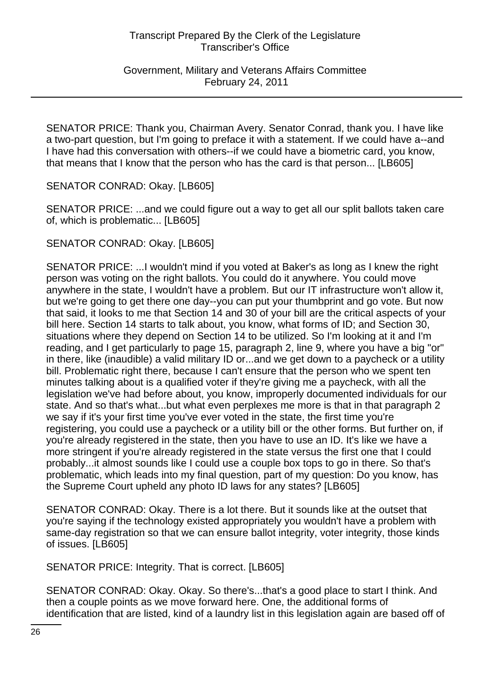Government, Military and Veterans Affairs Committee February 24, 2011

SENATOR PRICE: Thank you, Chairman Avery. Senator Conrad, thank you. I have like a two-part question, but I'm going to preface it with a statement. If we could have a--and I have had this conversation with others--if we could have a biometric card, you know, that means that I know that the person who has the card is that person... [LB605]

SENATOR CONRAD: Okay. [LB605]

SENATOR PRICE: ...and we could figure out a way to get all our split ballots taken care of, which is problematic... [LB605]

SENATOR CONRAD: Okay. [LB605]

SENATOR PRICE: ...I wouldn't mind if you voted at Baker's as long as I knew the right person was voting on the right ballots. You could do it anywhere. You could move anywhere in the state, I wouldn't have a problem. But our IT infrastructure won't allow it, but we're going to get there one day--you can put your thumbprint and go vote. But now that said, it looks to me that Section 14 and 30 of your bill are the critical aspects of your bill here. Section 14 starts to talk about, you know, what forms of ID; and Section 30, situations where they depend on Section 14 to be utilized. So I'm looking at it and I'm reading, and I get particularly to page 15, paragraph 2, line 9, where you have a big "or" in there, like (inaudible) a valid military ID or...and we get down to a paycheck or a utility bill. Problematic right there, because I can't ensure that the person who we spent ten minutes talking about is a qualified voter if they're giving me a paycheck, with all the legislation we've had before about, you know, improperly documented individuals for our state. And so that's what...but what even perplexes me more is that in that paragraph 2 we say if it's your first time you've ever voted in the state, the first time you're registering, you could use a paycheck or a utility bill or the other forms. But further on, if you're already registered in the state, then you have to use an ID. It's like we have a more stringent if you're already registered in the state versus the first one that I could probably...it almost sounds like I could use a couple box tops to go in there. So that's problematic, which leads into my final question, part of my question: Do you know, has the Supreme Court upheld any photo ID laws for any states? [LB605]

SENATOR CONRAD: Okay. There is a lot there. But it sounds like at the outset that you're saying if the technology existed appropriately you wouldn't have a problem with same-day registration so that we can ensure ballot integrity, voter integrity, those kinds of issues. [LB605]

SENATOR PRICE: Integrity. That is correct. [LB605]

SENATOR CONRAD: Okay. Okay. So there's...that's a good place to start I think. And then a couple points as we move forward here. One, the additional forms of identification that are listed, kind of a laundry list in this legislation again are based off of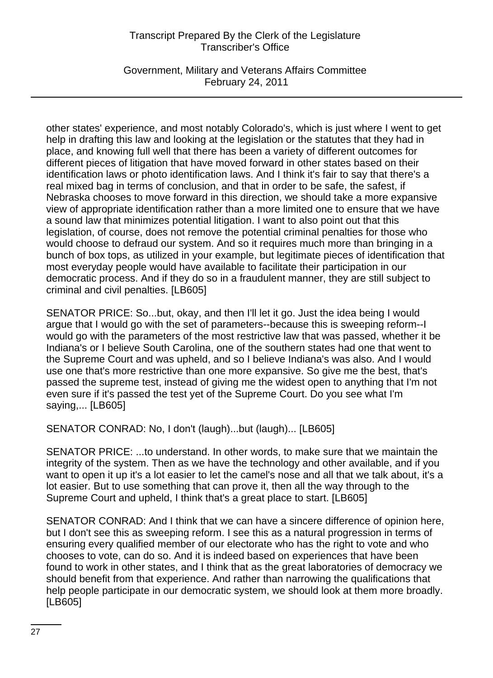Government, Military and Veterans Affairs Committee February 24, 2011

other states' experience, and most notably Colorado's, which is just where I went to get help in drafting this law and looking at the legislation or the statutes that they had in place, and knowing full well that there has been a variety of different outcomes for different pieces of litigation that have moved forward in other states based on their identification laws or photo identification laws. And I think it's fair to say that there's a real mixed bag in terms of conclusion, and that in order to be safe, the safest, if Nebraska chooses to move forward in this direction, we should take a more expansive view of appropriate identification rather than a more limited one to ensure that we have a sound law that minimizes potential litigation. I want to also point out that this legislation, of course, does not remove the potential criminal penalties for those who would choose to defraud our system. And so it requires much more than bringing in a bunch of box tops, as utilized in your example, but legitimate pieces of identification that most everyday people would have available to facilitate their participation in our democratic process. And if they do so in a fraudulent manner, they are still subject to criminal and civil penalties. [LB605]

SENATOR PRICE: So...but, okay, and then I'll let it go. Just the idea being I would argue that I would go with the set of parameters--because this is sweeping reform--I would go with the parameters of the most restrictive law that was passed, whether it be Indiana's or I believe South Carolina, one of the southern states had one that went to the Supreme Court and was upheld, and so I believe Indiana's was also. And I would use one that's more restrictive than one more expansive. So give me the best, that's passed the supreme test, instead of giving me the widest open to anything that I'm not even sure if it's passed the test yet of the Supreme Court. Do you see what I'm saying,... [LB605]

SENATOR CONRAD: No, I don't (laugh)...but (laugh)... [LB605]

SENATOR PRICE: ...to understand. In other words, to make sure that we maintain the integrity of the system. Then as we have the technology and other available, and if you want to open it up it's a lot easier to let the camel's nose and all that we talk about, it's a lot easier. But to use something that can prove it, then all the way through to the Supreme Court and upheld, I think that's a great place to start. [LB605]

SENATOR CONRAD: And I think that we can have a sincere difference of opinion here, but I don't see this as sweeping reform. I see this as a natural progression in terms of ensuring every qualified member of our electorate who has the right to vote and who chooses to vote, can do so. And it is indeed based on experiences that have been found to work in other states, and I think that as the great laboratories of democracy we should benefit from that experience. And rather than narrowing the qualifications that help people participate in our democratic system, we should look at them more broadly. [LB605]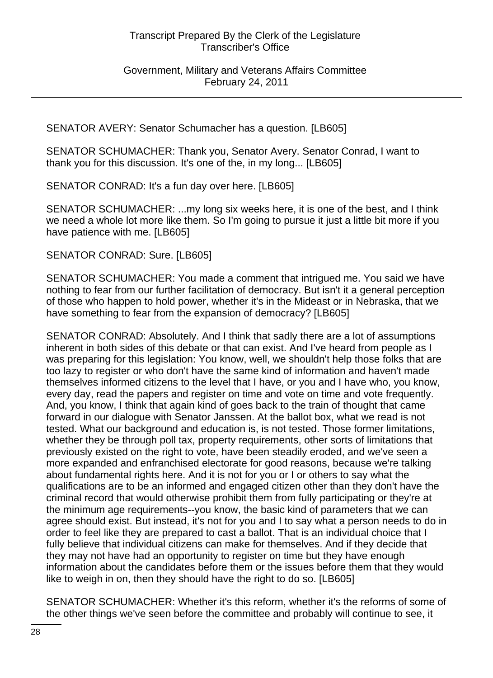Government, Military and Veterans Affairs Committee February 24, 2011

SENATOR AVERY: Senator Schumacher has a question. [LB605]

SENATOR SCHUMACHER: Thank you, Senator Avery. Senator Conrad, I want to thank you for this discussion. It's one of the, in my long... [LB605]

SENATOR CONRAD: It's a fun day over here. [LB605]

SENATOR SCHUMACHER: ...my long six weeks here, it is one of the best, and I think we need a whole lot more like them. So I'm going to pursue it just a little bit more if you have patience with me. [LB605]

SENATOR CONRAD: Sure. [LB605]

SENATOR SCHUMACHER: You made a comment that intrigued me. You said we have nothing to fear from our further facilitation of democracy. But isn't it a general perception of those who happen to hold power, whether it's in the Mideast or in Nebraska, that we have something to fear from the expansion of democracy? [LB605]

SENATOR CONRAD: Absolutely. And I think that sadly there are a lot of assumptions inherent in both sides of this debate or that can exist. And I've heard from people as I was preparing for this legislation: You know, well, we shouldn't help those folks that are too lazy to register or who don't have the same kind of information and haven't made themselves informed citizens to the level that I have, or you and I have who, you know, every day, read the papers and register on time and vote on time and vote frequently. And, you know, I think that again kind of goes back to the train of thought that came forward in our dialogue with Senator Janssen. At the ballot box, what we read is not tested. What our background and education is, is not tested. Those former limitations, whether they be through poll tax, property requirements, other sorts of limitations that previously existed on the right to vote, have been steadily eroded, and we've seen a more expanded and enfranchised electorate for good reasons, because we're talking about fundamental rights here. And it is not for you or I or others to say what the qualifications are to be an informed and engaged citizen other than they don't have the criminal record that would otherwise prohibit them from fully participating or they're at the minimum age requirements--you know, the basic kind of parameters that we can agree should exist. But instead, it's not for you and I to say what a person needs to do in order to feel like they are prepared to cast a ballot. That is an individual choice that I fully believe that individual citizens can make for themselves. And if they decide that they may not have had an opportunity to register on time but they have enough information about the candidates before them or the issues before them that they would like to weigh in on, then they should have the right to do so. [LB605]

SENATOR SCHUMACHER: Whether it's this reform, whether it's the reforms of some of the other things we've seen before the committee and probably will continue to see, it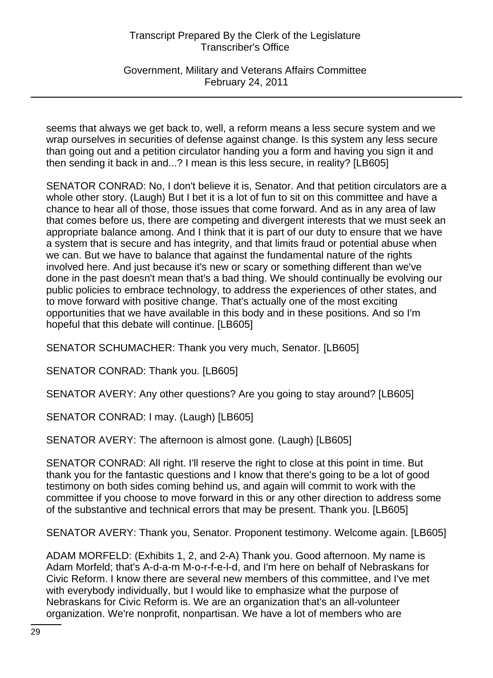Government, Military and Veterans Affairs Committee February 24, 2011

seems that always we get back to, well, a reform means a less secure system and we wrap ourselves in securities of defense against change. Is this system any less secure than going out and a petition circulator handing you a form and having you sign it and then sending it back in and...? I mean is this less secure, in reality? [LB605]

SENATOR CONRAD: No, I don't believe it is, Senator. And that petition circulators are a whole other story. (Laugh) But I bet it is a lot of fun to sit on this committee and have a chance to hear all of those, those issues that come forward. And as in any area of law that comes before us, there are competing and divergent interests that we must seek an appropriate balance among. And I think that it is part of our duty to ensure that we have a system that is secure and has integrity, and that limits fraud or potential abuse when we can. But we have to balance that against the fundamental nature of the rights involved here. And just because it's new or scary or something different than we've done in the past doesn't mean that's a bad thing. We should continually be evolving our public policies to embrace technology, to address the experiences of other states, and to move forward with positive change. That's actually one of the most exciting opportunities that we have available in this body and in these positions. And so I'm hopeful that this debate will continue. [LB605]

SENATOR SCHUMACHER: Thank you very much, Senator. [LB605]

SENATOR CONRAD: Thank you. [LB605]

SENATOR AVERY: Any other questions? Are you going to stay around? [LB605]

SENATOR CONRAD: I may. (Laugh) [LB605]

SENATOR AVERY: The afternoon is almost gone. (Laugh) [LB605]

SENATOR CONRAD: All right. I'll reserve the right to close at this point in time. But thank you for the fantastic questions and I know that there's going to be a lot of good testimony on both sides coming behind us, and again will commit to work with the committee if you choose to move forward in this or any other direction to address some of the substantive and technical errors that may be present. Thank you. [LB605]

SENATOR AVERY: Thank you, Senator. Proponent testimony. Welcome again. [LB605]

ADAM MORFELD: (Exhibits 1, 2, and 2-A) Thank you. Good afternoon. My name is Adam Morfeld; that's A-d-a-m M-o-r-f-e-l-d, and I'm here on behalf of Nebraskans for Civic Reform. I know there are several new members of this committee, and I've met with everybody individually, but I would like to emphasize what the purpose of Nebraskans for Civic Reform is. We are an organization that's an all-volunteer organization. We're nonprofit, nonpartisan. We have a lot of members who are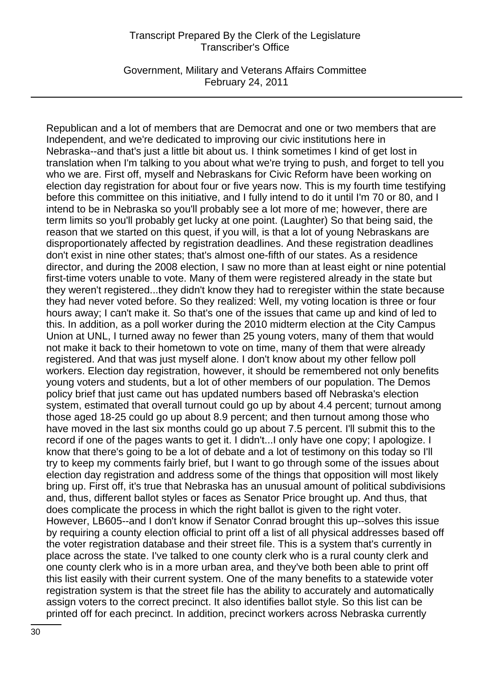Government, Military and Veterans Affairs Committee February 24, 2011

Republican and a lot of members that are Democrat and one or two members that are Independent, and we're dedicated to improving our civic institutions here in Nebraska--and that's just a little bit about us. I think sometimes I kind of get lost in translation when I'm talking to you about what we're trying to push, and forget to tell you who we are. First off, myself and Nebraskans for Civic Reform have been working on election day registration for about four or five years now. This is my fourth time testifying before this committee on this initiative, and I fully intend to do it until I'm 70 or 80, and I intend to be in Nebraska so you'll probably see a lot more of me; however, there are term limits so you'll probably get lucky at one point. (Laughter) So that being said, the reason that we started on this quest, if you will, is that a lot of young Nebraskans are disproportionately affected by registration deadlines. And these registration deadlines don't exist in nine other states; that's almost one-fifth of our states. As a residence director, and during the 2008 election, I saw no more than at least eight or nine potential first-time voters unable to vote. Many of them were registered already in the state but they weren't registered...they didn't know they had to reregister within the state because they had never voted before. So they realized: Well, my voting location is three or four hours away; I can't make it. So that's one of the issues that came up and kind of led to this. In addition, as a poll worker during the 2010 midterm election at the City Campus Union at UNL, I turned away no fewer than 25 young voters, many of them that would not make it back to their hometown to vote on time, many of them that were already registered. And that was just myself alone. I don't know about my other fellow poll workers. Election day registration, however, it should be remembered not only benefits young voters and students, but a lot of other members of our population. The Demos policy brief that just came out has updated numbers based off Nebraska's election system, estimated that overall turnout could go up by about 4.4 percent; turnout among those aged 18-25 could go up about 8.9 percent; and then turnout among those who have moved in the last six months could go up about 7.5 percent. I'll submit this to the record if one of the pages wants to get it. I didn't...I only have one copy; I apologize. I know that there's going to be a lot of debate and a lot of testimony on this today so I'll try to keep my comments fairly brief, but I want to go through some of the issues about election day registration and address some of the things that opposition will most likely bring up. First off, it's true that Nebraska has an unusual amount of political subdivisions and, thus, different ballot styles or faces as Senator Price brought up. And thus, that does complicate the process in which the right ballot is given to the right voter. However, LB605--and I don't know if Senator Conrad brought this up--solves this issue by requiring a county election official to print off a list of all physical addresses based off the voter registration database and their street file. This is a system that's currently in place across the state. I've talked to one county clerk who is a rural county clerk and one county clerk who is in a more urban area, and they've both been able to print off this list easily with their current system. One of the many benefits to a statewide voter registration system is that the street file has the ability to accurately and automatically assign voters to the correct precinct. It also identifies ballot style. So this list can be printed off for each precinct. In addition, precinct workers across Nebraska currently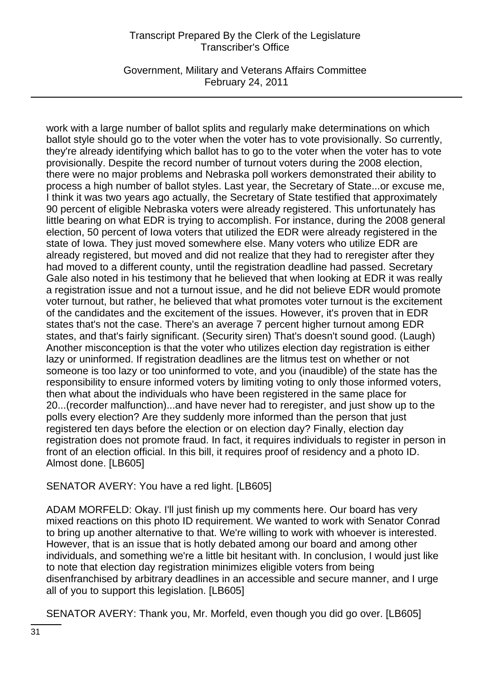Government, Military and Veterans Affairs Committee February 24, 2011

work with a large number of ballot splits and regularly make determinations on which ballot style should go to the voter when the voter has to vote provisionally. So currently, they're already identifying which ballot has to go to the voter when the voter has to vote provisionally. Despite the record number of turnout voters during the 2008 election, there were no major problems and Nebraska poll workers demonstrated their ability to process a high number of ballot styles. Last year, the Secretary of State...or excuse me, I think it was two years ago actually, the Secretary of State testified that approximately 90 percent of eligible Nebraska voters were already registered. This unfortunately has little bearing on what EDR is trying to accomplish. For instance, during the 2008 general election, 50 percent of Iowa voters that utilized the EDR were already registered in the state of Iowa. They just moved somewhere else. Many voters who utilize EDR are already registered, but moved and did not realize that they had to reregister after they had moved to a different county, until the registration deadline had passed. Secretary Gale also noted in his testimony that he believed that when looking at EDR it was really a registration issue and not a turnout issue, and he did not believe EDR would promote voter turnout, but rather, he believed that what promotes voter turnout is the excitement of the candidates and the excitement of the issues. However, it's proven that in EDR states that's not the case. There's an average 7 percent higher turnout among EDR states, and that's fairly significant. (Security siren) That's doesn't sound good. (Laugh) Another misconception is that the voter who utilizes election day registration is either lazy or uninformed. If registration deadlines are the litmus test on whether or not someone is too lazy or too uninformed to vote, and you (inaudible) of the state has the responsibility to ensure informed voters by limiting voting to only those informed voters, then what about the individuals who have been registered in the same place for 20...(recorder malfunction)...and have never had to reregister, and just show up to the polls every election? Are they suddenly more informed than the person that just registered ten days before the election or on election day? Finally, election day registration does not promote fraud. In fact, it requires individuals to register in person in front of an election official. In this bill, it requires proof of residency and a photo ID. Almost done. [LB605]

SENATOR AVERY: You have a red light. [LB605]

ADAM MORFELD: Okay. I'll just finish up my comments here. Our board has very mixed reactions on this photo ID requirement. We wanted to work with Senator Conrad to bring up another alternative to that. We're willing to work with whoever is interested. However, that is an issue that is hotly debated among our board and among other individuals, and something we're a little bit hesitant with. In conclusion, I would just like to note that election day registration minimizes eligible voters from being disenfranchised by arbitrary deadlines in an accessible and secure manner, and I urge all of you to support this legislation. [LB605]

SENATOR AVERY: Thank you, Mr. Morfeld, even though you did go over. [LB605]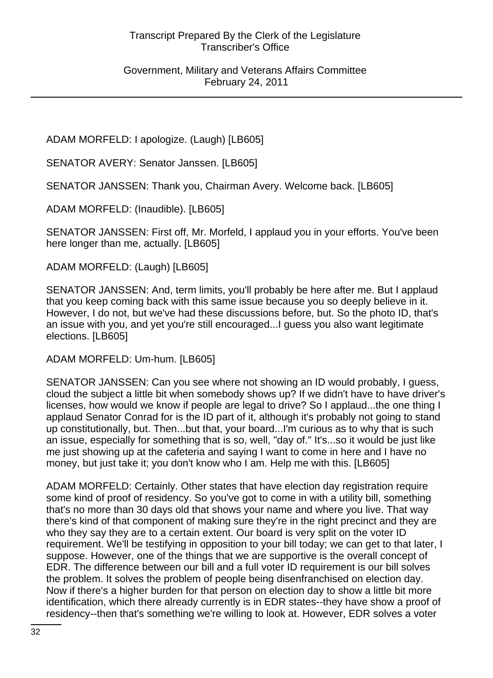Government, Military and Veterans Affairs Committee February 24, 2011

ADAM MORFELD: I apologize. (Laugh) [LB605]

SENATOR AVERY: Senator Janssen. [LB605]

SENATOR JANSSEN: Thank you, Chairman Avery. Welcome back. [LB605]

ADAM MORFELD: (Inaudible). [LB605]

SENATOR JANSSEN: First off, Mr. Morfeld, I applaud you in your efforts. You've been here longer than me, actually. [LB605]

ADAM MORFELD: (Laugh) [LB605]

SENATOR JANSSEN: And, term limits, you'll probably be here after me. But I applaud that you keep coming back with this same issue because you so deeply believe in it. However, I do not, but we've had these discussions before, but. So the photo ID, that's an issue with you, and yet you're still encouraged...I guess you also want legitimate elections. [LB605]

ADAM MORFELD: Um-hum. [LB605]

SENATOR JANSSEN: Can you see where not showing an ID would probably, I guess, cloud the subject a little bit when somebody shows up? If we didn't have to have driver's licenses, how would we know if people are legal to drive? So I applaud...the one thing I applaud Senator Conrad for is the ID part of it, although it's probably not going to stand up constitutionally, but. Then...but that, your board...I'm curious as to why that is such an issue, especially for something that is so, well, "day of." It's...so it would be just like me just showing up at the cafeteria and saying I want to come in here and I have no money, but just take it; you don't know who I am. Help me with this. [LB605]

ADAM MORFELD: Certainly. Other states that have election day registration require some kind of proof of residency. So you've got to come in with a utility bill, something that's no more than 30 days old that shows your name and where you live. That way there's kind of that component of making sure they're in the right precinct and they are who they say they are to a certain extent. Our board is very split on the voter ID requirement. We'll be testifying in opposition to your bill today; we can get to that later, I suppose. However, one of the things that we are supportive is the overall concept of EDR. The difference between our bill and a full voter ID requirement is our bill solves the problem. It solves the problem of people being disenfranchised on election day. Now if there's a higher burden for that person on election day to show a little bit more identification, which there already currently is in EDR states--they have show a proof of residency--then that's something we're willing to look at. However, EDR solves a voter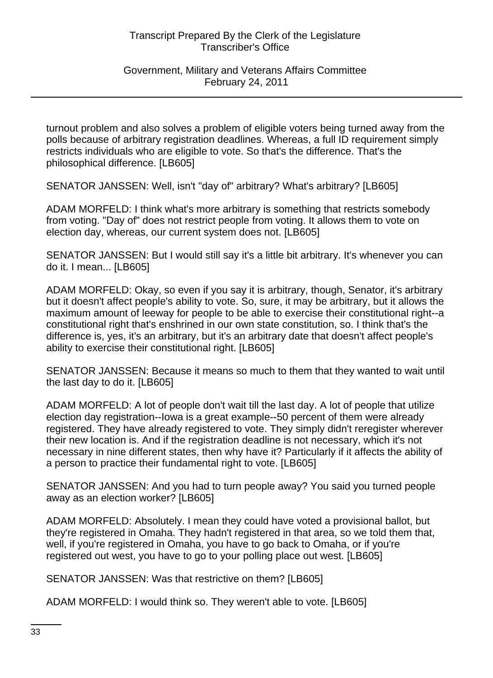#### Government, Military and Veterans Affairs Committee February 24, 2011

turnout problem and also solves a problem of eligible voters being turned away from the polls because of arbitrary registration deadlines. Whereas, a full ID requirement simply restricts individuals who are eligible to vote. So that's the difference. That's the philosophical difference. [LB605]

SENATOR JANSSEN: Well, isn't "day of" arbitrary? What's arbitrary? [LB605]

ADAM MORFELD: I think what's more arbitrary is something that restricts somebody from voting. "Day of" does not restrict people from voting. It allows them to vote on election day, whereas, our current system does not. [LB605]

SENATOR JANSSEN: But I would still say it's a little bit arbitrary. It's whenever you can do it. I mean... [LB605]

ADAM MORFELD: Okay, so even if you say it is arbitrary, though, Senator, it's arbitrary but it doesn't affect people's ability to vote. So, sure, it may be arbitrary, but it allows the maximum amount of leeway for people to be able to exercise their constitutional right--a constitutional right that's enshrined in our own state constitution, so. I think that's the difference is, yes, it's an arbitrary, but it's an arbitrary date that doesn't affect people's ability to exercise their constitutional right. [LB605]

SENATOR JANSSEN: Because it means so much to them that they wanted to wait until the last day to do it. [LB605]

ADAM MORFELD: A lot of people don't wait till the last day. A lot of people that utilize election day registration--Iowa is a great example--50 percent of them were already registered. They have already registered to vote. They simply didn't reregister wherever their new location is. And if the registration deadline is not necessary, which it's not necessary in nine different states, then why have it? Particularly if it affects the ability of a person to practice their fundamental right to vote. [LB605]

SENATOR JANSSEN: And you had to turn people away? You said you turned people away as an election worker? [LB605]

ADAM MORFELD: Absolutely. I mean they could have voted a provisional ballot, but they're registered in Omaha. They hadn't registered in that area, so we told them that, well, if you're registered in Omaha, you have to go back to Omaha, or if you're registered out west, you have to go to your polling place out west. [LB605]

SENATOR JANSSEN: Was that restrictive on them? [LB605]

ADAM MORFELD: I would think so. They weren't able to vote. [LB605]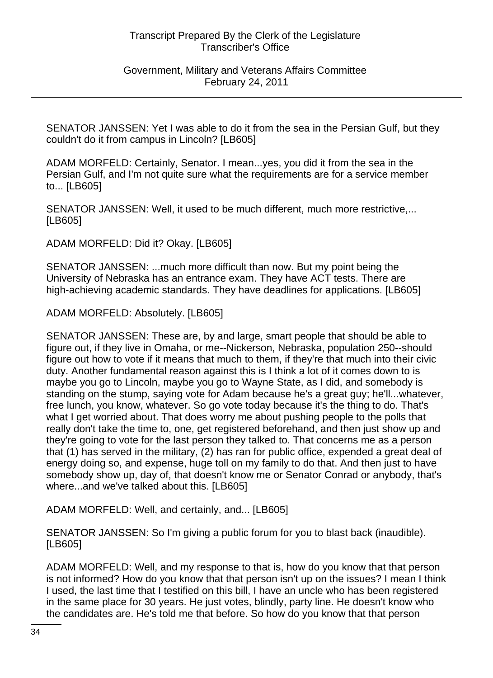Government, Military and Veterans Affairs Committee February 24, 2011

SENATOR JANSSEN: Yet I was able to do it from the sea in the Persian Gulf, but they couldn't do it from campus in Lincoln? [LB605]

ADAM MORFELD: Certainly, Senator. I mean...yes, you did it from the sea in the Persian Gulf, and I'm not quite sure what the requirements are for a service member to... [LB605]

SENATOR JANSSEN: Well, it used to be much different, much more restrictive,... [LB605]

ADAM MORFELD: Did it? Okay. [LB605]

SENATOR JANSSEN: ...much more difficult than now. But my point being the University of Nebraska has an entrance exam. They have ACT tests. There are high-achieving academic standards. They have deadlines for applications. [LB605]

ADAM MORFELD: Absolutely. [LB605]

SENATOR JANSSEN: These are, by and large, smart people that should be able to figure out, if they live in Omaha, or me--Nickerson, Nebraska, population 250--should figure out how to vote if it means that much to them, if they're that much into their civic duty. Another fundamental reason against this is I think a lot of it comes down to is maybe you go to Lincoln, maybe you go to Wayne State, as I did, and somebody is standing on the stump, saying vote for Adam because he's a great guy; he'll...whatever, free lunch, you know, whatever. So go vote today because it's the thing to do. That's what I get worried about. That does worry me about pushing people to the polls that really don't take the time to, one, get registered beforehand, and then just show up and they're going to vote for the last person they talked to. That concerns me as a person that (1) has served in the military, (2) has ran for public office, expended a great deal of energy doing so, and expense, huge toll on my family to do that. And then just to have somebody show up, day of, that doesn't know me or Senator Conrad or anybody, that's where...and we've talked about this. [LB605]

ADAM MORFELD: Well, and certainly, and... [LB605]

SENATOR JANSSEN: So I'm giving a public forum for you to blast back (inaudible). [LB605]

ADAM MORFELD: Well, and my response to that is, how do you know that that person is not informed? How do you know that that person isn't up on the issues? I mean I think I used, the last time that I testified on this bill, I have an uncle who has been registered in the same place for 30 years. He just votes, blindly, party line. He doesn't know who the candidates are. He's told me that before. So how do you know that that person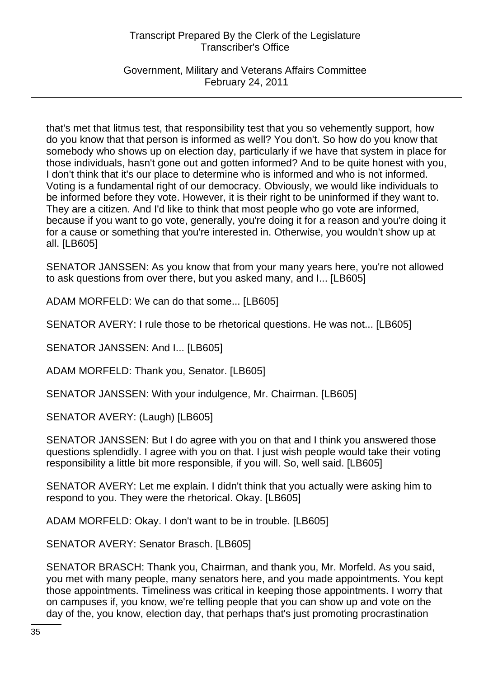Government, Military and Veterans Affairs Committee February 24, 2011

that's met that litmus test, that responsibility test that you so vehemently support, how do you know that that person is informed as well? You don't. So how do you know that somebody who shows up on election day, particularly if we have that system in place for those individuals, hasn't gone out and gotten informed? And to be quite honest with you, I don't think that it's our place to determine who is informed and who is not informed. Voting is a fundamental right of our democracy. Obviously, we would like individuals to be informed before they vote. However, it is their right to be uninformed if they want to. They are a citizen. And I'd like to think that most people who go vote are informed, because if you want to go vote, generally, you're doing it for a reason and you're doing it for a cause or something that you're interested in. Otherwise, you wouldn't show up at all. [LB605]

SENATOR JANSSEN: As you know that from your many years here, you're not allowed to ask questions from over there, but you asked many, and I... [LB605]

ADAM MORFELD: We can do that some... [LB605]

SENATOR AVERY: I rule those to be rhetorical questions. He was not... [LB605]

SENATOR JANSSEN: And I... [LB605]

ADAM MORFELD: Thank you, Senator. [LB605]

SENATOR JANSSEN: With your indulgence, Mr. Chairman. [LB605]

SENATOR AVERY: (Laugh) [LB605]

SENATOR JANSSEN: But I do agree with you on that and I think you answered those questions splendidly. I agree with you on that. I just wish people would take their voting responsibility a little bit more responsible, if you will. So, well said. [LB605]

SENATOR AVERY: Let me explain. I didn't think that you actually were asking him to respond to you. They were the rhetorical. Okay. [LB605]

ADAM MORFELD: Okay. I don't want to be in trouble. [LB605]

SENATOR AVERY: Senator Brasch. [LB605]

SENATOR BRASCH: Thank you, Chairman, and thank you, Mr. Morfeld. As you said, you met with many people, many senators here, and you made appointments. You kept those appointments. Timeliness was critical in keeping those appointments. I worry that on campuses if, you know, we're telling people that you can show up and vote on the day of the, you know, election day, that perhaps that's just promoting procrastination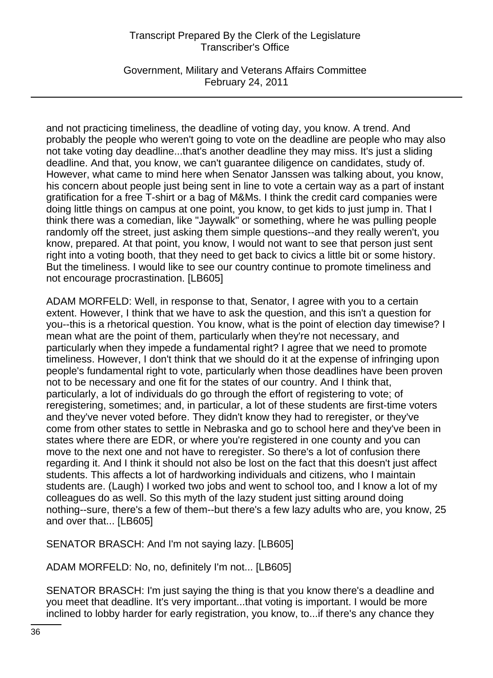Government, Military and Veterans Affairs Committee February 24, 2011

and not practicing timeliness, the deadline of voting day, you know. A trend. And probably the people who weren't going to vote on the deadline are people who may also not take voting day deadline...that's another deadline they may miss. It's just a sliding deadline. And that, you know, we can't guarantee diligence on candidates, study of. However, what came to mind here when Senator Janssen was talking about, you know, his concern about people just being sent in line to vote a certain way as a part of instant gratification for a free T-shirt or a bag of M&Ms. I think the credit card companies were doing little things on campus at one point, you know, to get kids to just jump in. That I think there was a comedian, like "Jaywalk" or something, where he was pulling people randomly off the street, just asking them simple questions--and they really weren't, you know, prepared. At that point, you know, I would not want to see that person just sent right into a voting booth, that they need to get back to civics a little bit or some history. But the timeliness. I would like to see our country continue to promote timeliness and not encourage procrastination. [LB605]

ADAM MORFELD: Well, in response to that, Senator, I agree with you to a certain extent. However, I think that we have to ask the question, and this isn't a question for you--this is a rhetorical question. You know, what is the point of election day timewise? I mean what are the point of them, particularly when they're not necessary, and particularly when they impede a fundamental right? I agree that we need to promote timeliness. However, I don't think that we should do it at the expense of infringing upon people's fundamental right to vote, particularly when those deadlines have been proven not to be necessary and one fit for the states of our country. And I think that, particularly, a lot of individuals do go through the effort of registering to vote; of reregistering, sometimes; and, in particular, a lot of these students are first-time voters and they've never voted before. They didn't know they had to reregister, or they've come from other states to settle in Nebraska and go to school here and they've been in states where there are EDR, or where you're registered in one county and you can move to the next one and not have to reregister. So there's a lot of confusion there regarding it. And I think it should not also be lost on the fact that this doesn't just affect students. This affects a lot of hardworking individuals and citizens, who I maintain students are. (Laugh) I worked two jobs and went to school too, and I know a lot of my colleagues do as well. So this myth of the lazy student just sitting around doing nothing--sure, there's a few of them--but there's a few lazy adults who are, you know, 25 and over that... [LB605]

SENATOR BRASCH: And I'm not saying lazy. [LB605]

ADAM MORFELD: No, no, definitely I'm not... [LB605]

SENATOR BRASCH: I'm just saying the thing is that you know there's a deadline and you meet that deadline. It's very important...that voting is important. I would be more inclined to lobby harder for early registration, you know, to...if there's any chance they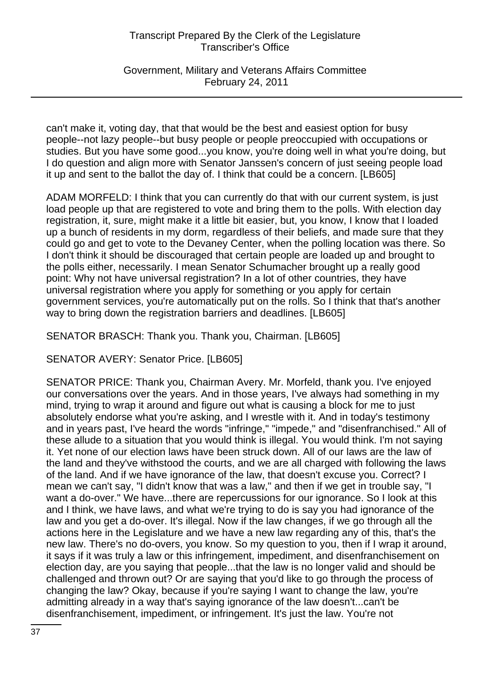Government, Military and Veterans Affairs Committee February 24, 2011

can't make it, voting day, that that would be the best and easiest option for busy people--not lazy people--but busy people or people preoccupied with occupations or studies. But you have some good...you know, you're doing well in what you're doing, but I do question and align more with Senator Janssen's concern of just seeing people load it up and sent to the ballot the day of. I think that could be a concern. [LB605]

ADAM MORFELD: I think that you can currently do that with our current system, is just load people up that are registered to vote and bring them to the polls. With election day registration, it, sure, might make it a little bit easier, but, you know, I know that I loaded up a bunch of residents in my dorm, regardless of their beliefs, and made sure that they could go and get to vote to the Devaney Center, when the polling location was there. So I don't think it should be discouraged that certain people are loaded up and brought to the polls either, necessarily. I mean Senator Schumacher brought up a really good point: Why not have universal registration? In a lot of other countries, they have universal registration where you apply for something or you apply for certain government services, you're automatically put on the rolls. So I think that that's another way to bring down the registration barriers and deadlines. [LB605]

SENATOR BRASCH: Thank you. Thank you, Chairman. [LB605]

SENATOR AVERY: Senator Price. [LB605]

SENATOR PRICE: Thank you, Chairman Avery. Mr. Morfeld, thank you. I've enjoyed our conversations over the years. And in those years, I've always had something in my mind, trying to wrap it around and figure out what is causing a block for me to just absolutely endorse what you're asking, and I wrestle with it. And in today's testimony and in years past, I've heard the words "infringe," "impede," and "disenfranchised." All of these allude to a situation that you would think is illegal. You would think. I'm not saying it. Yet none of our election laws have been struck down. All of our laws are the law of the land and they've withstood the courts, and we are all charged with following the laws of the land. And if we have ignorance of the law, that doesn't excuse you. Correct? I mean we can't say, "I didn't know that was a law," and then if we get in trouble say, "I want a do-over." We have...there are repercussions for our ignorance. So I look at this and I think, we have laws, and what we're trying to do is say you had ignorance of the law and you get a do-over. It's illegal. Now if the law changes, if we go through all the actions here in the Legislature and we have a new law regarding any of this, that's the new law. There's no do-overs, you know. So my question to you, then if I wrap it around, it says if it was truly a law or this infringement, impediment, and disenfranchisement on election day, are you saying that people...that the law is no longer valid and should be challenged and thrown out? Or are saying that you'd like to go through the process of changing the law? Okay, because if you're saying I want to change the law, you're admitting already in a way that's saying ignorance of the law doesn't...can't be disenfranchisement, impediment, or infringement. It's just the law. You're not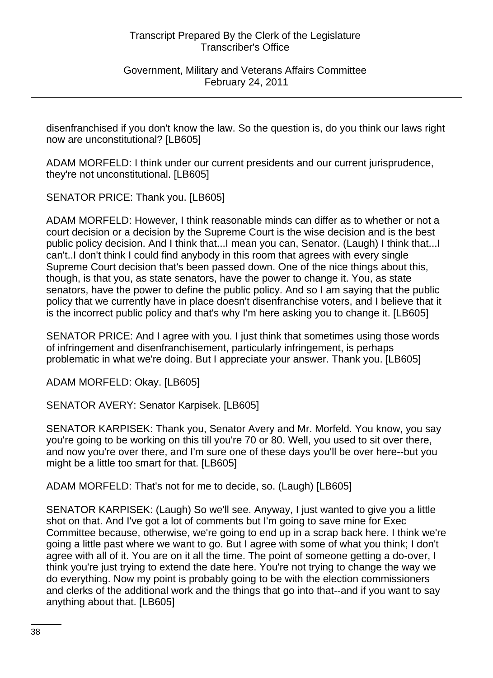Government, Military and Veterans Affairs Committee February 24, 2011

disenfranchised if you don't know the law. So the question is, do you think our laws right now are unconstitutional? [LB605]

ADAM MORFELD: I think under our current presidents and our current jurisprudence, they're not unconstitutional. [LB605]

SENATOR PRICE: Thank you. [LB605]

ADAM MORFELD: However, I think reasonable minds can differ as to whether or not a court decision or a decision by the Supreme Court is the wise decision and is the best public policy decision. And I think that...I mean you can, Senator. (Laugh) I think that...I can't..I don't think I could find anybody in this room that agrees with every single Supreme Court decision that's been passed down. One of the nice things about this, though, is that you, as state senators, have the power to change it. You, as state senators, have the power to define the public policy. And so I am saying that the public policy that we currently have in place doesn't disenfranchise voters, and I believe that it is the incorrect public policy and that's why I'm here asking you to change it. [LB605]

SENATOR PRICE: And I agree with you. I just think that sometimes using those words of infringement and disenfranchisement, particularly infringement, is perhaps problematic in what we're doing. But I appreciate your answer. Thank you. [LB605]

ADAM MORFELD: Okay. [LB605]

SENATOR AVERY: Senator Karpisek. [LB605]

SENATOR KARPISEK: Thank you, Senator Avery and Mr. Morfeld. You know, you say you're going to be working on this till you're 70 or 80. Well, you used to sit over there, and now you're over there, and I'm sure one of these days you'll be over here--but you might be a little too smart for that. [LB605]

ADAM MORFELD: That's not for me to decide, so. (Laugh) [LB605]

SENATOR KARPISEK: (Laugh) So we'll see. Anyway, I just wanted to give you a little shot on that. And I've got a lot of comments but I'm going to save mine for Exec Committee because, otherwise, we're going to end up in a scrap back here. I think we're going a little past where we want to go. But I agree with some of what you think; I don't agree with all of it. You are on it all the time. The point of someone getting a do-over, I think you're just trying to extend the date here. You're not trying to change the way we do everything. Now my point is probably going to be with the election commissioners and clerks of the additional work and the things that go into that--and if you want to say anything about that. [LB605]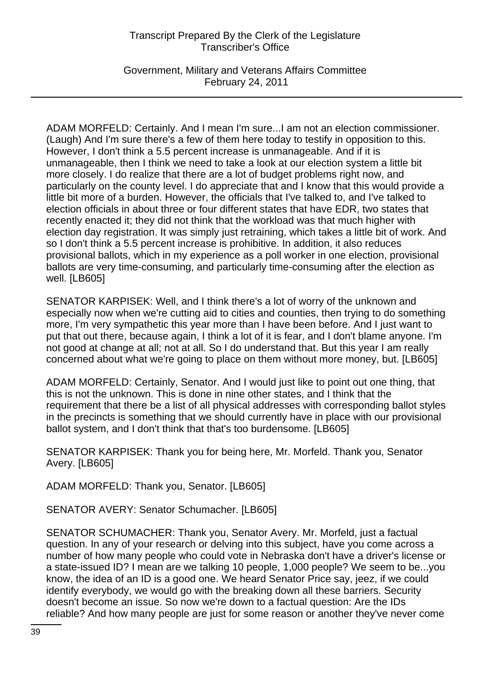Government, Military and Veterans Affairs Committee February 24, 2011

ADAM MORFELD: Certainly. And I mean I'm sure...I am not an election commissioner. (Laugh) And I'm sure there's a few of them here today to testify in opposition to this. However, I don't think a 5.5 percent increase is unmanageable. And if it is unmanageable, then I think we need to take a look at our election system a little bit more closely. I do realize that there are a lot of budget problems right now, and particularly on the county level. I do appreciate that and I know that this would provide a little bit more of a burden. However, the officials that I've talked to, and I've talked to election officials in about three or four different states that have EDR, two states that recently enacted it; they did not think that the workload was that much higher with election day registration. It was simply just retraining, which takes a little bit of work. And so I don't think a 5.5 percent increase is prohibitive. In addition, it also reduces provisional ballots, which in my experience as a poll worker in one election, provisional ballots are very time-consuming, and particularly time-consuming after the election as well. [LB605]

SENATOR KARPISEK: Well, and I think there's a lot of worry of the unknown and especially now when we're cutting aid to cities and counties, then trying to do something more, I'm very sympathetic this year more than I have been before. And I just want to put that out there, because again, I think a lot of it is fear, and I don't blame anyone. I'm not good at change at all; not at all. So I do understand that. But this year I am really concerned about what we're going to place on them without more money, but. [LB605]

ADAM MORFELD: Certainly, Senator. And I would just like to point out one thing, that this is not the unknown. This is done in nine other states, and I think that the requirement that there be a list of all physical addresses with corresponding ballot styles in the precincts is something that we should currently have in place with our provisional ballot system, and I don't think that that's too burdensome. [LB605]

SENATOR KARPISEK: Thank you for being here, Mr. Morfeld. Thank you, Senator Avery. [LB605]

ADAM MORFELD: Thank you, Senator. [LB605]

SENATOR AVERY: Senator Schumacher. [LB605]

SENATOR SCHUMACHER: Thank you, Senator Avery. Mr. Morfeld, just a factual question. In any of your research or delving into this subject, have you come across a number of how many people who could vote in Nebraska don't have a driver's license or a state-issued ID? I mean are we talking 10 people, 1,000 people? We seem to be...you know, the idea of an ID is a good one. We heard Senator Price say, jeez, if we could identify everybody, we would go with the breaking down all these barriers. Security doesn't become an issue. So now we're down to a factual question: Are the IDs reliable? And how many people are just for some reason or another they've never come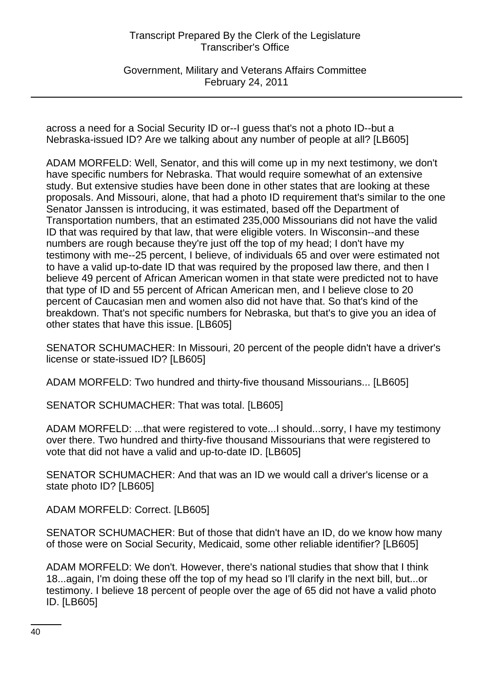Government, Military and Veterans Affairs Committee February 24, 2011

across a need for a Social Security ID or--I guess that's not a photo ID--but a Nebraska-issued ID? Are we talking about any number of people at all? [LB605]

ADAM MORFELD: Well, Senator, and this will come up in my next testimony, we don't have specific numbers for Nebraska. That would require somewhat of an extensive study. But extensive studies have been done in other states that are looking at these proposals. And Missouri, alone, that had a photo ID requirement that's similar to the one Senator Janssen is introducing, it was estimated, based off the Department of Transportation numbers, that an estimated 235,000 Missourians did not have the valid ID that was required by that law, that were eligible voters. In Wisconsin--and these numbers are rough because they're just off the top of my head; I don't have my testimony with me--25 percent, I believe, of individuals 65 and over were estimated not to have a valid up-to-date ID that was required by the proposed law there, and then I believe 49 percent of African American women in that state were predicted not to have that type of ID and 55 percent of African American men, and I believe close to 20 percent of Caucasian men and women also did not have that. So that's kind of the breakdown. That's not specific numbers for Nebraska, but that's to give you an idea of other states that have this issue. [LB605]

SENATOR SCHUMACHER: In Missouri, 20 percent of the people didn't have a driver's license or state-issued ID? [LB605]

ADAM MORFELD: Two hundred and thirty-five thousand Missourians... [LB605]

SENATOR SCHUMACHER: That was total. [LB605]

ADAM MORFELD: ...that were registered to vote...I should...sorry, I have my testimony over there. Two hundred and thirty-five thousand Missourians that were registered to vote that did not have a valid and up-to-date ID. [LB605]

SENATOR SCHUMACHER: And that was an ID we would call a driver's license or a state photo ID? [LB605]

ADAM MORFELD: Correct. [LB605]

SENATOR SCHUMACHER: But of those that didn't have an ID, do we know how many of those were on Social Security, Medicaid, some other reliable identifier? [LB605]

ADAM MORFELD: We don't. However, there's national studies that show that I think 18...again, I'm doing these off the top of my head so I'll clarify in the next bill, but...or testimony. I believe 18 percent of people over the age of 65 did not have a valid photo ID. [LB605]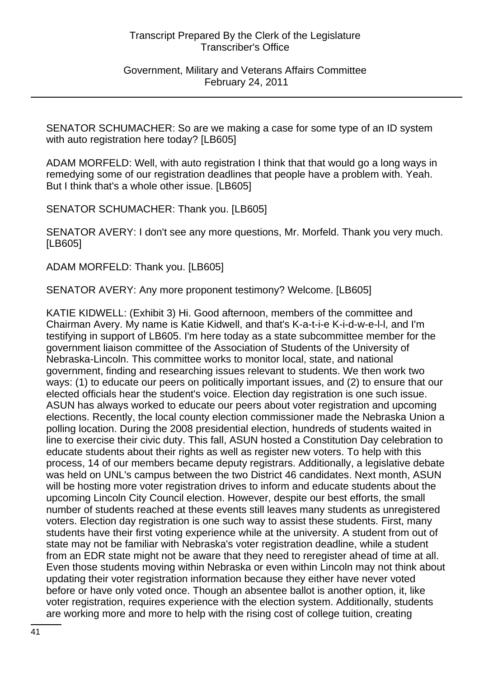Government, Military and Veterans Affairs Committee February 24, 2011

SENATOR SCHUMACHER: So are we making a case for some type of an ID system with auto registration here today? [LB605]

ADAM MORFELD: Well, with auto registration I think that that would go a long ways in remedying some of our registration deadlines that people have a problem with. Yeah. But I think that's a whole other issue. [LB605]

SENATOR SCHUMACHER: Thank you. [LB605]

SENATOR AVERY: I don't see any more questions, Mr. Morfeld. Thank you very much. [LB605]

ADAM MORFELD: Thank you. [LB605]

SENATOR AVERY: Any more proponent testimony? Welcome. [LB605]

KATIE KIDWELL: (Exhibit 3) Hi. Good afternoon, members of the committee and Chairman Avery. My name is Katie Kidwell, and that's K-a-t-i-e K-i-d-w-e-l-l, and I'm testifying in support of LB605. I'm here today as a state subcommittee member for the government liaison committee of the Association of Students of the University of Nebraska-Lincoln. This committee works to monitor local, state, and national government, finding and researching issues relevant to students. We then work two ways: (1) to educate our peers on politically important issues, and (2) to ensure that our elected officials hear the student's voice. Election day registration is one such issue. ASUN has always worked to educate our peers about voter registration and upcoming elections. Recently, the local county election commissioner made the Nebraska Union a polling location. During the 2008 presidential election, hundreds of students waited in line to exercise their civic duty. This fall, ASUN hosted a Constitution Day celebration to educate students about their rights as well as register new voters. To help with this process, 14 of our members became deputy registrars. Additionally, a legislative debate was held on UNL's campus between the two District 46 candidates. Next month, ASUN will be hosting more voter registration drives to inform and educate students about the upcoming Lincoln City Council election. However, despite our best efforts, the small number of students reached at these events still leaves many students as unregistered voters. Election day registration is one such way to assist these students. First, many students have their first voting experience while at the university. A student from out of state may not be familiar with Nebraska's voter registration deadline, while a student from an EDR state might not be aware that they need to reregister ahead of time at all. Even those students moving within Nebraska or even within Lincoln may not think about updating their voter registration information because they either have never voted before or have only voted once. Though an absentee ballot is another option, it, like voter registration, requires experience with the election system. Additionally, students are working more and more to help with the rising cost of college tuition, creating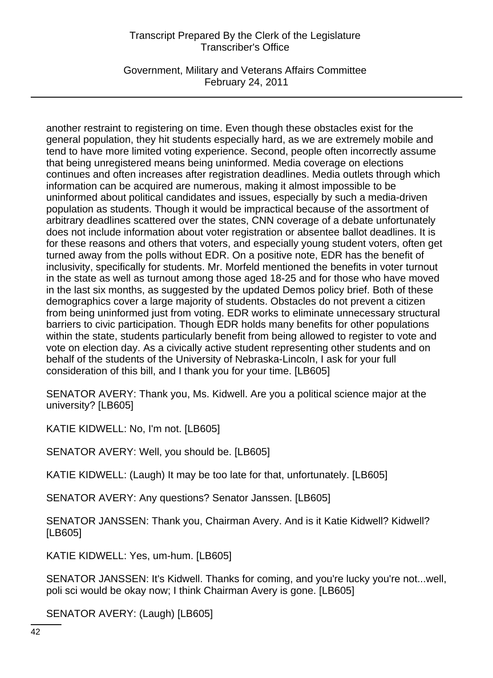Government, Military and Veterans Affairs Committee February 24, 2011

another restraint to registering on time. Even though these obstacles exist for the general population, they hit students especially hard, as we are extremely mobile and tend to have more limited voting experience. Second, people often incorrectly assume that being unregistered means being uninformed. Media coverage on elections continues and often increases after registration deadlines. Media outlets through which information can be acquired are numerous, making it almost impossible to be uninformed about political candidates and issues, especially by such a media-driven population as students. Though it would be impractical because of the assortment of arbitrary deadlines scattered over the states, CNN coverage of a debate unfortunately does not include information about voter registration or absentee ballot deadlines. It is for these reasons and others that voters, and especially young student voters, often get turned away from the polls without EDR. On a positive note, EDR has the benefit of inclusivity, specifically for students. Mr. Morfeld mentioned the benefits in voter turnout in the state as well as turnout among those aged 18-25 and for those who have moved in the last six months, as suggested by the updated Demos policy brief. Both of these demographics cover a large majority of students. Obstacles do not prevent a citizen from being uninformed just from voting. EDR works to eliminate unnecessary structural barriers to civic participation. Though EDR holds many benefits for other populations within the state, students particularly benefit from being allowed to register to vote and vote on election day. As a civically active student representing other students and on behalf of the students of the University of Nebraska-Lincoln, I ask for your full consideration of this bill, and I thank you for your time. [LB605]

SENATOR AVERY: Thank you, Ms. Kidwell. Are you a political science major at the university? [LB605]

KATIE KIDWELL: No, I'm not. [LB605]

SENATOR AVERY: Well, you should be. [LB605]

KATIE KIDWELL: (Laugh) It may be too late for that, unfortunately. [LB605]

SENATOR AVERY: Any questions? Senator Janssen. [LB605]

SENATOR JANSSEN: Thank you, Chairman Avery. And is it Katie Kidwell? Kidwell? [LB605]

KATIE KIDWELL: Yes, um-hum. [LB605]

SENATOR JANSSEN: It's Kidwell. Thanks for coming, and you're lucky you're not...well, poli sci would be okay now; I think Chairman Avery is gone. [LB605]

SENATOR AVERY: (Laugh) [LB605]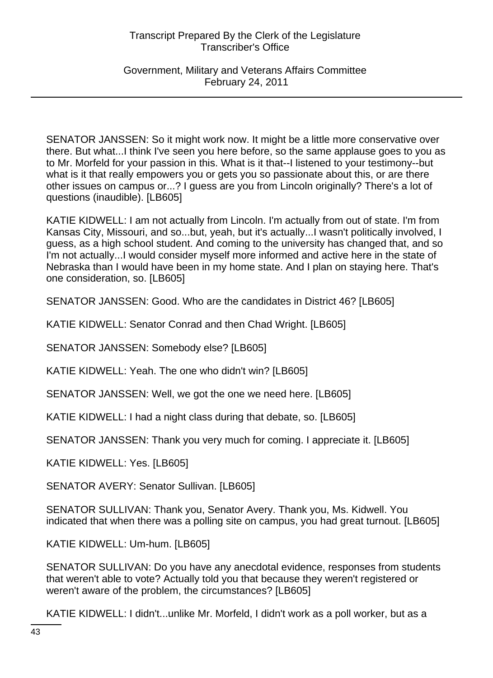Government, Military and Veterans Affairs Committee February 24, 2011

SENATOR JANSSEN: So it might work now. It might be a little more conservative over there. But what...I think I've seen you here before, so the same applause goes to you as to Mr. Morfeld for your passion in this. What is it that--I listened to your testimony--but what is it that really empowers you or gets you so passionate about this, or are there other issues on campus or...? I guess are you from Lincoln originally? There's a lot of questions (inaudible). [LB605]

KATIE KIDWELL: I am not actually from Lincoln. I'm actually from out of state. I'm from Kansas City, Missouri, and so...but, yeah, but it's actually...I wasn't politically involved, I guess, as a high school student. And coming to the university has changed that, and so I'm not actually...I would consider myself more informed and active here in the state of Nebraska than I would have been in my home state. And I plan on staying here. That's one consideration, so. [LB605]

SENATOR JANSSEN: Good. Who are the candidates in District 46? [LB605]

KATIE KIDWELL: Senator Conrad and then Chad Wright. [LB605]

SENATOR JANSSEN: Somebody else? [LB605]

KATIE KIDWELL: Yeah. The one who didn't win? [LB605]

SENATOR JANSSEN: Well, we got the one we need here. [LB605]

KATIE KIDWELL: I had a night class during that debate, so. [LB605]

SENATOR JANSSEN: Thank you very much for coming. I appreciate it. [LB605]

KATIE KIDWELL: Yes. [LB605]

SENATOR AVERY: Senator Sullivan. [LB605]

SENATOR SULLIVAN: Thank you, Senator Avery. Thank you, Ms. Kidwell. You indicated that when there was a polling site on campus, you had great turnout. [LB605]

KATIE KIDWELL: Um-hum. [LB605]

SENATOR SULLIVAN: Do you have any anecdotal evidence, responses from students that weren't able to vote? Actually told you that because they weren't registered or weren't aware of the problem, the circumstances? [LB605]

KATIE KIDWELL: I didn't...unlike Mr. Morfeld, I didn't work as a poll worker, but as a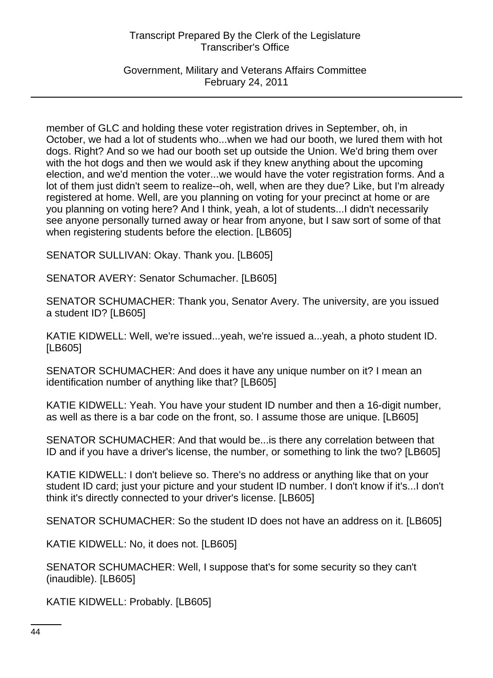Government, Military and Veterans Affairs Committee February 24, 2011

member of GLC and holding these voter registration drives in September, oh, in October, we had a lot of students who...when we had our booth, we lured them with hot dogs. Right? And so we had our booth set up outside the Union. We'd bring them over with the hot dogs and then we would ask if they knew anything about the upcoming election, and we'd mention the voter...we would have the voter registration forms. And a lot of them just didn't seem to realize--oh, well, when are they due? Like, but I'm already registered at home. Well, are you planning on voting for your precinct at home or are you planning on voting here? And I think, yeah, a lot of students...I didn't necessarily see anyone personally turned away or hear from anyone, but I saw sort of some of that when registering students before the election. [LB605]

SENATOR SULLIVAN: Okay. Thank you. [LB605]

SENATOR AVERY: Senator Schumacher. [LB605]

SENATOR SCHUMACHER: Thank you, Senator Avery. The university, are you issued a student ID? [LB605]

KATIE KIDWELL: Well, we're issued...yeah, we're issued a...yeah, a photo student ID. [LB605]

SENATOR SCHUMACHER: And does it have any unique number on it? I mean an identification number of anything like that? [LB605]

KATIE KIDWELL: Yeah. You have your student ID number and then a 16-digit number, as well as there is a bar code on the front, so. I assume those are unique. [LB605]

SENATOR SCHUMACHER: And that would be...is there any correlation between that ID and if you have a driver's license, the number, or something to link the two? [LB605]

KATIE KIDWELL: I don't believe so. There's no address or anything like that on your student ID card; just your picture and your student ID number. I don't know if it's...I don't think it's directly connected to your driver's license. [LB605]

SENATOR SCHUMACHER: So the student ID does not have an address on it. [LB605]

KATIE KIDWELL: No, it does not. [LB605]

SENATOR SCHUMACHER: Well, I suppose that's for some security so they can't (inaudible). [LB605]

KATIE KIDWELL: Probably. [LB605]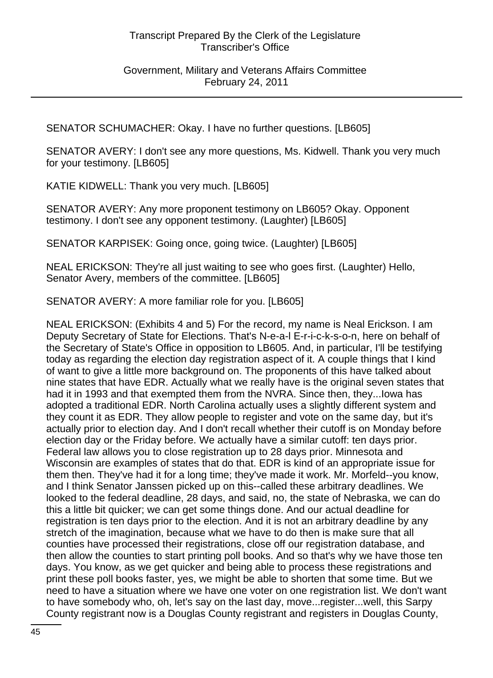Government, Military and Veterans Affairs Committee February 24, 2011

SENATOR SCHUMACHER: Okay. I have no further questions. [LB605]

SENATOR AVERY: I don't see any more questions, Ms. Kidwell. Thank you very much for your testimony. [LB605]

KATIE KIDWELL: Thank you very much. [LB605]

SENATOR AVERY: Any more proponent testimony on LB605? Okay. Opponent testimony. I don't see any opponent testimony. (Laughter) [LB605]

SENATOR KARPISEK: Going once, going twice. (Laughter) [LB605]

NEAL ERICKSON: They're all just waiting to see who goes first. (Laughter) Hello, Senator Avery, members of the committee. [LB605]

SENATOR AVERY: A more familiar role for you. [LB605]

NEAL ERICKSON: (Exhibits 4 and 5) For the record, my name is Neal Erickson. I am Deputy Secretary of State for Elections. That's N-e-a-l E-r-i-c-k-s-o-n, here on behalf of the Secretary of State's Office in opposition to LB605. And, in particular, I'll be testifying today as regarding the election day registration aspect of it. A couple things that I kind of want to give a little more background on. The proponents of this have talked about nine states that have EDR. Actually what we really have is the original seven states that had it in 1993 and that exempted them from the NVRA. Since then, they...Iowa has adopted a traditional EDR. North Carolina actually uses a slightly different system and they count it as EDR. They allow people to register and vote on the same day, but it's actually prior to election day. And I don't recall whether their cutoff is on Monday before election day or the Friday before. We actually have a similar cutoff: ten days prior. Federal law allows you to close registration up to 28 days prior. Minnesota and Wisconsin are examples of states that do that. EDR is kind of an appropriate issue for them then. They've had it for a long time; they've made it work. Mr. Morfeld--you know, and I think Senator Janssen picked up on this--called these arbitrary deadlines. We looked to the federal deadline, 28 days, and said, no, the state of Nebraska, we can do this a little bit quicker; we can get some things done. And our actual deadline for registration is ten days prior to the election. And it is not an arbitrary deadline by any stretch of the imagination, because what we have to do then is make sure that all counties have processed their registrations, close off our registration database, and then allow the counties to start printing poll books. And so that's why we have those ten days. You know, as we get quicker and being able to process these registrations and print these poll books faster, yes, we might be able to shorten that some time. But we need to have a situation where we have one voter on one registration list. We don't want to have somebody who, oh, let's say on the last day, move...register...well, this Sarpy County registrant now is a Douglas County registrant and registers in Douglas County,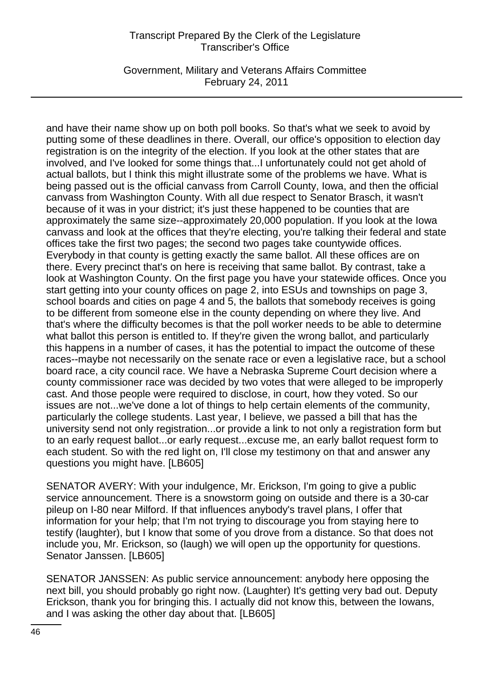Government, Military and Veterans Affairs Committee February 24, 2011

and have their name show up on both poll books. So that's what we seek to avoid by putting some of these deadlines in there. Overall, our office's opposition to election day registration is on the integrity of the election. If you look at the other states that are involved, and I've looked for some things that...I unfortunately could not get ahold of actual ballots, but I think this might illustrate some of the problems we have. What is being passed out is the official canvass from Carroll County, Iowa, and then the official canvass from Washington County. With all due respect to Senator Brasch, it wasn't because of it was in your district; it's just these happened to be counties that are approximately the same size--approximately 20,000 population. If you look at the Iowa canvass and look at the offices that they're electing, you're talking their federal and state offices take the first two pages; the second two pages take countywide offices. Everybody in that county is getting exactly the same ballot. All these offices are on there. Every precinct that's on here is receiving that same ballot. By contrast, take a look at Washington County. On the first page you have your statewide offices. Once you start getting into your county offices on page 2, into ESUs and townships on page 3, school boards and cities on page 4 and 5, the ballots that somebody receives is going to be different from someone else in the county depending on where they live. And that's where the difficulty becomes is that the poll worker needs to be able to determine what ballot this person is entitled to. If they're given the wrong ballot, and particularly this happens in a number of cases, it has the potential to impact the outcome of these races--maybe not necessarily on the senate race or even a legislative race, but a school board race, a city council race. We have a Nebraska Supreme Court decision where a county commissioner race was decided by two votes that were alleged to be improperly cast. And those people were required to disclose, in court, how they voted. So our issues are not...we've done a lot of things to help certain elements of the community, particularly the college students. Last year, I believe, we passed a bill that has the university send not only registration...or provide a link to not only a registration form but to an early request ballot...or early request...excuse me, an early ballot request form to each student. So with the red light on, I'll close my testimony on that and answer any questions you might have. [LB605]

SENATOR AVERY: With your indulgence, Mr. Erickson, I'm going to give a public service announcement. There is a snowstorm going on outside and there is a 30-car pileup on I-80 near Milford. If that influences anybody's travel plans, I offer that information for your help; that I'm not trying to discourage you from staying here to testify (laughter), but I know that some of you drove from a distance. So that does not include you, Mr. Erickson, so (laugh) we will open up the opportunity for questions. Senator Janssen. [LB605]

SENATOR JANSSEN: As public service announcement: anybody here opposing the next bill, you should probably go right now. (Laughter) It's getting very bad out. Deputy Erickson, thank you for bringing this. I actually did not know this, between the Iowans, and I was asking the other day about that. [LB605]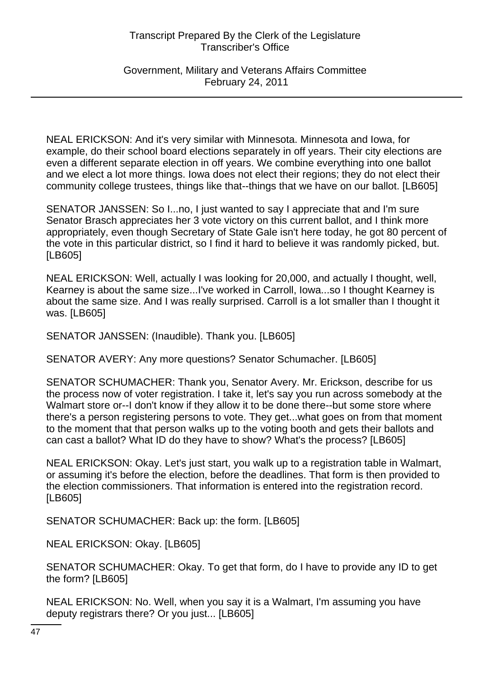Government, Military and Veterans Affairs Committee February 24, 2011

NEAL ERICKSON: And it's very similar with Minnesota. Minnesota and Iowa, for example, do their school board elections separately in off years. Their city elections are even a different separate election in off years. We combine everything into one ballot and we elect a lot more things. Iowa does not elect their regions; they do not elect their community college trustees, things like that--things that we have on our ballot. [LB605]

SENATOR JANSSEN: So I...no, I just wanted to say I appreciate that and I'm sure Senator Brasch appreciates her 3 vote victory on this current ballot, and I think more appropriately, even though Secretary of State Gale isn't here today, he got 80 percent of the vote in this particular district, so I find it hard to believe it was randomly picked, but. [LB605]

NEAL ERICKSON: Well, actually I was looking for 20,000, and actually I thought, well, Kearney is about the same size...I've worked in Carroll, Iowa...so I thought Kearney is about the same size. And I was really surprised. Carroll is a lot smaller than I thought it was. [LB605]

SENATOR JANSSEN: (Inaudible). Thank you. [LB605]

SENATOR AVERY: Any more questions? Senator Schumacher. [LB605]

SENATOR SCHUMACHER: Thank you, Senator Avery. Mr. Erickson, describe for us the process now of voter registration. I take it, let's say you run across somebody at the Walmart store or--I don't know if they allow it to be done there--but some store where there's a person registering persons to vote. They get...what goes on from that moment to the moment that that person walks up to the voting booth and gets their ballots and can cast a ballot? What ID do they have to show? What's the process? [LB605]

NEAL ERICKSON: Okay. Let's just start, you walk up to a registration table in Walmart, or assuming it's before the election, before the deadlines. That form is then provided to the election commissioners. That information is entered into the registration record. [LB605]

SENATOR SCHUMACHER: Back up: the form. [LB605]

NEAL ERICKSON: Okay. [LB605]

SENATOR SCHUMACHER: Okay. To get that form, do I have to provide any ID to get the form? [LB605]

NEAL ERICKSON: No. Well, when you say it is a Walmart, I'm assuming you have deputy registrars there? Or you just... [LB605]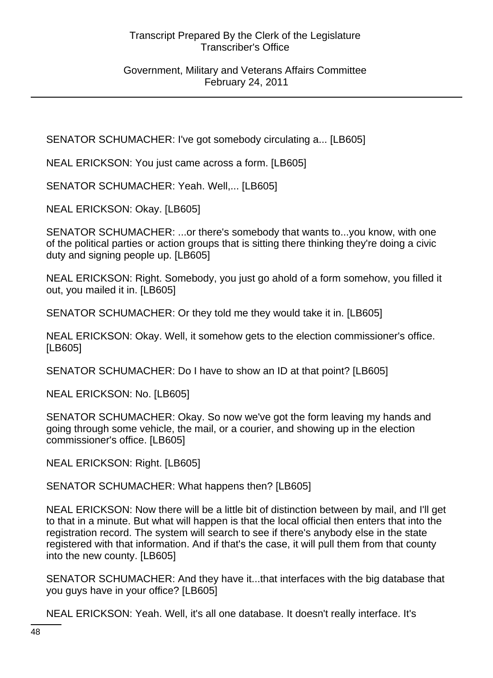Government, Military and Veterans Affairs Committee February 24, 2011

SENATOR SCHUMACHER: I've got somebody circulating a... [LB605]

NEAL ERICKSON: You just came across a form. [LB605]

SENATOR SCHUMACHER: Yeah. Well,... [LB605]

NEAL ERICKSON: Okay. [LB605]

SENATOR SCHUMACHER: ...or there's somebody that wants to...you know, with one of the political parties or action groups that is sitting there thinking they're doing a civic duty and signing people up. [LB605]

NEAL ERICKSON: Right. Somebody, you just go ahold of a form somehow, you filled it out, you mailed it in. [LB605]

SENATOR SCHUMACHER: Or they told me they would take it in. [LB605]

NEAL ERICKSON: Okay. Well, it somehow gets to the election commissioner's office. [LB605]

SENATOR SCHUMACHER: Do I have to show an ID at that point? [LB605]

NEAL ERICKSON: No. [LB605]

SENATOR SCHUMACHER: Okay. So now we've got the form leaving my hands and going through some vehicle, the mail, or a courier, and showing up in the election commissioner's office. [LB605]

NEAL ERICKSON: Right. [LB605]

SENATOR SCHUMACHER: What happens then? [LB605]

NEAL ERICKSON: Now there will be a little bit of distinction between by mail, and I'll get to that in a minute. But what will happen is that the local official then enters that into the registration record. The system will search to see if there's anybody else in the state registered with that information. And if that's the case, it will pull them from that county into the new county. [LB605]

SENATOR SCHUMACHER: And they have it...that interfaces with the big database that you guys have in your office? [LB605]

NEAL ERICKSON: Yeah. Well, it's all one database. It doesn't really interface. It's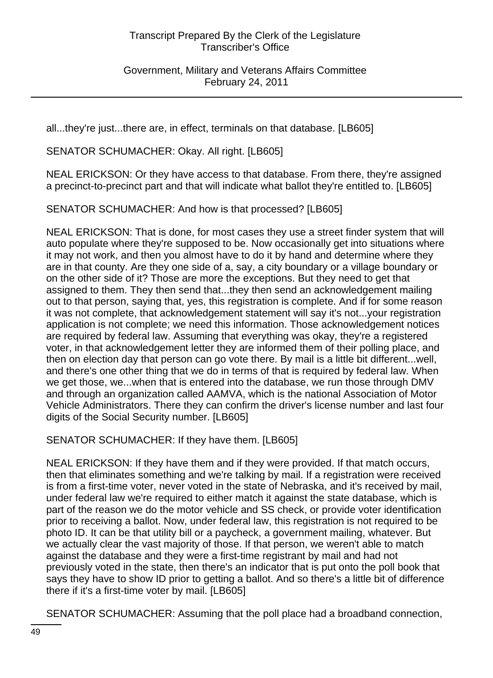Government, Military and Veterans Affairs Committee February 24, 2011

all...they're just...there are, in effect, terminals on that database. [LB605]

SENATOR SCHUMACHER: Okay. All right. [LB605]

NEAL ERICKSON: Or they have access to that database. From there, they're assigned a precinct-to-precinct part and that will indicate what ballot they're entitled to. [LB605]

SENATOR SCHUMACHER: And how is that processed? [LB605]

NEAL ERICKSON: That is done, for most cases they use a street finder system that will auto populate where they're supposed to be. Now occasionally get into situations where it may not work, and then you almost have to do it by hand and determine where they are in that county. Are they one side of a, say, a city boundary or a village boundary or on the other side of it? Those are more the exceptions. But they need to get that assigned to them. They then send that...they then send an acknowledgement mailing out to that person, saying that, yes, this registration is complete. And if for some reason it was not complete, that acknowledgement statement will say it's not...your registration application is not complete; we need this information. Those acknowledgement notices are required by federal law. Assuming that everything was okay, they're a registered voter, in that acknowledgement letter they are informed them of their polling place, and then on election day that person can go vote there. By mail is a little bit different...well, and there's one other thing that we do in terms of that is required by federal law. When we get those, we...when that is entered into the database, we run those through DMV and through an organization called AAMVA, which is the national Association of Motor Vehicle Administrators. There they can confirm the driver's license number and last four digits of the Social Security number. [LB605]

SENATOR SCHUMACHER: If they have them. [LB605]

NEAL ERICKSON: If they have them and if they were provided. If that match occurs, then that eliminates something and we're talking by mail. If a registration were received is from a first-time voter, never voted in the state of Nebraska, and it's received by mail, under federal law we're required to either match it against the state database, which is part of the reason we do the motor vehicle and SS check, or provide voter identification prior to receiving a ballot. Now, under federal law, this registration is not required to be photo ID. It can be that utility bill or a paycheck, a government mailing, whatever. But we actually clear the vast majority of those. If that person, we weren't able to match against the database and they were a first-time registrant by mail and had not previously voted in the state, then there's an indicator that is put onto the poll book that says they have to show ID prior to getting a ballot. And so there's a little bit of difference there if it's a first-time voter by mail. [LB605]

SENATOR SCHUMACHER: Assuming that the poll place had a broadband connection,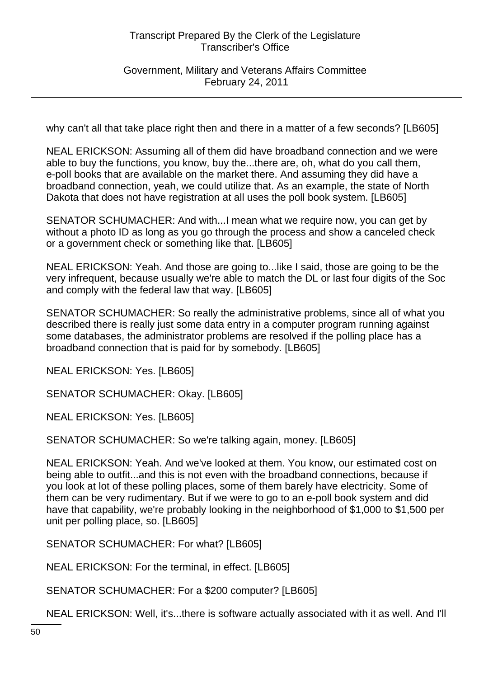Government, Military and Veterans Affairs Committee February 24, 2011

why can't all that take place right then and there in a matter of a few seconds? [LB605]

NEAL ERICKSON: Assuming all of them did have broadband connection and we were able to buy the functions, you know, buy the...there are, oh, what do you call them, e-poll books that are available on the market there. And assuming they did have a broadband connection, yeah, we could utilize that. As an example, the state of North Dakota that does not have registration at all uses the poll book system. [LB605]

SENATOR SCHUMACHER: And with...I mean what we require now, you can get by without a photo ID as long as you go through the process and show a canceled check or a government check or something like that. [LB605]

NEAL ERICKSON: Yeah. And those are going to...like I said, those are going to be the very infrequent, because usually we're able to match the DL or last four digits of the Soc and comply with the federal law that way. [LB605]

SENATOR SCHUMACHER: So really the administrative problems, since all of what you described there is really just some data entry in a computer program running against some databases, the administrator problems are resolved if the polling place has a broadband connection that is paid for by somebody. [LB605]

NEAL ERICKSON: Yes. [LB605]

SENATOR SCHUMACHER: Okay. [LB605]

NEAL ERICKSON: Yes. [LB605]

SENATOR SCHUMACHER: So we're talking again, money. [LB605]

NEAL ERICKSON: Yeah. And we've looked at them. You know, our estimated cost on being able to outfit...and this is not even with the broadband connections, because if you look at lot of these polling places, some of them barely have electricity. Some of them can be very rudimentary. But if we were to go to an e-poll book system and did have that capability, we're probably looking in the neighborhood of \$1,000 to \$1,500 per unit per polling place, so. [LB605]

SENATOR SCHUMACHER: For what? [LB605]

NEAL ERICKSON: For the terminal, in effect. [LB605]

SENATOR SCHUMACHER: For a \$200 computer? [LB605]

NEAL ERICKSON: Well, it's...there is software actually associated with it as well. And I'll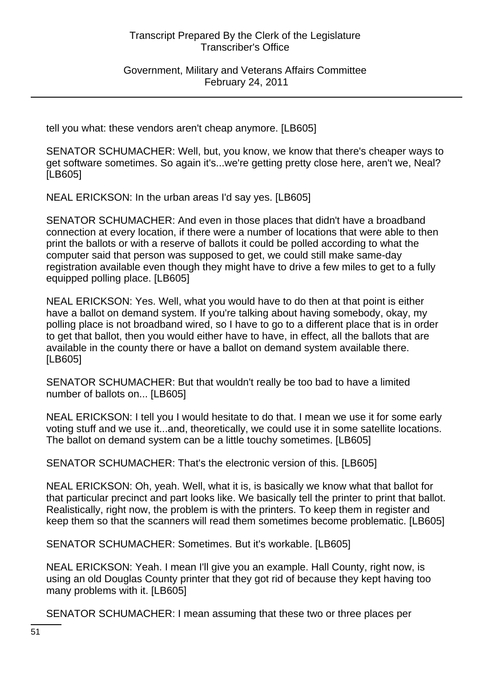Government, Military and Veterans Affairs Committee February 24, 2011

tell you what: these vendors aren't cheap anymore. [LB605]

SENATOR SCHUMACHER: Well, but, you know, we know that there's cheaper ways to get software sometimes. So again it's...we're getting pretty close here, aren't we, Neal? [LB605]

NEAL ERICKSON: In the urban areas I'd say yes. [LB605]

SENATOR SCHUMACHER: And even in those places that didn't have a broadband connection at every location, if there were a number of locations that were able to then print the ballots or with a reserve of ballots it could be polled according to what the computer said that person was supposed to get, we could still make same-day registration available even though they might have to drive a few miles to get to a fully equipped polling place. [LB605]

NEAL ERICKSON: Yes. Well, what you would have to do then at that point is either have a ballot on demand system. If you're talking about having somebody, okay, my polling place is not broadband wired, so I have to go to a different place that is in order to get that ballot, then you would either have to have, in effect, all the ballots that are available in the county there or have a ballot on demand system available there. [LB605]

SENATOR SCHUMACHER: But that wouldn't really be too bad to have a limited number of ballots on... [LB605]

NEAL ERICKSON: I tell you I would hesitate to do that. I mean we use it for some early voting stuff and we use it...and, theoretically, we could use it in some satellite locations. The ballot on demand system can be a little touchy sometimes. [LB605]

SENATOR SCHUMACHER: That's the electronic version of this. [LB605]

NEAL ERICKSON: Oh, yeah. Well, what it is, is basically we know what that ballot for that particular precinct and part looks like. We basically tell the printer to print that ballot. Realistically, right now, the problem is with the printers. To keep them in register and keep them so that the scanners will read them sometimes become problematic. [LB605]

SENATOR SCHUMACHER: Sometimes. But it's workable. [LB605]

NEAL ERICKSON: Yeah. I mean I'll give you an example. Hall County, right now, is using an old Douglas County printer that they got rid of because they kept having too many problems with it. [LB605]

SENATOR SCHUMACHER: I mean assuming that these two or three places per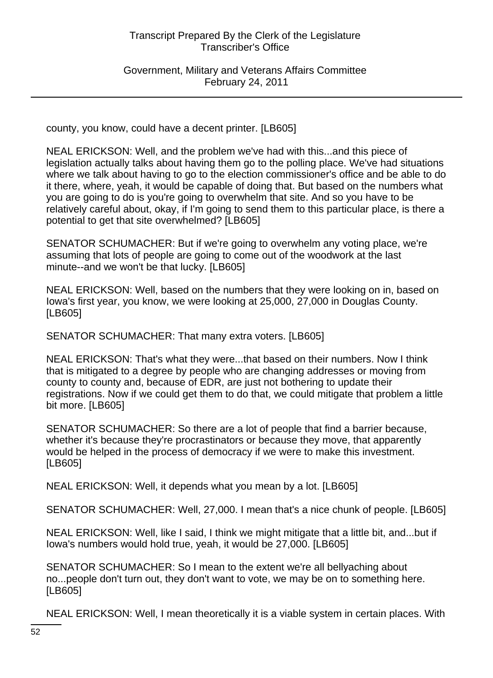Government, Military and Veterans Affairs Committee February 24, 2011

county, you know, could have a decent printer. [LB605]

NEAL ERICKSON: Well, and the problem we've had with this...and this piece of legislation actually talks about having them go to the polling place. We've had situations where we talk about having to go to the election commissioner's office and be able to do it there, where, yeah, it would be capable of doing that. But based on the numbers what you are going to do is you're going to overwhelm that site. And so you have to be relatively careful about, okay, if I'm going to send them to this particular place, is there a potential to get that site overwhelmed? [LB605]

SENATOR SCHUMACHER: But if we're going to overwhelm any voting place, we're assuming that lots of people are going to come out of the woodwork at the last minute--and we won't be that lucky. [LB605]

NEAL ERICKSON: Well, based on the numbers that they were looking on in, based on Iowa's first year, you know, we were looking at 25,000, 27,000 in Douglas County. [LB605]

SENATOR SCHUMACHER: That many extra voters. [LB605]

NEAL ERICKSON: That's what they were...that based on their numbers. Now I think that is mitigated to a degree by people who are changing addresses or moving from county to county and, because of EDR, are just not bothering to update their registrations. Now if we could get them to do that, we could mitigate that problem a little bit more. [LB605]

SENATOR SCHUMACHER: So there are a lot of people that find a barrier because, whether it's because they're procrastinators or because they move, that apparently would be helped in the process of democracy if we were to make this investment. [LB605]

NEAL ERICKSON: Well, it depends what you mean by a lot. [LB605]

SENATOR SCHUMACHER: Well, 27,000. I mean that's a nice chunk of people. [LB605]

NEAL ERICKSON: Well, like I said, I think we might mitigate that a little bit, and...but if Iowa's numbers would hold true, yeah, it would be 27,000. [LB605]

SENATOR SCHUMACHER: So I mean to the extent we're all bellyaching about no...people don't turn out, they don't want to vote, we may be on to something here. [LB605]

NEAL ERICKSON: Well, I mean theoretically it is a viable system in certain places. With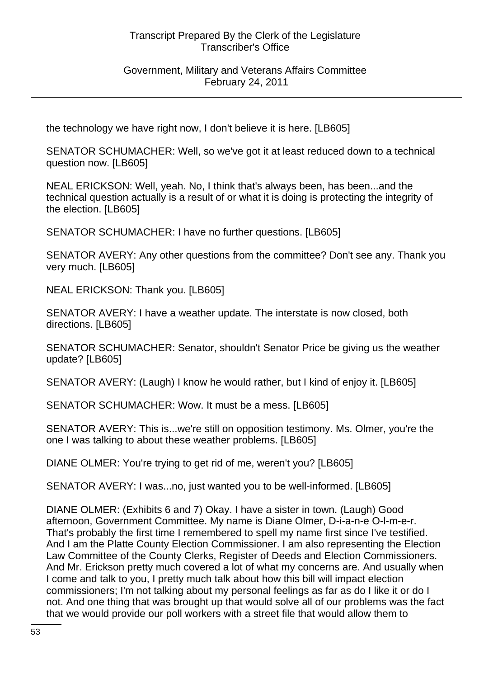Government, Military and Veterans Affairs Committee February 24, 2011

the technology we have right now, I don't believe it is here. [LB605]

SENATOR SCHUMACHER: Well, so we've got it at least reduced down to a technical question now. [LB605]

NEAL ERICKSON: Well, yeah. No, I think that's always been, has been...and the technical question actually is a result of or what it is doing is protecting the integrity of the election. [LB605]

SENATOR SCHUMACHER: I have no further questions. [LB605]

SENATOR AVERY: Any other questions from the committee? Don't see any. Thank you very much. [LB605]

NEAL ERICKSON: Thank you. [LB605]

SENATOR AVERY: I have a weather update. The interstate is now closed, both directions. [LB605]

SENATOR SCHUMACHER: Senator, shouldn't Senator Price be giving us the weather update? [LB605]

SENATOR AVERY: (Laugh) I know he would rather, but I kind of enjoy it. [LB605]

SENATOR SCHUMACHER: Wow. It must be a mess. [LB605]

SENATOR AVERY: This is...we're still on opposition testimony. Ms. Olmer, you're the one I was talking to about these weather problems. [LB605]

DIANE OLMER: You're trying to get rid of me, weren't you? [LB605]

SENATOR AVERY: I was...no, just wanted you to be well-informed. [LB605]

DIANE OLMER: (Exhibits 6 and 7) Okay. I have a sister in town. (Laugh) Good afternoon, Government Committee. My name is Diane Olmer, D-i-a-n-e O-l-m-e-r. That's probably the first time I remembered to spell my name first since I've testified. And I am the Platte County Election Commissioner. I am also representing the Election Law Committee of the County Clerks, Register of Deeds and Election Commissioners. And Mr. Erickson pretty much covered a lot of what my concerns are. And usually when I come and talk to you, I pretty much talk about how this bill will impact election commissioners; I'm not talking about my personal feelings as far as do I like it or do I not. And one thing that was brought up that would solve all of our problems was the fact that we would provide our poll workers with a street file that would allow them to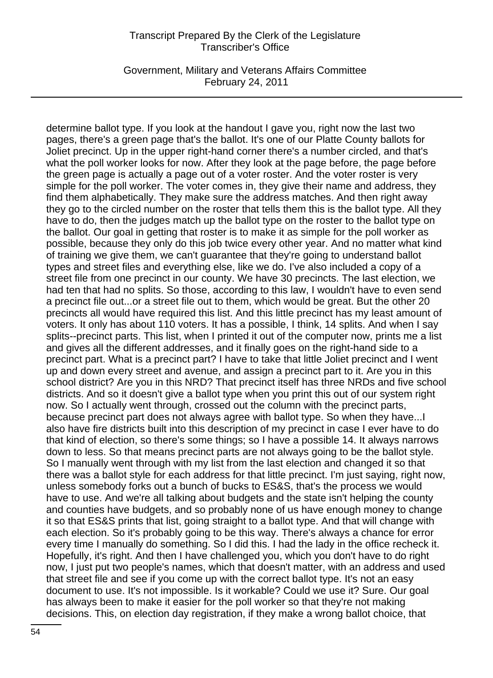Government, Military and Veterans Affairs Committee February 24, 2011

determine ballot type. If you look at the handout I gave you, right now the last two pages, there's a green page that's the ballot. It's one of our Platte County ballots for Joliet precinct. Up in the upper right-hand corner there's a number circled, and that's what the poll worker looks for now. After they look at the page before, the page before the green page is actually a page out of a voter roster. And the voter roster is very simple for the poll worker. The voter comes in, they give their name and address, they find them alphabetically. They make sure the address matches. And then right away they go to the circled number on the roster that tells them this is the ballot type. All they have to do, then the judges match up the ballot type on the roster to the ballot type on the ballot. Our goal in getting that roster is to make it as simple for the poll worker as possible, because they only do this job twice every other year. And no matter what kind of training we give them, we can't guarantee that they're going to understand ballot types and street files and everything else, like we do. I've also included a copy of a street file from one precinct in our county. We have 30 precincts. The last election, we had ten that had no splits. So those, according to this law, I wouldn't have to even send a precinct file out...or a street file out to them, which would be great. But the other 20 precincts all would have required this list. And this little precinct has my least amount of voters. It only has about 110 voters. It has a possible, I think, 14 splits. And when I say splits--precinct parts. This list, when I printed it out of the computer now, prints me a list and gives all the different addresses, and it finally goes on the right-hand side to a precinct part. What is a precinct part? I have to take that little Joliet precinct and I went up and down every street and avenue, and assign a precinct part to it. Are you in this school district? Are you in this NRD? That precinct itself has three NRDs and five school districts. And so it doesn't give a ballot type when you print this out of our system right now. So I actually went through, crossed out the column with the precinct parts, because precinct part does not always agree with ballot type. So when they have...I also have fire districts built into this description of my precinct in case I ever have to do that kind of election, so there's some things; so I have a possible 14. It always narrows down to less. So that means precinct parts are not always going to be the ballot style. So I manually went through with my list from the last election and changed it so that there was a ballot style for each address for that little precinct. I'm just saying, right now, unless somebody forks out a bunch of bucks to ES&S, that's the process we would have to use. And we're all talking about budgets and the state isn't helping the county and counties have budgets, and so probably none of us have enough money to change it so that ES&S prints that list, going straight to a ballot type. And that will change with each election. So it's probably going to be this way. There's always a chance for error every time I manually do something. So I did this. I had the lady in the office recheck it. Hopefully, it's right. And then I have challenged you, which you don't have to do right now, I just put two people's names, which that doesn't matter, with an address and used that street file and see if you come up with the correct ballot type. It's not an easy document to use. It's not impossible. Is it workable? Could we use it? Sure. Our goal has always been to make it easier for the poll worker so that they're not making decisions. This, on election day registration, if they make a wrong ballot choice, that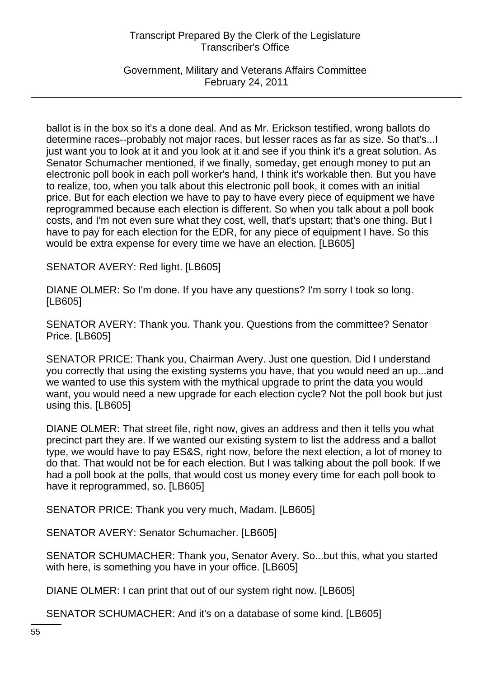Government, Military and Veterans Affairs Committee February 24, 2011

ballot is in the box so it's a done deal. And as Mr. Erickson testified, wrong ballots do determine races--probably not major races, but lesser races as far as size. So that's...I just want you to look at it and you look at it and see if you think it's a great solution. As Senator Schumacher mentioned, if we finally, someday, get enough money to put an electronic poll book in each poll worker's hand, I think it's workable then. But you have to realize, too, when you talk about this electronic poll book, it comes with an initial price. But for each election we have to pay to have every piece of equipment we have reprogrammed because each election is different. So when you talk about a poll book costs, and I'm not even sure what they cost, well, that's upstart; that's one thing. But I have to pay for each election for the EDR, for any piece of equipment I have. So this would be extra expense for every time we have an election. [LB605]

SENATOR AVERY: Red light. [LB605]

DIANE OLMER: So I'm done. If you have any questions? I'm sorry I took so long. [LB605]

SENATOR AVERY: Thank you. Thank you. Questions from the committee? Senator Price. [LB605]

SENATOR PRICE: Thank you, Chairman Avery. Just one question. Did I understand you correctly that using the existing systems you have, that you would need an up...and we wanted to use this system with the mythical upgrade to print the data you would want, you would need a new upgrade for each election cycle? Not the poll book but just using this. [LB605]

DIANE OLMER: That street file, right now, gives an address and then it tells you what precinct part they are. If we wanted our existing system to list the address and a ballot type, we would have to pay ES&S, right now, before the next election, a lot of money to do that. That would not be for each election. But I was talking about the poll book. If we had a poll book at the polls, that would cost us money every time for each poll book to have it reprogrammed, so. [LB605]

SENATOR PRICE: Thank you very much, Madam. [LB605]

SENATOR AVERY: Senator Schumacher. [LB605]

SENATOR SCHUMACHER: Thank you, Senator Avery. So...but this, what you started with here, is something you have in your office. [LB605]

DIANE OLMER: I can print that out of our system right now. [LB605]

SENATOR SCHUMACHER: And it's on a database of some kind. [LB605]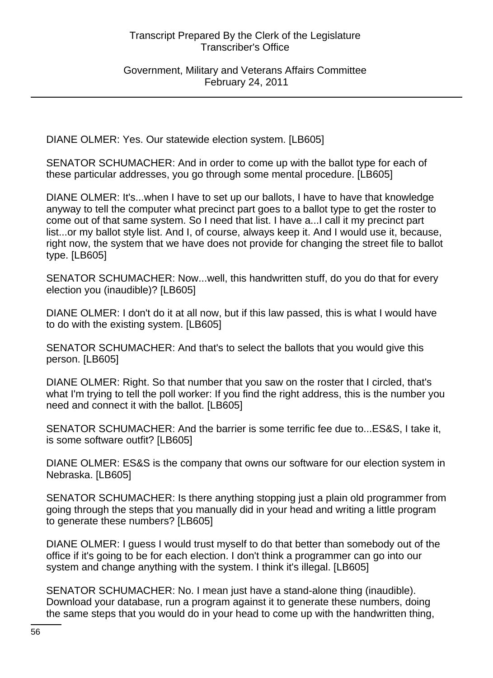Government, Military and Veterans Affairs Committee February 24, 2011

DIANE OLMER: Yes. Our statewide election system. [LB605]

SENATOR SCHUMACHER: And in order to come up with the ballot type for each of these particular addresses, you go through some mental procedure. [LB605]

DIANE OLMER: It's...when I have to set up our ballots, I have to have that knowledge anyway to tell the computer what precinct part goes to a ballot type to get the roster to come out of that same system. So I need that list. I have a...I call it my precinct part list...or my ballot style list. And I, of course, always keep it. And I would use it, because, right now, the system that we have does not provide for changing the street file to ballot type. [LB605]

SENATOR SCHUMACHER: Now...well, this handwritten stuff, do you do that for every election you (inaudible)? [LB605]

DIANE OLMER: I don't do it at all now, but if this law passed, this is what I would have to do with the existing system. [LB605]

SENATOR SCHUMACHER: And that's to select the ballots that you would give this person. [LB605]

DIANE OLMER: Right. So that number that you saw on the roster that I circled, that's what I'm trying to tell the poll worker: If you find the right address, this is the number you need and connect it with the ballot. [LB605]

SENATOR SCHUMACHER: And the barrier is some terrific fee due to...ES&S, I take it, is some software outfit? [LB605]

DIANE OLMER: ES&S is the company that owns our software for our election system in Nebraska. [LB605]

SENATOR SCHUMACHER: Is there anything stopping just a plain old programmer from going through the steps that you manually did in your head and writing a little program to generate these numbers? [LB605]

DIANE OLMER: I guess I would trust myself to do that better than somebody out of the office if it's going to be for each election. I don't think a programmer can go into our system and change anything with the system. I think it's illegal. [LB605]

SENATOR SCHUMACHER: No. I mean just have a stand-alone thing (inaudible). Download your database, run a program against it to generate these numbers, doing the same steps that you would do in your head to come up with the handwritten thing,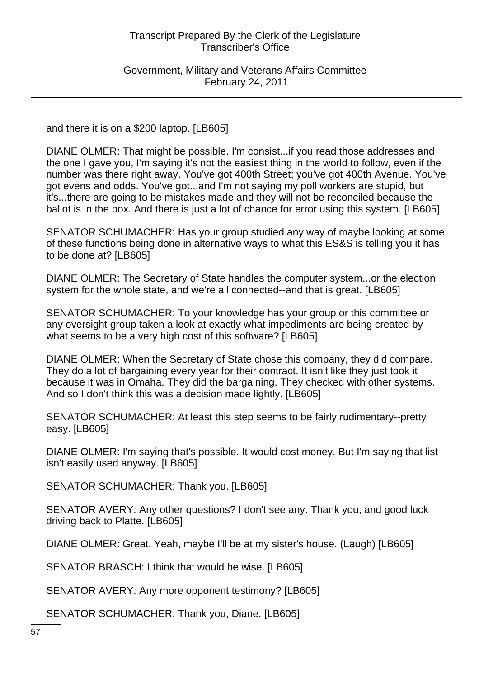Government, Military and Veterans Affairs Committee February 24, 2011

and there it is on a \$200 laptop. [LB605]

DIANE OLMER: That might be possible. I'm consist...if you read those addresses and the one I gave you, I'm saying it's not the easiest thing in the world to follow, even if the number was there right away. You've got 400th Street; you've got 400th Avenue. You've got evens and odds. You've got...and I'm not saying my poll workers are stupid, but it's...there are going to be mistakes made and they will not be reconciled because the ballot is in the box. And there is just a lot of chance for error using this system. [LB605]

SENATOR SCHUMACHER: Has your group studied any way of maybe looking at some of these functions being done in alternative ways to what this ES&S is telling you it has to be done at? [LB605]

DIANE OLMER: The Secretary of State handles the computer system...or the election system for the whole state, and we're all connected--and that is great. [LB605]

SENATOR SCHUMACHER: To your knowledge has your group or this committee or any oversight group taken a look at exactly what impediments are being created by what seems to be a very high cost of this software? [LB605]

DIANE OLMER: When the Secretary of State chose this company, they did compare. They do a lot of bargaining every year for their contract. It isn't like they just took it because it was in Omaha. They did the bargaining. They checked with other systems. And so I don't think this was a decision made lightly. [LB605]

SENATOR SCHUMACHER: At least this step seems to be fairly rudimentary--pretty easy. [LB605]

DIANE OLMER: I'm saying that's possible. It would cost money. But I'm saying that list isn't easily used anyway. [LB605]

SENATOR SCHUMACHER: Thank you. [LB605]

SENATOR AVERY: Any other questions? I don't see any. Thank you, and good luck driving back to Platte. [LB605]

DIANE OLMER: Great. Yeah, maybe I'll be at my sister's house. (Laugh) [LB605]

SENATOR BRASCH: I think that would be wise. [LB605]

SENATOR AVERY: Any more opponent testimony? [LB605]

SENATOR SCHUMACHER: Thank you, Diane. [LB605]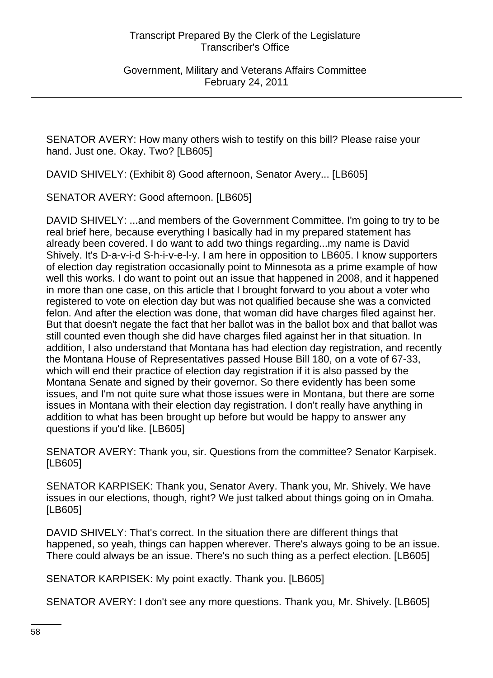Government, Military and Veterans Affairs Committee February 24, 2011

SENATOR AVERY: How many others wish to testify on this bill? Please raise your hand. Just one. Okay. Two? [LB605]

DAVID SHIVELY: (Exhibit 8) Good afternoon, Senator Avery... [LB605]

SENATOR AVERY: Good afternoon. [LB605]

DAVID SHIVELY: ...and members of the Government Committee. I'm going to try to be real brief here, because everything I basically had in my prepared statement has already been covered. I do want to add two things regarding...my name is David Shively. It's D-a-v-i-d S-h-i-v-e-l-y. I am here in opposition to LB605. I know supporters of election day registration occasionally point to Minnesota as a prime example of how well this works. I do want to point out an issue that happened in 2008, and it happened in more than one case, on this article that I brought forward to you about a voter who registered to vote on election day but was not qualified because she was a convicted felon. And after the election was done, that woman did have charges filed against her. But that doesn't negate the fact that her ballot was in the ballot box and that ballot was still counted even though she did have charges filed against her in that situation. In addition, I also understand that Montana has had election day registration, and recently the Montana House of Representatives passed House Bill 180, on a vote of 67-33, which will end their practice of election day registration if it is also passed by the Montana Senate and signed by their governor. So there evidently has been some issues, and I'm not quite sure what those issues were in Montana, but there are some issues in Montana with their election day registration. I don't really have anything in addition to what has been brought up before but would be happy to answer any questions if you'd like. [LB605]

SENATOR AVERY: Thank you, sir. Questions from the committee? Senator Karpisek. [LB605]

SENATOR KARPISEK: Thank you, Senator Avery. Thank you, Mr. Shively. We have issues in our elections, though, right? We just talked about things going on in Omaha. [LB605]

DAVID SHIVELY: That's correct. In the situation there are different things that happened, so yeah, things can happen wherever. There's always going to be an issue. There could always be an issue. There's no such thing as a perfect election. [LB605]

SENATOR KARPISEK: My point exactly. Thank you. [LB605]

SENATOR AVERY: I don't see any more questions. Thank you, Mr. Shively. [LB605]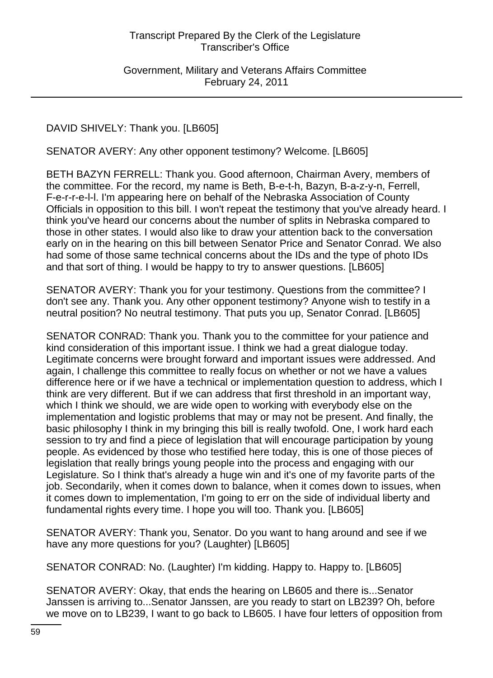Government, Military and Veterans Affairs Committee February 24, 2011

DAVID SHIVELY: Thank you. [LB605]

SENATOR AVERY: Any other opponent testimony? Welcome. [LB605]

BETH BAZYN FERRELL: Thank you. Good afternoon, Chairman Avery, members of the committee. For the record, my name is Beth, B-e-t-h, Bazyn, B-a-z-y-n, Ferrell, F-e-r-r-e-l-l. I'm appearing here on behalf of the Nebraska Association of County Officials in opposition to this bill. I won't repeat the testimony that you've already heard. I think you've heard our concerns about the number of splits in Nebraska compared to those in other states. I would also like to draw your attention back to the conversation early on in the hearing on this bill between Senator Price and Senator Conrad. We also had some of those same technical concerns about the IDs and the type of photo IDs and that sort of thing. I would be happy to try to answer questions. [LB605]

SENATOR AVERY: Thank you for your testimony. Questions from the committee? I don't see any. Thank you. Any other opponent testimony? Anyone wish to testify in a neutral position? No neutral testimony. That puts you up, Senator Conrad. [LB605]

SENATOR CONRAD: Thank you. Thank you to the committee for your patience and kind consideration of this important issue. I think we had a great dialogue today. Legitimate concerns were brought forward and important issues were addressed. And again, I challenge this committee to really focus on whether or not we have a values difference here or if we have a technical or implementation question to address, which I think are very different. But if we can address that first threshold in an important way, which I think we should, we are wide open to working with everybody else on the implementation and logistic problems that may or may not be present. And finally, the basic philosophy I think in my bringing this bill is really twofold. One, I work hard each session to try and find a piece of legislation that will encourage participation by young people. As evidenced by those who testified here today, this is one of those pieces of legislation that really brings young people into the process and engaging with our Legislature. So I think that's already a huge win and it's one of my favorite parts of the job. Secondarily, when it comes down to balance, when it comes down to issues, when it comes down to implementation, I'm going to err on the side of individual liberty and fundamental rights every time. I hope you will too. Thank you. [LB605]

SENATOR AVERY: Thank you, Senator. Do you want to hang around and see if we have any more questions for you? (Laughter) [LB605]

SENATOR CONRAD: No. (Laughter) I'm kidding. Happy to. Happy to. [LB605]

SENATOR AVERY: Okay, that ends the hearing on LB605 and there is...Senator Janssen is arriving to...Senator Janssen, are you ready to start on LB239? Oh, before we move on to LB239, I want to go back to LB605. I have four letters of opposition from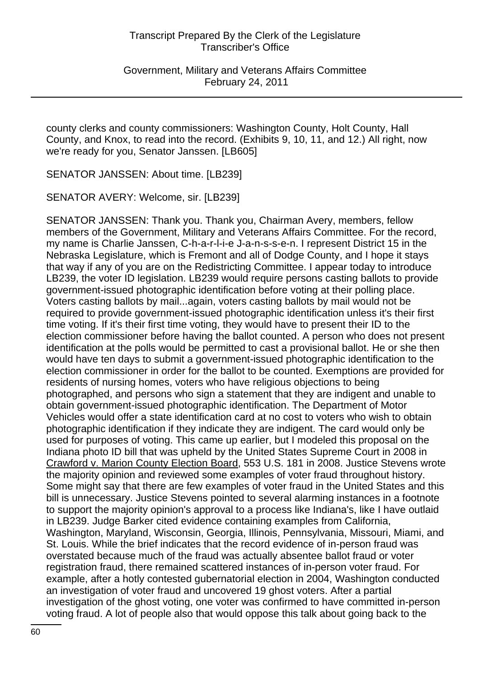Government, Military and Veterans Affairs Committee February 24, 2011

county clerks and county commissioners: Washington County, Holt County, Hall County, and Knox, to read into the record. (Exhibits 9, 10, 11, and 12.) All right, now we're ready for you, Senator Janssen. [LB605]

SENATOR JANSSEN: About time. [LB239]

SENATOR AVERY: Welcome, sir. [LB239]

SENATOR JANSSEN: Thank you. Thank you, Chairman Avery, members, fellow members of the Government, Military and Veterans Affairs Committee. For the record, my name is Charlie Janssen, C-h-a-r-l-i-e J-a-n-s-s-e-n. I represent District 15 in the Nebraska Legislature, which is Fremont and all of Dodge County, and I hope it stays that way if any of you are on the Redistricting Committee. I appear today to introduce LB239, the voter ID legislation. LB239 would require persons casting ballots to provide government-issued photographic identification before voting at their polling place. Voters casting ballots by mail...again, voters casting ballots by mail would not be required to provide government-issued photographic identification unless it's their first time voting. If it's their first time voting, they would have to present their ID to the election commissioner before having the ballot counted. A person who does not present identification at the polls would be permitted to cast a provisional ballot. He or she then would have ten days to submit a government-issued photographic identification to the election commissioner in order for the ballot to be counted. Exemptions are provided for residents of nursing homes, voters who have religious objections to being photographed, and persons who sign a statement that they are indigent and unable to obtain government-issued photographic identification. The Department of Motor Vehicles would offer a state identification card at no cost to voters who wish to obtain photographic identification if they indicate they are indigent. The card would only be used for purposes of voting. This came up earlier, but I modeled this proposal on the Indiana photo ID bill that was upheld by the United States Supreme Court in 2008 in Crawford v. Marion County Election Board, 553 U.S. 181 in 2008. Justice Stevens wrote the majority opinion and reviewed some examples of voter fraud throughout history. Some might say that there are few examples of voter fraud in the United States and this bill is unnecessary. Justice Stevens pointed to several alarming instances in a footnote to support the majority opinion's approval to a process like Indiana's, like I have outlaid in LB239. Judge Barker cited evidence containing examples from California, Washington, Maryland, Wisconsin, Georgia, Illinois, Pennsylvania, Missouri, Miami, and St. Louis. While the brief indicates that the record evidence of in-person fraud was overstated because much of the fraud was actually absentee ballot fraud or voter registration fraud, there remained scattered instances of in-person voter fraud. For example, after a hotly contested gubernatorial election in 2004, Washington conducted an investigation of voter fraud and uncovered 19 ghost voters. After a partial investigation of the ghost voting, one voter was confirmed to have committed in-person voting fraud. A lot of people also that would oppose this talk about going back to the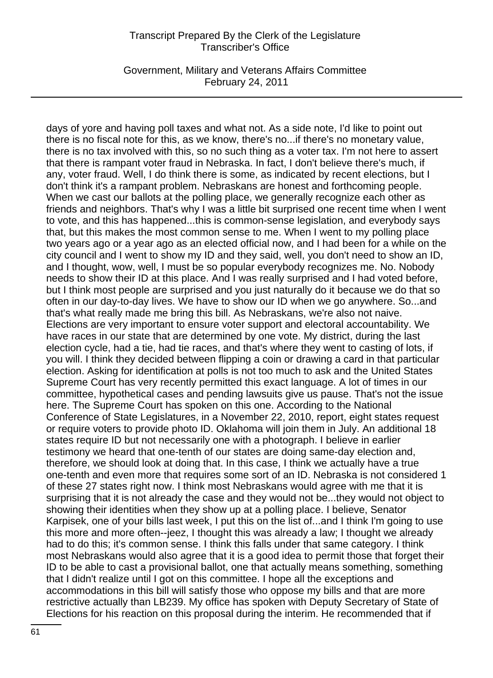Government, Military and Veterans Affairs Committee February 24, 2011

days of yore and having poll taxes and what not. As a side note, I'd like to point out there is no fiscal note for this, as we know, there's no...if there's no monetary value, there is no tax involved with this, so no such thing as a voter tax. I'm not here to assert that there is rampant voter fraud in Nebraska. In fact, I don't believe there's much, if any, voter fraud. Well, I do think there is some, as indicated by recent elections, but I don't think it's a rampant problem. Nebraskans are honest and forthcoming people. When we cast our ballots at the polling place, we generally recognize each other as friends and neighbors. That's why I was a little bit surprised one recent time when I went to vote, and this has happened...this is common-sense legislation, and everybody says that, but this makes the most common sense to me. When I went to my polling place two years ago or a year ago as an elected official now, and I had been for a while on the city council and I went to show my ID and they said, well, you don't need to show an ID, and I thought, wow, well, I must be so popular everybody recognizes me. No. Nobody needs to show their ID at this place. And I was really surprised and I had voted before, but I think most people are surprised and you just naturally do it because we do that so often in our day-to-day lives. We have to show our ID when we go anywhere. So...and that's what really made me bring this bill. As Nebraskans, we're also not naive. Elections are very important to ensure voter support and electoral accountability. We have races in our state that are determined by one vote. My district, during the last election cycle, had a tie, had tie races, and that's where they went to casting of lots, if you will. I think they decided between flipping a coin or drawing a card in that particular election. Asking for identification at polls is not too much to ask and the United States Supreme Court has very recently permitted this exact language. A lot of times in our committee, hypothetical cases and pending lawsuits give us pause. That's not the issue here. The Supreme Court has spoken on this one. According to the National Conference of State Legislatures, in a November 22, 2010, report, eight states request or require voters to provide photo ID. Oklahoma will join them in July. An additional 18 states require ID but not necessarily one with a photograph. I believe in earlier testimony we heard that one-tenth of our states are doing same-day election and, therefore, we should look at doing that. In this case, I think we actually have a true one-tenth and even more that requires some sort of an ID. Nebraska is not considered 1 of these 27 states right now. I think most Nebraskans would agree with me that it is surprising that it is not already the case and they would not be...they would not object to showing their identities when they show up at a polling place. I believe, Senator Karpisek, one of your bills last week, I put this on the list of...and I think I'm going to use this more and more often--jeez, I thought this was already a law; I thought we already had to do this; it's common sense. I think this falls under that same category. I think most Nebraskans would also agree that it is a good idea to permit those that forget their ID to be able to cast a provisional ballot, one that actually means something, something that I didn't realize until I got on this committee. I hope all the exceptions and accommodations in this bill will satisfy those who oppose my bills and that are more restrictive actually than LB239. My office has spoken with Deputy Secretary of State of Elections for his reaction on this proposal during the interim. He recommended that if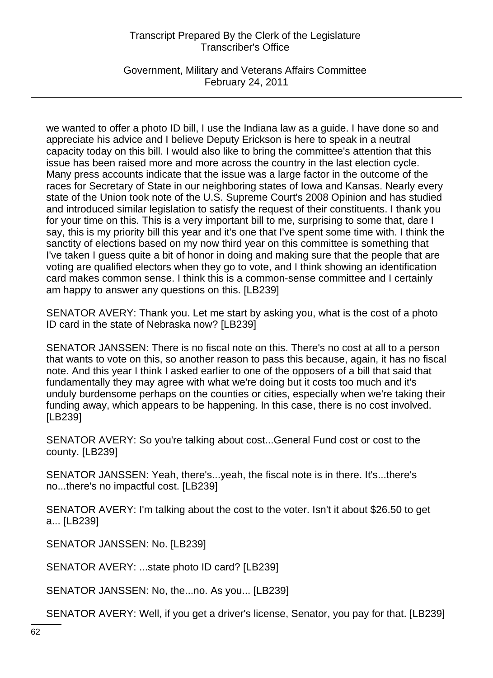Government, Military and Veterans Affairs Committee February 24, 2011

we wanted to offer a photo ID bill, I use the Indiana law as a guide. I have done so and appreciate his advice and I believe Deputy Erickson is here to speak in a neutral capacity today on this bill. I would also like to bring the committee's attention that this issue has been raised more and more across the country in the last election cycle. Many press accounts indicate that the issue was a large factor in the outcome of the races for Secretary of State in our neighboring states of Iowa and Kansas. Nearly every state of the Union took note of the U.S. Supreme Court's 2008 Opinion and has studied and introduced similar legislation to satisfy the request of their constituents. I thank you for your time on this. This is a very important bill to me, surprising to some that, dare I say, this is my priority bill this year and it's one that I've spent some time with. I think the sanctity of elections based on my now third year on this committee is something that I've taken I guess quite a bit of honor in doing and making sure that the people that are voting are qualified electors when they go to vote, and I think showing an identification card makes common sense. I think this is a common-sense committee and I certainly am happy to answer any questions on this. [LB239]

SENATOR AVERY: Thank you. Let me start by asking you, what is the cost of a photo ID card in the state of Nebraska now? [LB239]

SENATOR JANSSEN: There is no fiscal note on this. There's no cost at all to a person that wants to vote on this, so another reason to pass this because, again, it has no fiscal note. And this year I think I asked earlier to one of the opposers of a bill that said that fundamentally they may agree with what we're doing but it costs too much and it's unduly burdensome perhaps on the counties or cities, especially when we're taking their funding away, which appears to be happening. In this case, there is no cost involved. [LB239]

SENATOR AVERY: So you're talking about cost...General Fund cost or cost to the county. [LB239]

SENATOR JANSSEN: Yeah, there's...yeah, the fiscal note is in there. It's...there's no...there's no impactful cost. [LB239]

SENATOR AVERY: I'm talking about the cost to the voter. Isn't it about \$26.50 to get a... [LB239]

SENATOR JANSSEN: No. [LB239]

SENATOR AVERY: ...state photo ID card? [LB239]

SENATOR JANSSEN: No, the...no. As you... [LB239]

SENATOR AVERY: Well, if you get a driver's license, Senator, you pay for that. [LB239]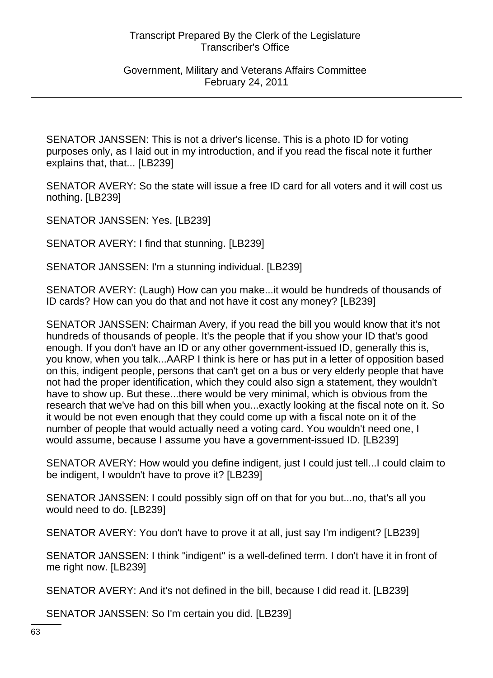Government, Military and Veterans Affairs Committee February 24, 2011

SENATOR JANSSEN: This is not a driver's license. This is a photo ID for voting purposes only, as I laid out in my introduction, and if you read the fiscal note it further explains that, that... [LB239]

SENATOR AVERY: So the state will issue a free ID card for all voters and it will cost us nothing. [LB239]

SENATOR JANSSEN: Yes. [LB239]

SENATOR AVERY: I find that stunning. [LB239]

SENATOR JANSSEN: I'm a stunning individual. [LB239]

SENATOR AVERY: (Laugh) How can you make...it would be hundreds of thousands of ID cards? How can you do that and not have it cost any money? [LB239]

SENATOR JANSSEN: Chairman Avery, if you read the bill you would know that it's not hundreds of thousands of people. It's the people that if you show your ID that's good enough. If you don't have an ID or any other government-issued ID, generally this is, you know, when you talk...AARP I think is here or has put in a letter of opposition based on this, indigent people, persons that can't get on a bus or very elderly people that have not had the proper identification, which they could also sign a statement, they wouldn't have to show up. But these...there would be very minimal, which is obvious from the research that we've had on this bill when you...exactly looking at the fiscal note on it. So it would be not even enough that they could come up with a fiscal note on it of the number of people that would actually need a voting card. You wouldn't need one, I would assume, because I assume you have a government-issued ID. [LB239]

SENATOR AVERY: How would you define indigent, just I could just tell...I could claim to be indigent, I wouldn't have to prove it? [LB239]

SENATOR JANSSEN: I could possibly sign off on that for you but...no, that's all you would need to do. [LB239]

SENATOR AVERY: You don't have to prove it at all, just say I'm indigent? [LB239]

SENATOR JANSSEN: I think "indigent" is a well-defined term. I don't have it in front of me right now. [LB239]

SENATOR AVERY: And it's not defined in the bill, because I did read it. [LB239]

SENATOR JANSSEN: So I'm certain you did. [LB239]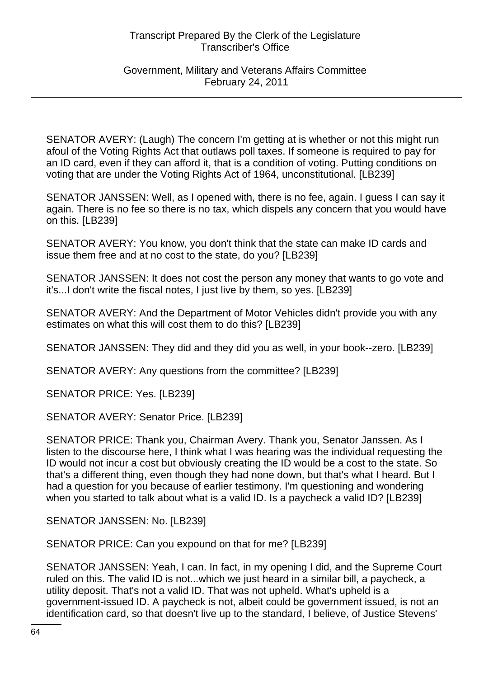### Government, Military and Veterans Affairs Committee February 24, 2011

SENATOR AVERY: (Laugh) The concern I'm getting at is whether or not this might run afoul of the Voting Rights Act that outlaws poll taxes. If someone is required to pay for an ID card, even if they can afford it, that is a condition of voting. Putting conditions on voting that are under the Voting Rights Act of 1964, unconstitutional. [LB239]

SENATOR JANSSEN: Well, as I opened with, there is no fee, again. I guess I can say it again. There is no fee so there is no tax, which dispels any concern that you would have on this. [LB239]

SENATOR AVERY: You know, you don't think that the state can make ID cards and issue them free and at no cost to the state, do you? [LB239]

SENATOR JANSSEN: It does not cost the person any money that wants to go vote and it's...I don't write the fiscal notes, I just live by them, so yes. [LB239]

SENATOR AVERY: And the Department of Motor Vehicles didn't provide you with any estimates on what this will cost them to do this? [LB239]

SENATOR JANSSEN: They did and they did you as well, in your book--zero. [LB239]

SENATOR AVERY: Any questions from the committee? [LB239]

SENATOR PRICE: Yes. [LB239]

SENATOR AVERY: Senator Price. [LB239]

SENATOR PRICE: Thank you, Chairman Avery. Thank you, Senator Janssen. As I listen to the discourse here, I think what I was hearing was the individual requesting the ID would not incur a cost but obviously creating the ID would be a cost to the state. So that's a different thing, even though they had none down, but that's what I heard. But I had a question for you because of earlier testimony. I'm questioning and wondering when you started to talk about what is a valid ID. Is a paycheck a valid ID? [LB239]

SENATOR JANSSEN: No. [LB239]

SENATOR PRICE: Can you expound on that for me? [LB239]

SENATOR JANSSEN: Yeah, I can. In fact, in my opening I did, and the Supreme Court ruled on this. The valid ID is not...which we just heard in a similar bill, a paycheck, a utility deposit. That's not a valid ID. That was not upheld. What's upheld is a government-issued ID. A paycheck is not, albeit could be government issued, is not an identification card, so that doesn't live up to the standard, I believe, of Justice Stevens'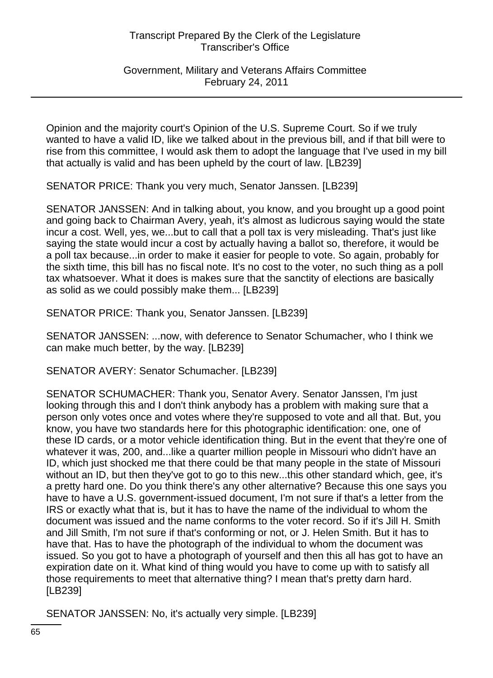Government, Military and Veterans Affairs Committee February 24, 2011

Opinion and the majority court's Opinion of the U.S. Supreme Court. So if we truly wanted to have a valid ID, like we talked about in the previous bill, and if that bill were to rise from this committee, I would ask them to adopt the language that I've used in my bill that actually is valid and has been upheld by the court of law. [LB239]

SENATOR PRICE: Thank you very much, Senator Janssen. [LB239]

SENATOR JANSSEN: And in talking about, you know, and you brought up a good point and going back to Chairman Avery, yeah, it's almost as ludicrous saying would the state incur a cost. Well, yes, we...but to call that a poll tax is very misleading. That's just like saying the state would incur a cost by actually having a ballot so, therefore, it would be a poll tax because...in order to make it easier for people to vote. So again, probably for the sixth time, this bill has no fiscal note. It's no cost to the voter, no such thing as a poll tax whatsoever. What it does is makes sure that the sanctity of elections are basically as solid as we could possibly make them... [LB239]

SENATOR PRICE: Thank you, Senator Janssen. [LB239]

SENATOR JANSSEN: ...now, with deference to Senator Schumacher, who I think we can make much better, by the way. [LB239]

SENATOR AVERY: Senator Schumacher. [LB239]

SENATOR SCHUMACHER: Thank you, Senator Avery. Senator Janssen, I'm just looking through this and I don't think anybody has a problem with making sure that a person only votes once and votes where they're supposed to vote and all that. But, you know, you have two standards here for this photographic identification: one, one of these ID cards, or a motor vehicle identification thing. But in the event that they're one of whatever it was, 200, and...like a quarter million people in Missouri who didn't have an ID, which just shocked me that there could be that many people in the state of Missouri without an ID, but then they've got to go to this new...this other standard which, gee, it's a pretty hard one. Do you think there's any other alternative? Because this one says you have to have a U.S. government-issued document, I'm not sure if that's a letter from the IRS or exactly what that is, but it has to have the name of the individual to whom the document was issued and the name conforms to the voter record. So if it's Jill H. Smith and Jill Smith, I'm not sure if that's conforming or not, or J. Helen Smith. But it has to have that. Has to have the photograph of the individual to whom the document was issued. So you got to have a photograph of yourself and then this all has got to have an expiration date on it. What kind of thing would you have to come up with to satisfy all those requirements to meet that alternative thing? I mean that's pretty darn hard. [LB239]

SENATOR JANSSEN: No, it's actually very simple. [LB239]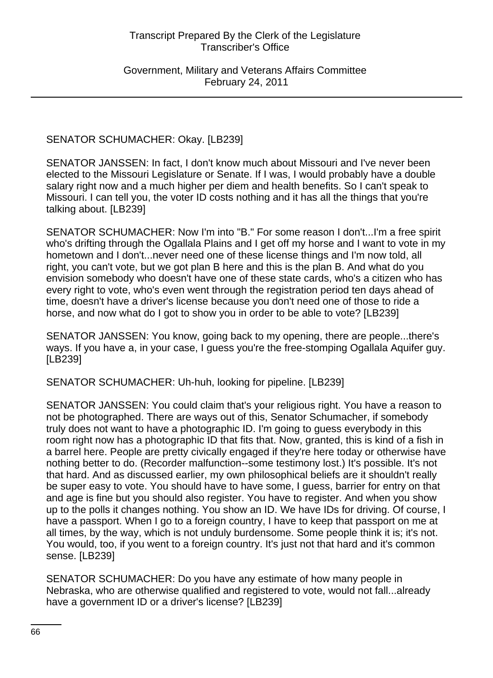Government, Military and Veterans Affairs Committee February 24, 2011

## SENATOR SCHUMACHER: Okay. [LB239]

SENATOR JANSSEN: In fact, I don't know much about Missouri and I've never been elected to the Missouri Legislature or Senate. If I was, I would probably have a double salary right now and a much higher per diem and health benefits. So I can't speak to Missouri. I can tell you, the voter ID costs nothing and it has all the things that you're talking about. [LB239]

SENATOR SCHUMACHER: Now I'm into "B." For some reason I don't...I'm a free spirit who's drifting through the Ogallala Plains and I get off my horse and I want to vote in my hometown and I don't...never need one of these license things and I'm now told, all right, you can't vote, but we got plan B here and this is the plan B. And what do you envision somebody who doesn't have one of these state cards, who's a citizen who has every right to vote, who's even went through the registration period ten days ahead of time, doesn't have a driver's license because you don't need one of those to ride a horse, and now what do I got to show you in order to be able to vote? [LB239]

SENATOR JANSSEN: You know, going back to my opening, there are people...there's ways. If you have a, in your case, I guess you're the free-stomping Ogallala Aquifer guy. [LB239]

SENATOR SCHUMACHER: Uh-huh, looking for pipeline. [LB239]

SENATOR JANSSEN: You could claim that's your religious right. You have a reason to not be photographed. There are ways out of this, Senator Schumacher, if somebody truly does not want to have a photographic ID. I'm going to guess everybody in this room right now has a photographic ID that fits that. Now, granted, this is kind of a fish in a barrel here. People are pretty civically engaged if they're here today or otherwise have nothing better to do. (Recorder malfunction--some testimony lost.) It's possible. It's not that hard. And as discussed earlier, my own philosophical beliefs are it shouldn't really be super easy to vote. You should have to have some, I guess, barrier for entry on that and age is fine but you should also register. You have to register. And when you show up to the polls it changes nothing. You show an ID. We have IDs for driving. Of course, I have a passport. When I go to a foreign country, I have to keep that passport on me at all times, by the way, which is not unduly burdensome. Some people think it is; it's not. You would, too, if you went to a foreign country. It's just not that hard and it's common sense. [LB239]

SENATOR SCHUMACHER: Do you have any estimate of how many people in Nebraska, who are otherwise qualified and registered to vote, would not fall...already have a government ID or a driver's license? [LB239]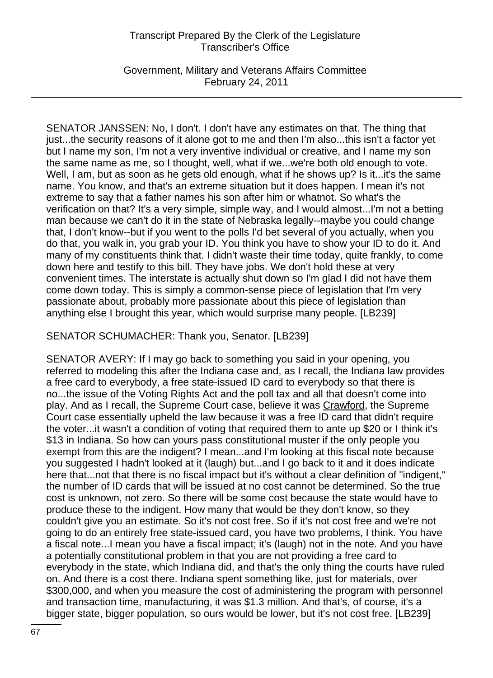Government, Military and Veterans Affairs Committee February 24, 2011

SENATOR JANSSEN: No, I don't. I don't have any estimates on that. The thing that just...the security reasons of it alone got to me and then I'm also...this isn't a factor yet but I name my son, I'm not a very inventive individual or creative, and I name my son the same name as me, so I thought, well, what if we...we're both old enough to vote. Well, I am, but as soon as he gets old enough, what if he shows up? Is it...it's the same name. You know, and that's an extreme situation but it does happen. I mean it's not extreme to say that a father names his son after him or whatnot. So what's the verification on that? It's a very simple, simple way, and I would almost...I'm not a betting man because we can't do it in the state of Nebraska legally--maybe you could change that, I don't know--but if you went to the polls I'd bet several of you actually, when you do that, you walk in, you grab your ID. You think you have to show your ID to do it. And many of my constituents think that. I didn't waste their time today, quite frankly, to come down here and testify to this bill. They have jobs. We don't hold these at very convenient times. The interstate is actually shut down so I'm glad I did not have them come down today. This is simply a common-sense piece of legislation that I'm very passionate about, probably more passionate about this piece of legislation than anything else I brought this year, which would surprise many people. [LB239]

SENATOR SCHUMACHER: Thank you, Senator. [LB239]

SENATOR AVERY: If I may go back to something you said in your opening, you referred to modeling this after the Indiana case and, as I recall, the Indiana law provides a free card to everybody, a free state-issued ID card to everybody so that there is no...the issue of the Voting Rights Act and the poll tax and all that doesn't come into play. And as I recall, the Supreme Court case, believe it was Crawford, the Supreme Court case essentially upheld the law because it was a free ID card that didn't require the voter...it wasn't a condition of voting that required them to ante up \$20 or I think it's \$13 in Indiana. So how can yours pass constitutional muster if the only people you exempt from this are the indigent? I mean...and I'm looking at this fiscal note because you suggested I hadn't looked at it (laugh) but...and I go back to it and it does indicate here that...not that there is no fiscal impact but it's without a clear definition of "indigent," the number of ID cards that will be issued at no cost cannot be determined. So the true cost is unknown, not zero. So there will be some cost because the state would have to produce these to the indigent. How many that would be they don't know, so they couldn't give you an estimate. So it's not cost free. So if it's not cost free and we're not going to do an entirely free state-issued card, you have two problems, I think. You have a fiscal note...I mean you have a fiscal impact; it's (laugh) not in the note. And you have a potentially constitutional problem in that you are not providing a free card to everybody in the state, which Indiana did, and that's the only thing the courts have ruled on. And there is a cost there. Indiana spent something like, just for materials, over \$300,000, and when you measure the cost of administering the program with personnel and transaction time, manufacturing, it was \$1.3 million. And that's, of course, it's a bigger state, bigger population, so ours would be lower, but it's not cost free. [LB239]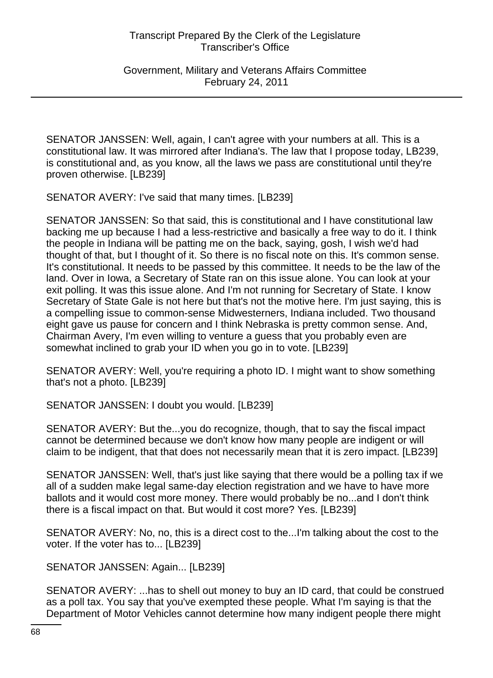Government, Military and Veterans Affairs Committee February 24, 2011

SENATOR JANSSEN: Well, again, I can't agree with your numbers at all. This is a constitutional law. It was mirrored after Indiana's. The law that I propose today, LB239, is constitutional and, as you know, all the laws we pass are constitutional until they're proven otherwise. [LB239]

SENATOR AVERY: I've said that many times. [LB239]

SENATOR JANSSEN: So that said, this is constitutional and I have constitutional law backing me up because I had a less-restrictive and basically a free way to do it. I think the people in Indiana will be patting me on the back, saying, gosh, I wish we'd had thought of that, but I thought of it. So there is no fiscal note on this. It's common sense. It's constitutional. It needs to be passed by this committee. It needs to be the law of the land. Over in Iowa, a Secretary of State ran on this issue alone. You can look at your exit polling. It was this issue alone. And I'm not running for Secretary of State. I know Secretary of State Gale is not here but that's not the motive here. I'm just saying, this is a compelling issue to common-sense Midwesterners, Indiana included. Two thousand eight gave us pause for concern and I think Nebraska is pretty common sense. And, Chairman Avery, I'm even willing to venture a guess that you probably even are somewhat inclined to grab your ID when you go in to vote. [LB239]

SENATOR AVERY: Well, you're requiring a photo ID. I might want to show something that's not a photo. [LB239]

SENATOR JANSSEN: I doubt you would. [LB239]

SENATOR AVERY: But the...you do recognize, though, that to say the fiscal impact cannot be determined because we don't know how many people are indigent or will claim to be indigent, that that does not necessarily mean that it is zero impact. [LB239]

SENATOR JANSSEN: Well, that's just like saying that there would be a polling tax if we all of a sudden make legal same-day election registration and we have to have more ballots and it would cost more money. There would probably be no...and I don't think there is a fiscal impact on that. But would it cost more? Yes. [LB239]

SENATOR AVERY: No, no, this is a direct cost to the...I'm talking about the cost to the voter. If the voter has to... [LB239]

SENATOR JANSSEN: Again... [LB239]

SENATOR AVERY: ...has to shell out money to buy an ID card, that could be construed as a poll tax. You say that you've exempted these people. What I'm saying is that the Department of Motor Vehicles cannot determine how many indigent people there might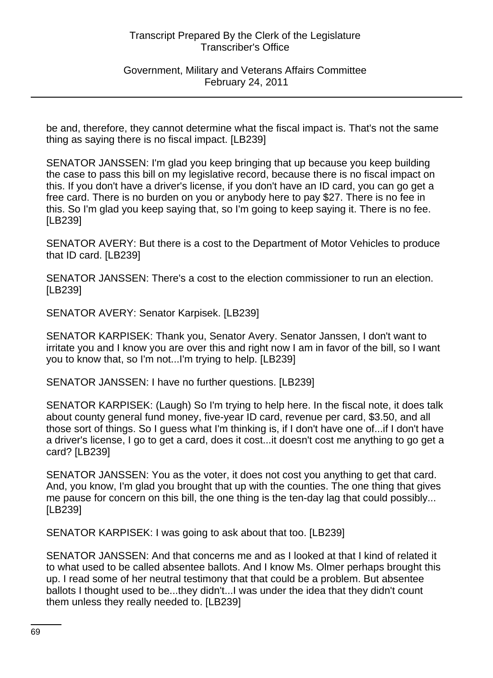Government, Military and Veterans Affairs Committee February 24, 2011

be and, therefore, they cannot determine what the fiscal impact is. That's not the same thing as saying there is no fiscal impact. [LB239]

SENATOR JANSSEN: I'm glad you keep bringing that up because you keep building the case to pass this bill on my legislative record, because there is no fiscal impact on this. If you don't have a driver's license, if you don't have an ID card, you can go get a free card. There is no burden on you or anybody here to pay \$27. There is no fee in this. So I'm glad you keep saying that, so I'm going to keep saying it. There is no fee. [LB239]

SENATOR AVERY: But there is a cost to the Department of Motor Vehicles to produce that ID card. [LB239]

SENATOR JANSSEN: There's a cost to the election commissioner to run an election. [LB239]

SENATOR AVERY: Senator Karpisek. [LB239]

SENATOR KARPISEK: Thank you, Senator Avery. Senator Janssen, I don't want to irritate you and I know you are over this and right now I am in favor of the bill, so I want you to know that, so I'm not...I'm trying to help. [LB239]

SENATOR JANSSEN: I have no further questions. [LB239]

SENATOR KARPISEK: (Laugh) So I'm trying to help here. In the fiscal note, it does talk about county general fund money, five-year ID card, revenue per card, \$3.50, and all those sort of things. So I guess what I'm thinking is, if I don't have one of...if I don't have a driver's license, I go to get a card, does it cost...it doesn't cost me anything to go get a card? [LB239]

SENATOR JANSSEN: You as the voter, it does not cost you anything to get that card. And, you know, I'm glad you brought that up with the counties. The one thing that gives me pause for concern on this bill, the one thing is the ten-day lag that could possibly... [LB239]

SENATOR KARPISEK: I was going to ask about that too. [LB239]

SENATOR JANSSEN: And that concerns me and as I looked at that I kind of related it to what used to be called absentee ballots. And I know Ms. Olmer perhaps brought this up. I read some of her neutral testimony that that could be a problem. But absentee ballots I thought used to be...they didn't...I was under the idea that they didn't count them unless they really needed to. [LB239]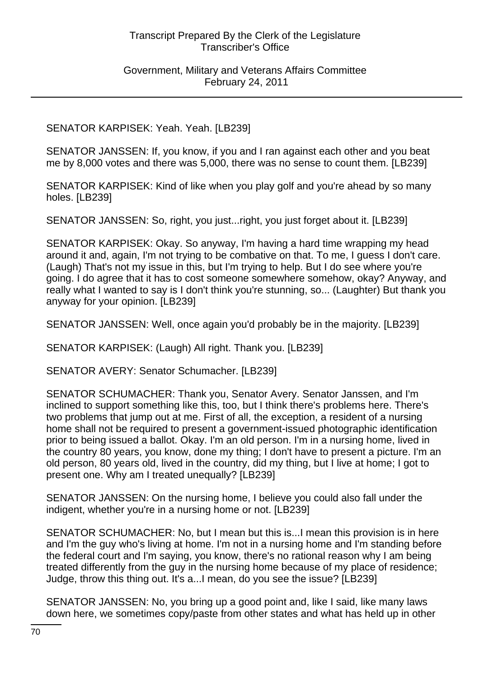### Government, Military and Veterans Affairs Committee February 24, 2011

## SENATOR KARPISEK: Yeah. Yeah. [LB239]

SENATOR JANSSEN: If, you know, if you and I ran against each other and you beat me by 8,000 votes and there was 5,000, there was no sense to count them. [LB239]

SENATOR KARPISEK: Kind of like when you play golf and you're ahead by so many holes. [LB239]

SENATOR JANSSEN: So, right, you just...right, you just forget about it. [LB239]

SENATOR KARPISEK: Okay. So anyway, I'm having a hard time wrapping my head around it and, again, I'm not trying to be combative on that. To me, I guess I don't care. (Laugh) That's not my issue in this, but I'm trying to help. But I do see where you're going. I do agree that it has to cost someone somewhere somehow, okay? Anyway, and really what I wanted to say is I don't think you're stunning, so... (Laughter) But thank you anyway for your opinion. [LB239]

SENATOR JANSSEN: Well, once again you'd probably be in the majority. [LB239]

SENATOR KARPISEK: (Laugh) All right. Thank you. [LB239]

SENATOR AVERY: Senator Schumacher. [LB239]

SENATOR SCHUMACHER: Thank you, Senator Avery. Senator Janssen, and I'm inclined to support something like this, too, but I think there's problems here. There's two problems that jump out at me. First of all, the exception, a resident of a nursing home shall not be required to present a government-issued photographic identification prior to being issued a ballot. Okay. I'm an old person. I'm in a nursing home, lived in the country 80 years, you know, done my thing; I don't have to present a picture. I'm an old person, 80 years old, lived in the country, did my thing, but I live at home; I got to present one. Why am I treated unequally? [LB239]

SENATOR JANSSEN: On the nursing home, I believe you could also fall under the indigent, whether you're in a nursing home or not. [LB239]

SENATOR SCHUMACHER: No, but I mean but this is...I mean this provision is in here and I'm the guy who's living at home. I'm not in a nursing home and I'm standing before the federal court and I'm saying, you know, there's no rational reason why I am being treated differently from the guy in the nursing home because of my place of residence; Judge, throw this thing out. It's a...I mean, do you see the issue? [LB239]

SENATOR JANSSEN: No, you bring up a good point and, like I said, like many laws down here, we sometimes copy/paste from other states and what has held up in other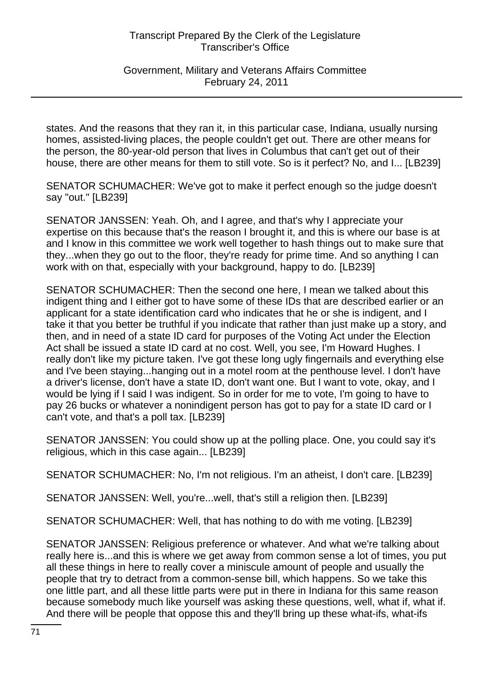Government, Military and Veterans Affairs Committee February 24, 2011

states. And the reasons that they ran it, in this particular case, Indiana, usually nursing homes, assisted-living places, the people couldn't get out. There are other means for the person, the 80-year-old person that lives in Columbus that can't get out of their house, there are other means for them to still vote. So is it perfect? No, and I... [LB239]

SENATOR SCHUMACHER: We've got to make it perfect enough so the judge doesn't say "out." [LB239]

SENATOR JANSSEN: Yeah. Oh, and I agree, and that's why I appreciate your expertise on this because that's the reason I brought it, and this is where our base is at and I know in this committee we work well together to hash things out to make sure that they...when they go out to the floor, they're ready for prime time. And so anything I can work with on that, especially with your background, happy to do. [LB239]

SENATOR SCHUMACHER: Then the second one here, I mean we talked about this indigent thing and I either got to have some of these IDs that are described earlier or an applicant for a state identification card who indicates that he or she is indigent, and I take it that you better be truthful if you indicate that rather than just make up a story, and then, and in need of a state ID card for purposes of the Voting Act under the Election Act shall be issued a state ID card at no cost. Well, you see, I'm Howard Hughes. I really don't like my picture taken. I've got these long ugly fingernails and everything else and I've been staying...hanging out in a motel room at the penthouse level. I don't have a driver's license, don't have a state ID, don't want one. But I want to vote, okay, and I would be lying if I said I was indigent. So in order for me to vote, I'm going to have to pay 26 bucks or whatever a nonindigent person has got to pay for a state ID card or I can't vote, and that's a poll tax. [LB239]

SENATOR JANSSEN: You could show up at the polling place. One, you could say it's religious, which in this case again... [LB239]

SENATOR SCHUMACHER: No, I'm not religious. I'm an atheist, I don't care. [LB239]

SENATOR JANSSEN: Well, you're...well, that's still a religion then. [LB239]

SENATOR SCHUMACHER: Well, that has nothing to do with me voting. [LB239]

SENATOR JANSSEN: Religious preference or whatever. And what we're talking about really here is...and this is where we get away from common sense a lot of times, you put all these things in here to really cover a miniscule amount of people and usually the people that try to detract from a common-sense bill, which happens. So we take this one little part, and all these little parts were put in there in Indiana for this same reason because somebody much like yourself was asking these questions, well, what if, what if. And there will be people that oppose this and they'll bring up these what-ifs, what-ifs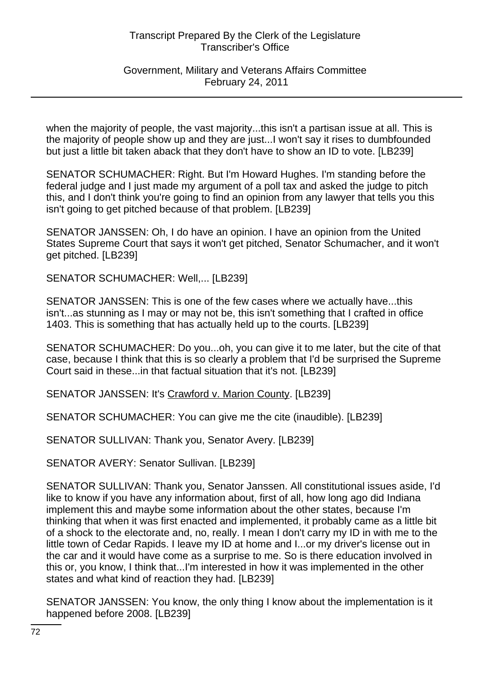Government, Military and Veterans Affairs Committee February 24, 2011

when the majority of people, the vast majority...this isn't a partisan issue at all. This is the majority of people show up and they are just...I won't say it rises to dumbfounded but just a little bit taken aback that they don't have to show an ID to vote. [LB239]

SENATOR SCHUMACHER: Right. But I'm Howard Hughes. I'm standing before the federal judge and I just made my argument of a poll tax and asked the judge to pitch this, and I don't think you're going to find an opinion from any lawyer that tells you this isn't going to get pitched because of that problem. [LB239]

SENATOR JANSSEN: Oh, I do have an opinion. I have an opinion from the United States Supreme Court that says it won't get pitched, Senator Schumacher, and it won't get pitched. [LB239]

SENATOR SCHUMACHER: Well,... [LB239]

SENATOR JANSSEN: This is one of the few cases where we actually have...this isn't...as stunning as I may or may not be, this isn't something that I crafted in office 1403. This is something that has actually held up to the courts. [LB239]

SENATOR SCHUMACHER: Do you...oh, you can give it to me later, but the cite of that case, because I think that this is so clearly a problem that I'd be surprised the Supreme Court said in these...in that factual situation that it's not. [LB239]

SENATOR JANSSEN: It's Crawford v. Marion County. [LB239]

SENATOR SCHUMACHER: You can give me the cite (inaudible). [LB239]

SENATOR SULLIVAN: Thank you, Senator Avery. [LB239]

SENATOR AVERY: Senator Sullivan. [LB239]

SENATOR SULLIVAN: Thank you, Senator Janssen. All constitutional issues aside, I'd like to know if you have any information about, first of all, how long ago did Indiana implement this and maybe some information about the other states, because I'm thinking that when it was first enacted and implemented, it probably came as a little bit of a shock to the electorate and, no, really. I mean I don't carry my ID in with me to the little town of Cedar Rapids. I leave my ID at home and I...or my driver's license out in the car and it would have come as a surprise to me. So is there education involved in this or, you know, I think that...I'm interested in how it was implemented in the other states and what kind of reaction they had. [LB239]

SENATOR JANSSEN: You know, the only thing I know about the implementation is it happened before 2008. [LB239]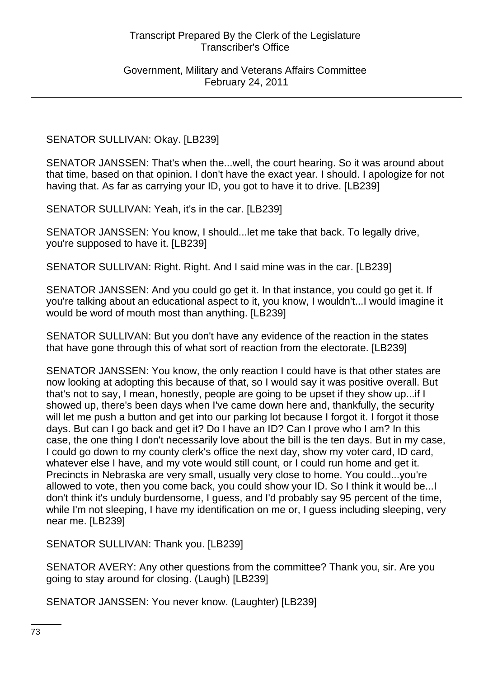Government, Military and Veterans Affairs Committee February 24, 2011

SENATOR SULLIVAN: Okay. [LB239]

SENATOR JANSSEN: That's when the...well, the court hearing. So it was around about that time, based on that opinion. I don't have the exact year. I should. I apologize for not having that. As far as carrying your ID, you got to have it to drive. [LB239]

SENATOR SULLIVAN: Yeah, it's in the car. [LB239]

SENATOR JANSSEN: You know, I should...let me take that back. To legally drive, you're supposed to have it. [LB239]

SENATOR SULLIVAN: Right. Right. And I said mine was in the car. [LB239]

SENATOR JANSSEN: And you could go get it. In that instance, you could go get it. If you're talking about an educational aspect to it, you know, I wouldn't...I would imagine it would be word of mouth most than anything. [LB239]

SENATOR SULLIVAN: But you don't have any evidence of the reaction in the states that have gone through this of what sort of reaction from the electorate. [LB239]

SENATOR JANSSEN: You know, the only reaction I could have is that other states are now looking at adopting this because of that, so I would say it was positive overall. But that's not to say, I mean, honestly, people are going to be upset if they show up...if I showed up, there's been days when I've came down here and, thankfully, the security will let me push a button and get into our parking lot because I forgot it. I forgot it those days. But can I go back and get it? Do I have an ID? Can I prove who I am? In this case, the one thing I don't necessarily love about the bill is the ten days. But in my case, I could go down to my county clerk's office the next day, show my voter card, ID card, whatever else I have, and my vote would still count, or I could run home and get it. Precincts in Nebraska are very small, usually very close to home. You could...you're allowed to vote, then you come back, you could show your ID. So I think it would be...I don't think it's unduly burdensome, I guess, and I'd probably say 95 percent of the time, while I'm not sleeping, I have my identification on me or, I guess including sleeping, very near me. [LB239]

SENATOR SULLIVAN: Thank you. [LB239]

SENATOR AVERY: Any other questions from the committee? Thank you, sir. Are you going to stay around for closing. (Laugh) [LB239]

SENATOR JANSSEN: You never know. (Laughter) [LB239]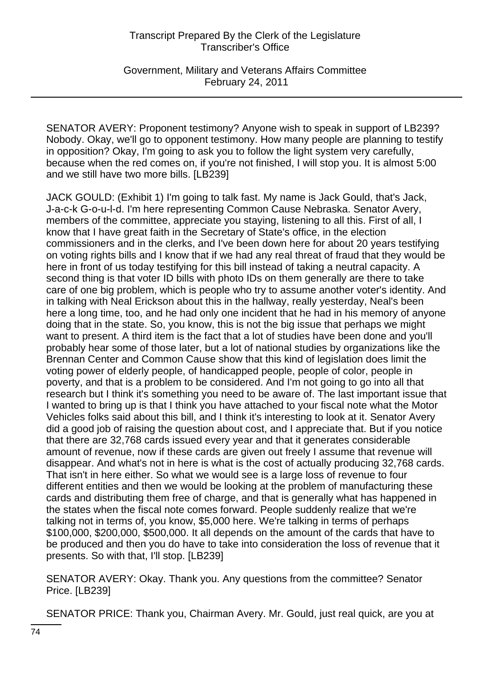Government, Military and Veterans Affairs Committee February 24, 2011

SENATOR AVERY: Proponent testimony? Anyone wish to speak in support of LB239? Nobody. Okay, we'll go to opponent testimony. How many people are planning to testify in opposition? Okay, I'm going to ask you to follow the light system very carefully, because when the red comes on, if you're not finished, I will stop you. It is almost 5:00 and we still have two more bills. [LB239]

JACK GOULD: (Exhibit 1) I'm going to talk fast. My name is Jack Gould, that's Jack, J-a-c-k G-o-u-l-d. I'm here representing Common Cause Nebraska. Senator Avery, members of the committee, appreciate you staying, listening to all this. First of all, I know that I have great faith in the Secretary of State's office, in the election commissioners and in the clerks, and I've been down here for about 20 years testifying on voting rights bills and I know that if we had any real threat of fraud that they would be here in front of us today testifying for this bill instead of taking a neutral capacity. A second thing is that voter ID bills with photo IDs on them generally are there to take care of one big problem, which is people who try to assume another voter's identity. And in talking with Neal Erickson about this in the hallway, really yesterday, Neal's been here a long time, too, and he had only one incident that he had in his memory of anyone doing that in the state. So, you know, this is not the big issue that perhaps we might want to present. A third item is the fact that a lot of studies have been done and you'll probably hear some of those later, but a lot of national studies by organizations like the Brennan Center and Common Cause show that this kind of legislation does limit the voting power of elderly people, of handicapped people, people of color, people in poverty, and that is a problem to be considered. And I'm not going to go into all that research but I think it's something you need to be aware of. The last important issue that I wanted to bring up is that I think you have attached to your fiscal note what the Motor Vehicles folks said about this bill, and I think it's interesting to look at it. Senator Avery did a good job of raising the question about cost, and I appreciate that. But if you notice that there are 32,768 cards issued every year and that it generates considerable amount of revenue, now if these cards are given out freely I assume that revenue will disappear. And what's not in here is what is the cost of actually producing 32,768 cards. That isn't in here either. So what we would see is a large loss of revenue to four different entities and then we would be looking at the problem of manufacturing these cards and distributing them free of charge, and that is generally what has happened in the states when the fiscal note comes forward. People suddenly realize that we're talking not in terms of, you know, \$5,000 here. We're talking in terms of perhaps \$100,000, \$200,000, \$500,000. It all depends on the amount of the cards that have to be produced and then you do have to take into consideration the loss of revenue that it presents. So with that, I'll stop. [LB239]

SENATOR AVERY: Okay. Thank you. Any questions from the committee? Senator Price. [LB239]

SENATOR PRICE: Thank you, Chairman Avery. Mr. Gould, just real quick, are you at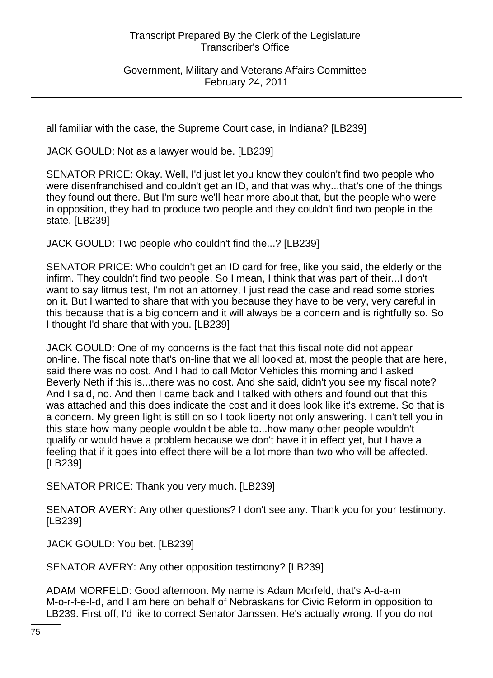Government, Military and Veterans Affairs Committee February 24, 2011

all familiar with the case, the Supreme Court case, in Indiana? [LB239]

JACK GOULD: Not as a lawyer would be. [LB239]

SENATOR PRICE: Okay. Well, I'd just let you know they couldn't find two people who were disenfranchised and couldn't get an ID, and that was why...that's one of the things they found out there. But I'm sure we'll hear more about that, but the people who were in opposition, they had to produce two people and they couldn't find two people in the state. [LB239]

JACK GOULD: Two people who couldn't find the...? [LB239]

SENATOR PRICE: Who couldn't get an ID card for free, like you said, the elderly or the infirm. They couldn't find two people. So I mean, I think that was part of their...I don't want to say litmus test, I'm not an attorney, I just read the case and read some stories on it. But I wanted to share that with you because they have to be very, very careful in this because that is a big concern and it will always be a concern and is rightfully so. So I thought I'd share that with you. [LB239]

JACK GOULD: One of my concerns is the fact that this fiscal note did not appear on-line. The fiscal note that's on-line that we all looked at, most the people that are here, said there was no cost. And I had to call Motor Vehicles this morning and I asked Beverly Neth if this is...there was no cost. And she said, didn't you see my fiscal note? And I said, no. And then I came back and I talked with others and found out that this was attached and this does indicate the cost and it does look like it's extreme. So that is a concern. My green light is still on so I took liberty not only answering. I can't tell you in this state how many people wouldn't be able to...how many other people wouldn't qualify or would have a problem because we don't have it in effect yet, but I have a feeling that if it goes into effect there will be a lot more than two who will be affected. [LB239]

SENATOR PRICE: Thank you very much. [LB239]

SENATOR AVERY: Any other questions? I don't see any. Thank you for your testimony. [LB239]

JACK GOULD: You bet. [LB239]

SENATOR AVERY: Any other opposition testimony? [LB239]

ADAM MORFELD: Good afternoon. My name is Adam Morfeld, that's A-d-a-m M-o-r-f-e-l-d, and I am here on behalf of Nebraskans for Civic Reform in opposition to LB239. First off, I'd like to correct Senator Janssen. He's actually wrong. If you do not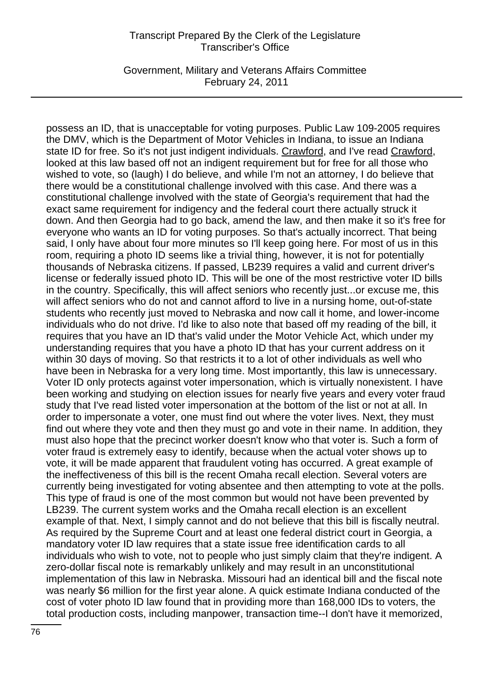Government, Military and Veterans Affairs Committee February 24, 2011

possess an ID, that is unacceptable for voting purposes. Public Law 109-2005 requires the DMV, which is the Department of Motor Vehicles in Indiana, to issue an Indiana state ID for free. So it's not just indigent individuals. Crawford, and I've read Crawford, looked at this law based off not an indigent requirement but for free for all those who wished to vote, so (laugh) I do believe, and while I'm not an attorney, I do believe that there would be a constitutional challenge involved with this case. And there was a constitutional challenge involved with the state of Georgia's requirement that had the exact same requirement for indigency and the federal court there actually struck it down. And then Georgia had to go back, amend the law, and then make it so it's free for everyone who wants an ID for voting purposes. So that's actually incorrect. That being said, I only have about four more minutes so I'll keep going here. For most of us in this room, requiring a photo ID seems like a trivial thing, however, it is not for potentially thousands of Nebraska citizens. If passed, LB239 requires a valid and current driver's license or federally issued photo ID. This will be one of the most restrictive voter ID bills in the country. Specifically, this will affect seniors who recently just...or excuse me, this will affect seniors who do not and cannot afford to live in a nursing home, out-of-state students who recently just moved to Nebraska and now call it home, and lower-income individuals who do not drive. I'd like to also note that based off my reading of the bill, it requires that you have an ID that's valid under the Motor Vehicle Act, which under my understanding requires that you have a photo ID that has your current address on it within 30 days of moving. So that restricts it to a lot of other individuals as well who have been in Nebraska for a very long time. Most importantly, this law is unnecessary. Voter ID only protects against voter impersonation, which is virtually nonexistent. I have been working and studying on election issues for nearly five years and every voter fraud study that I've read listed voter impersonation at the bottom of the list or not at all. In order to impersonate a voter, one must find out where the voter lives. Next, they must find out where they vote and then they must go and vote in their name. In addition, they must also hope that the precinct worker doesn't know who that voter is. Such a form of voter fraud is extremely easy to identify, because when the actual voter shows up to vote, it will be made apparent that fraudulent voting has occurred. A great example of the ineffectiveness of this bill is the recent Omaha recall election. Several voters are currently being investigated for voting absentee and then attempting to vote at the polls. This type of fraud is one of the most common but would not have been prevented by LB239. The current system works and the Omaha recall election is an excellent example of that. Next, I simply cannot and do not believe that this bill is fiscally neutral. As required by the Supreme Court and at least one federal district court in Georgia, a mandatory voter ID law requires that a state issue free identification cards to all individuals who wish to vote, not to people who just simply claim that they're indigent. A zero-dollar fiscal note is remarkably unlikely and may result in an unconstitutional implementation of this law in Nebraska. Missouri had an identical bill and the fiscal note was nearly \$6 million for the first year alone. A quick estimate Indiana conducted of the cost of voter photo ID law found that in providing more than 168,000 IDs to voters, the total production costs, including manpower, transaction time--I don't have it memorized,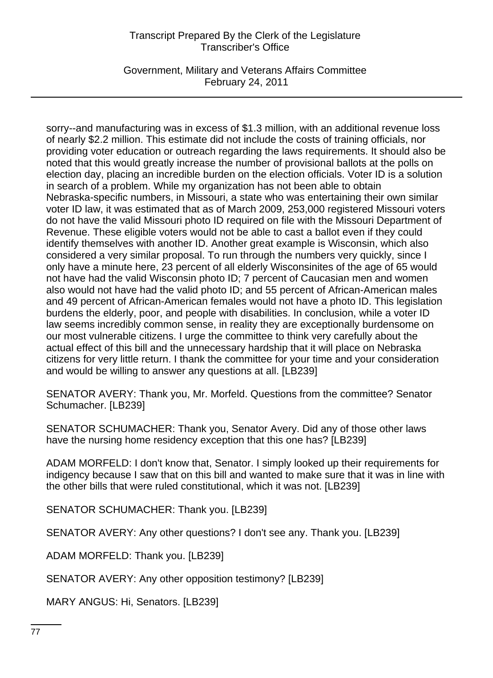Government, Military and Veterans Affairs Committee February 24, 2011

sorry--and manufacturing was in excess of \$1.3 million, with an additional revenue loss of nearly \$2.2 million. This estimate did not include the costs of training officials, nor providing voter education or outreach regarding the laws requirements. It should also be noted that this would greatly increase the number of provisional ballots at the polls on election day, placing an incredible burden on the election officials. Voter ID is a solution in search of a problem. While my organization has not been able to obtain Nebraska-specific numbers, in Missouri, a state who was entertaining their own similar voter ID law, it was estimated that as of March 2009, 253,000 registered Missouri voters do not have the valid Missouri photo ID required on file with the Missouri Department of Revenue. These eligible voters would not be able to cast a ballot even if they could identify themselves with another ID. Another great example is Wisconsin, which also considered a very similar proposal. To run through the numbers very quickly, since I only have a minute here, 23 percent of all elderly Wisconsinites of the age of 65 would not have had the valid Wisconsin photo ID; 7 percent of Caucasian men and women also would not have had the valid photo ID; and 55 percent of African-American males and 49 percent of African-American females would not have a photo ID. This legislation burdens the elderly, poor, and people with disabilities. In conclusion, while a voter ID law seems incredibly common sense, in reality they are exceptionally burdensome on our most vulnerable citizens. I urge the committee to think very carefully about the actual effect of this bill and the unnecessary hardship that it will place on Nebraska citizens for very little return. I thank the committee for your time and your consideration and would be willing to answer any questions at all. [LB239]

SENATOR AVERY: Thank you, Mr. Morfeld. Questions from the committee? Senator Schumacher. [LB239]

SENATOR SCHUMACHER: Thank you, Senator Avery. Did any of those other laws have the nursing home residency exception that this one has? [LB239]

ADAM MORFELD: I don't know that, Senator. I simply looked up their requirements for indigency because I saw that on this bill and wanted to make sure that it was in line with the other bills that were ruled constitutional, which it was not. [LB239]

SENATOR SCHUMACHER: Thank you. [LB239]

SENATOR AVERY: Any other questions? I don't see any. Thank you. [LB239]

ADAM MORFELD: Thank you. [LB239]

SENATOR AVERY: Any other opposition testimony? [LB239]

MARY ANGUS: Hi, Senators. [LB239]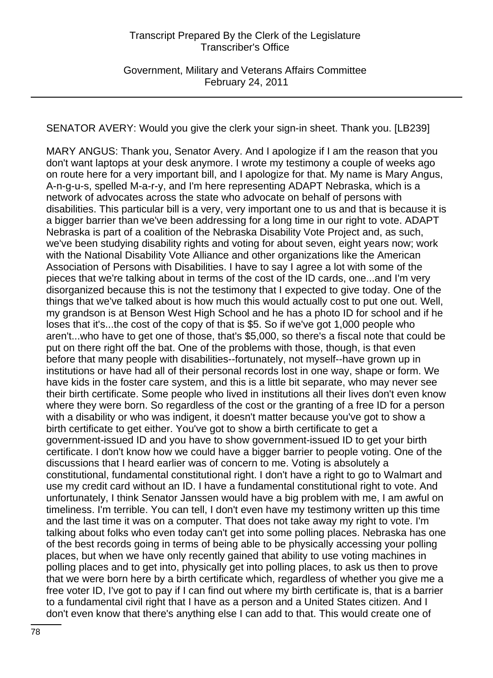Government, Military and Veterans Affairs Committee February 24, 2011

SENATOR AVERY: Would you give the clerk your sign-in sheet. Thank you. [LB239]

MARY ANGUS: Thank you, Senator Avery. And I apologize if I am the reason that you don't want laptops at your desk anymore. I wrote my testimony a couple of weeks ago on route here for a very important bill, and I apologize for that. My name is Mary Angus, A-n-g-u-s, spelled M-a-r-y, and I'm here representing ADAPT Nebraska, which is a network of advocates across the state who advocate on behalf of persons with disabilities. This particular bill is a very, very important one to us and that is because it is a bigger barrier than we've been addressing for a long time in our right to vote. ADAPT Nebraska is part of a coalition of the Nebraska Disability Vote Project and, as such, we've been studying disability rights and voting for about seven, eight years now; work with the National Disability Vote Alliance and other organizations like the American Association of Persons with Disabilities. I have to say I agree a lot with some of the pieces that we're talking about in terms of the cost of the ID cards, one...and I'm very disorganized because this is not the testimony that I expected to give today. One of the things that we've talked about is how much this would actually cost to put one out. Well, my grandson is at Benson West High School and he has a photo ID for school and if he loses that it's...the cost of the copy of that is \$5. So if we've got 1,000 people who aren't...who have to get one of those, that's \$5,000, so there's a fiscal note that could be put on there right off the bat. One of the problems with those, though, is that even before that many people with disabilities--fortunately, not myself--have grown up in institutions or have had all of their personal records lost in one way, shape or form. We have kids in the foster care system, and this is a little bit separate, who may never see their birth certificate. Some people who lived in institutions all their lives don't even know where they were born. So regardless of the cost or the granting of a free ID for a person with a disability or who was indigent, it doesn't matter because you've got to show a birth certificate to get either. You've got to show a birth certificate to get a government-issued ID and you have to show government-issued ID to get your birth certificate. I don't know how we could have a bigger barrier to people voting. One of the discussions that I heard earlier was of concern to me. Voting is absolutely a constitutional, fundamental constitutional right. I don't have a right to go to Walmart and use my credit card without an ID. I have a fundamental constitutional right to vote. And unfortunately, I think Senator Janssen would have a big problem with me, I am awful on timeliness. I'm terrible. You can tell, I don't even have my testimony written up this time and the last time it was on a computer. That does not take away my right to vote. I'm talking about folks who even today can't get into some polling places. Nebraska has one of the best records going in terms of being able to be physically accessing your polling places, but when we have only recently gained that ability to use voting machines in polling places and to get into, physically get into polling places, to ask us then to prove that we were born here by a birth certificate which, regardless of whether you give me a free voter ID, I've got to pay if I can find out where my birth certificate is, that is a barrier to a fundamental civil right that I have as a person and a United States citizen. And I don't even know that there's anything else I can add to that. This would create one of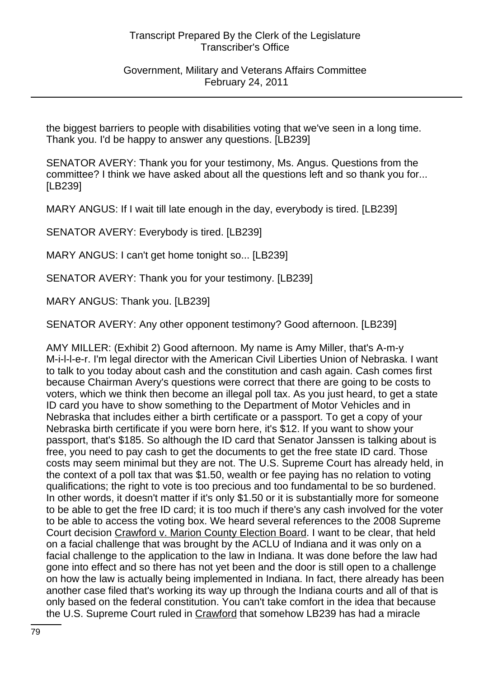Government, Military and Veterans Affairs Committee February 24, 2011

the biggest barriers to people with disabilities voting that we've seen in a long time. Thank you. I'd be happy to answer any questions. [LB239]

SENATOR AVERY: Thank you for your testimony, Ms. Angus. Questions from the committee? I think we have asked about all the questions left and so thank you for... [LB239]

MARY ANGUS: If I wait till late enough in the day, everybody is tired. [LB239]

SENATOR AVERY: Everybody is tired. [LB239]

MARY ANGUS: I can't get home tonight so... [LB239]

SENATOR AVERY: Thank you for your testimony. [LB239]

MARY ANGUS: Thank you. [LB239]

SENATOR AVERY: Any other opponent testimony? Good afternoon. [LB239]

AMY MILLER: (Exhibit 2) Good afternoon. My name is Amy Miller, that's A-m-y M-i-l-l-e-r. I'm legal director with the American Civil Liberties Union of Nebraska. I want to talk to you today about cash and the constitution and cash again. Cash comes first because Chairman Avery's questions were correct that there are going to be costs to voters, which we think then become an illegal poll tax. As you just heard, to get a state ID card you have to show something to the Department of Motor Vehicles and in Nebraska that includes either a birth certificate or a passport. To get a copy of your Nebraska birth certificate if you were born here, it's \$12. If you want to show your passport, that's \$185. So although the ID card that Senator Janssen is talking about is free, you need to pay cash to get the documents to get the free state ID card. Those costs may seem minimal but they are not. The U.S. Supreme Court has already held, in the context of a poll tax that was \$1.50, wealth or fee paying has no relation to voting qualifications; the right to vote is too precious and too fundamental to be so burdened. In other words, it doesn't matter if it's only \$1.50 or it is substantially more for someone to be able to get the free ID card; it is too much if there's any cash involved for the voter to be able to access the voting box. We heard several references to the 2008 Supreme Court decision Crawford v. Marion County Election Board. I want to be clear, that held on a facial challenge that was brought by the ACLU of Indiana and it was only on a facial challenge to the application to the law in Indiana. It was done before the law had gone into effect and so there has not yet been and the door is still open to a challenge on how the law is actually being implemented in Indiana. In fact, there already has been another case filed that's working its way up through the Indiana courts and all of that is only based on the federal constitution. You can't take comfort in the idea that because the U.S. Supreme Court ruled in Crawford that somehow LB239 has had a miracle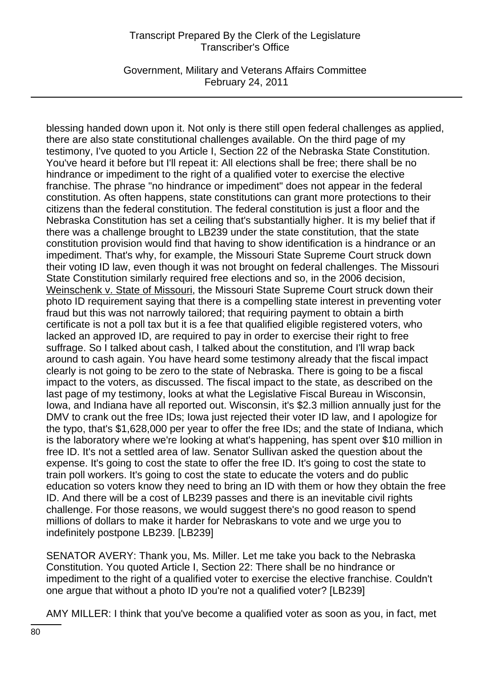Government, Military and Veterans Affairs Committee February 24, 2011

blessing handed down upon it. Not only is there still open federal challenges as applied, there are also state constitutional challenges available. On the third page of my testimony, I've quoted to you Article I, Section 22 of the Nebraska State Constitution. You've heard it before but I'll repeat it: All elections shall be free; there shall be no hindrance or impediment to the right of a qualified voter to exercise the elective franchise. The phrase "no hindrance or impediment" does not appear in the federal constitution. As often happens, state constitutions can grant more protections to their citizens than the federal constitution. The federal constitution is just a floor and the Nebraska Constitution has set a ceiling that's substantially higher. It is my belief that if there was a challenge brought to LB239 under the state constitution, that the state constitution provision would find that having to show identification is a hindrance or an impediment. That's why, for example, the Missouri State Supreme Court struck down their voting ID law, even though it was not brought on federal challenges. The Missouri State Constitution similarly required free elections and so, in the 2006 decision, Weinschenk v. State of Missouri, the Missouri State Supreme Court struck down their photo ID requirement saying that there is a compelling state interest in preventing voter fraud but this was not narrowly tailored; that requiring payment to obtain a birth certificate is not a poll tax but it is a fee that qualified eligible registered voters, who lacked an approved ID, are required to pay in order to exercise their right to free suffrage. So I talked about cash, I talked about the constitution, and I'll wrap back around to cash again. You have heard some testimony already that the fiscal impact clearly is not going to be zero to the state of Nebraska. There is going to be a fiscal impact to the voters, as discussed. The fiscal impact to the state, as described on the last page of my testimony, looks at what the Legislative Fiscal Bureau in Wisconsin, Iowa, and Indiana have all reported out. Wisconsin, it's \$2.3 million annually just for the DMV to crank out the free IDs; Iowa just rejected their voter ID law, and I apologize for the typo, that's \$1,628,000 per year to offer the free IDs; and the state of Indiana, which is the laboratory where we're looking at what's happening, has spent over \$10 million in free ID. It's not a settled area of law. Senator Sullivan asked the question about the expense. It's going to cost the state to offer the free ID. It's going to cost the state to train poll workers. It's going to cost the state to educate the voters and do public education so voters know they need to bring an ID with them or how they obtain the free ID. And there will be a cost of LB239 passes and there is an inevitable civil rights challenge. For those reasons, we would suggest there's no good reason to spend millions of dollars to make it harder for Nebraskans to vote and we urge you to indefinitely postpone LB239. [LB239]

SENATOR AVERY: Thank you, Ms. Miller. Let me take you back to the Nebraska Constitution. You quoted Article I, Section 22: There shall be no hindrance or impediment to the right of a qualified voter to exercise the elective franchise. Couldn't one argue that without a photo ID you're not a qualified voter? [LB239]

AMY MILLER: I think that you've become a qualified voter as soon as you, in fact, met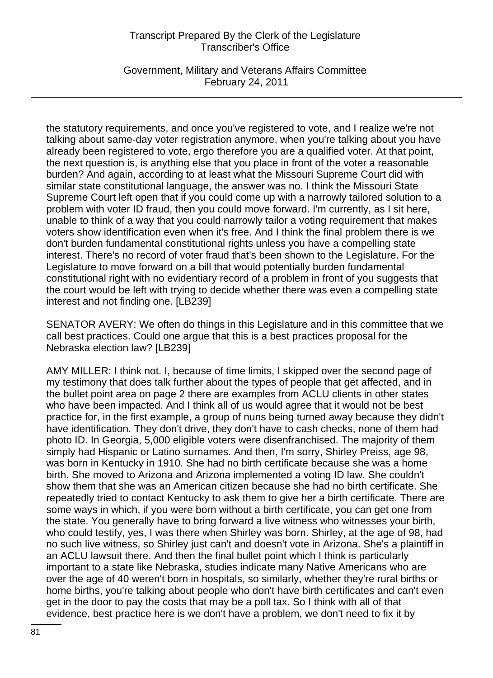Government, Military and Veterans Affairs Committee February 24, 2011

the statutory requirements, and once you've registered to vote, and I realize we're not talking about same-day voter registration anymore, when you're talking about you have already been registered to vote, ergo therefore you are a qualified voter. At that point, the next question is, is anything else that you place in front of the voter a reasonable burden? And again, according to at least what the Missouri Supreme Court did with similar state constitutional language, the answer was no. I think the Missouri State Supreme Court left open that if you could come up with a narrowly tailored solution to a problem with voter ID fraud, then you could move forward. I'm currently, as I sit here, unable to think of a way that you could narrowly tailor a voting requirement that makes voters show identification even when it's free. And I think the final problem there is we don't burden fundamental constitutional rights unless you have a compelling state interest. There's no record of voter fraud that's been shown to the Legislature. For the Legislature to move forward on a bill that would potentially burden fundamental constitutional right with no evidentiary record of a problem in front of you suggests that the court would be left with trying to decide whether there was even a compelling state interest and not finding one. [LB239]

SENATOR AVERY: We often do things in this Legislature and in this committee that we call best practices. Could one argue that this is a best practices proposal for the Nebraska election law? [LB239]

AMY MILLER: I think not. I, because of time limits, I skipped over the second page of my testimony that does talk further about the types of people that get affected, and in the bullet point area on page 2 there are examples from ACLU clients in other states who have been impacted. And I think all of us would agree that it would not be best practice for, in the first example, a group of nuns being turned away because they didn't have identification. They don't drive, they don't have to cash checks, none of them had photo ID. In Georgia, 5,000 eligible voters were disenfranchised. The majority of them simply had Hispanic or Latino surnames. And then, I'm sorry, Shirley Preiss, age 98, was born in Kentucky in 1910. She had no birth certificate because she was a home birth. She moved to Arizona and Arizona implemented a voting ID law. She couldn't show them that she was an American citizen because she had no birth certificate. She repeatedly tried to contact Kentucky to ask them to give her a birth certificate. There are some ways in which, if you were born without a birth certificate, you can get one from the state. You generally have to bring forward a live witness who witnesses your birth, who could testify, yes, I was there when Shirley was born. Shirley, at the age of 98, had no such live witness, so Shirley just can't and doesn't vote in Arizona. She's a plaintiff in an ACLU lawsuit there. And then the final bullet point which I think is particularly important to a state like Nebraska, studies indicate many Native Americans who are over the age of 40 weren't born in hospitals, so similarly, whether they're rural births or home births, you're talking about people who don't have birth certificates and can't even get in the door to pay the costs that may be a poll tax. So I think with all of that evidence, best practice here is we don't have a problem, we don't need to fix it by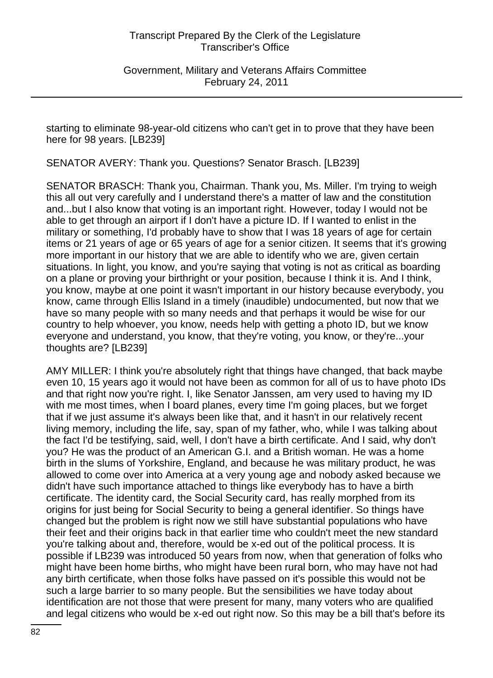Government, Military and Veterans Affairs Committee February 24, 2011

starting to eliminate 98-year-old citizens who can't get in to prove that they have been here for 98 years. [LB239]

SENATOR AVERY: Thank you. Questions? Senator Brasch. [LB239]

SENATOR BRASCH: Thank you, Chairman. Thank you, Ms. Miller. I'm trying to weigh this all out very carefully and I understand there's a matter of law and the constitution and...but I also know that voting is an important right. However, today I would not be able to get through an airport if I don't have a picture ID. If I wanted to enlist in the military or something, I'd probably have to show that I was 18 years of age for certain items or 21 years of age or 65 years of age for a senior citizen. It seems that it's growing more important in our history that we are able to identify who we are, given certain situations. In light, you know, and you're saying that voting is not as critical as boarding on a plane or proving your birthright or your position, because I think it is. And I think, you know, maybe at one point it wasn't important in our history because everybody, you know, came through Ellis Island in a timely (inaudible) undocumented, but now that we have so many people with so many needs and that perhaps it would be wise for our country to help whoever, you know, needs help with getting a photo ID, but we know everyone and understand, you know, that they're voting, you know, or they're...your thoughts are? [LB239]

AMY MILLER: I think you're absolutely right that things have changed, that back maybe even 10, 15 years ago it would not have been as common for all of us to have photo IDs and that right now you're right. I, like Senator Janssen, am very used to having my ID with me most times, when I board planes, every time I'm going places, but we forget that if we just assume it's always been like that, and it hasn't in our relatively recent living memory, including the life, say, span of my father, who, while I was talking about the fact I'd be testifying, said, well, I don't have a birth certificate. And I said, why don't you? He was the product of an American G.I. and a British woman. He was a home birth in the slums of Yorkshire, England, and because he was military product, he was allowed to come over into America at a very young age and nobody asked because we didn't have such importance attached to things like everybody has to have a birth certificate. The identity card, the Social Security card, has really morphed from its origins for just being for Social Security to being a general identifier. So things have changed but the problem is right now we still have substantial populations who have their feet and their origins back in that earlier time who couldn't meet the new standard you're talking about and, therefore, would be x-ed out of the political process. It is possible if LB239 was introduced 50 years from now, when that generation of folks who might have been home births, who might have been rural born, who may have not had any birth certificate, when those folks have passed on it's possible this would not be such a large barrier to so many people. But the sensibilities we have today about identification are not those that were present for many, many voters who are qualified and legal citizens who would be x-ed out right now. So this may be a bill that's before its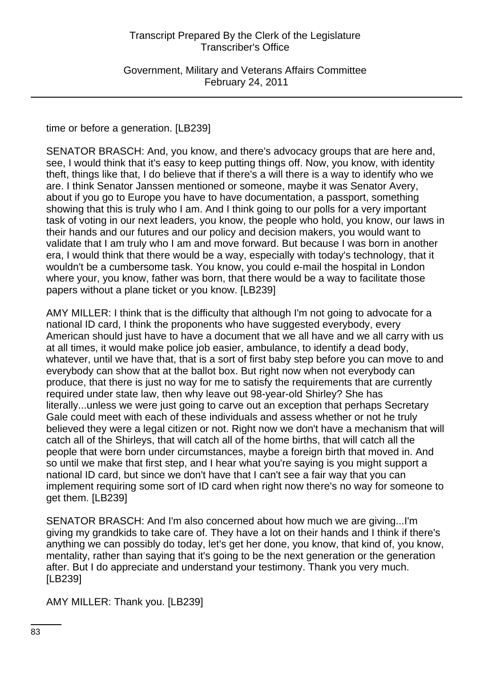Government, Military and Veterans Affairs Committee February 24, 2011

time or before a generation. [LB239]

SENATOR BRASCH: And, you know, and there's advocacy groups that are here and, see, I would think that it's easy to keep putting things off. Now, you know, with identity theft, things like that, I do believe that if there's a will there is a way to identify who we are. I think Senator Janssen mentioned or someone, maybe it was Senator Avery, about if you go to Europe you have to have documentation, a passport, something showing that this is truly who I am. And I think going to our polls for a very important task of voting in our next leaders, you know, the people who hold, you know, our laws in their hands and our futures and our policy and decision makers, you would want to validate that I am truly who I am and move forward. But because I was born in another era, I would think that there would be a way, especially with today's technology, that it wouldn't be a cumbersome task. You know, you could e-mail the hospital in London where your, you know, father was born, that there would be a way to facilitate those papers without a plane ticket or you know. [LB239]

AMY MILLER: I think that is the difficulty that although I'm not going to advocate for a national ID card, I think the proponents who have suggested everybody, every American should just have to have a document that we all have and we all carry with us at all times, it would make police job easier, ambulance, to identify a dead body, whatever, until we have that, that is a sort of first baby step before you can move to and everybody can show that at the ballot box. But right now when not everybody can produce, that there is just no way for me to satisfy the requirements that are currently required under state law, then why leave out 98-year-old Shirley? She has literally...unless we were just going to carve out an exception that perhaps Secretary Gale could meet with each of these individuals and assess whether or not he truly believed they were a legal citizen or not. Right now we don't have a mechanism that will catch all of the Shirleys, that will catch all of the home births, that will catch all the people that were born under circumstances, maybe a foreign birth that moved in. And so until we make that first step, and I hear what you're saying is you might support a national ID card, but since we don't have that I can't see a fair way that you can implement requiring some sort of ID card when right now there's no way for someone to get them. [LB239]

SENATOR BRASCH: And I'm also concerned about how much we are giving...I'm giving my grandkids to take care of. They have a lot on their hands and I think if there's anything we can possibly do today, let's get her done, you know, that kind of, you know, mentality, rather than saying that it's going to be the next generation or the generation after. But I do appreciate and understand your testimony. Thank you very much. [LB239]

AMY MILLER: Thank you. [LB239]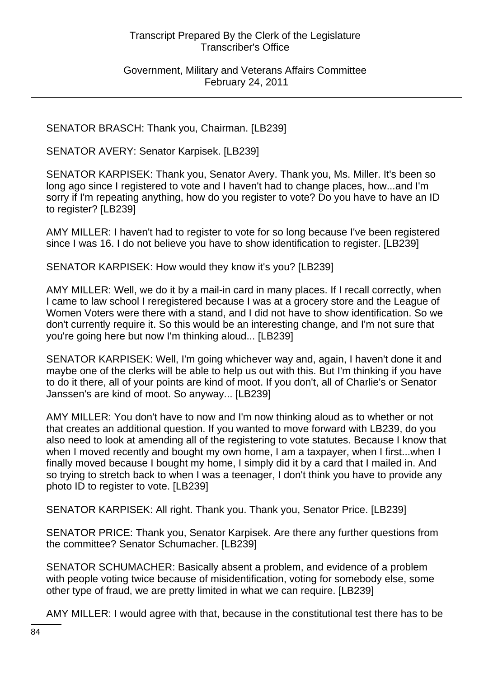Government, Military and Veterans Affairs Committee February 24, 2011

SENATOR BRASCH: Thank you, Chairman. [LB239]

SENATOR AVERY: Senator Karpisek. [LB239]

SENATOR KARPISEK: Thank you, Senator Avery. Thank you, Ms. Miller. It's been so long ago since I registered to vote and I haven't had to change places, how...and I'm sorry if I'm repeating anything, how do you register to vote? Do you have to have an ID to register? [LB239]

AMY MILLER: I haven't had to register to vote for so long because I've been registered since I was 16. I do not believe you have to show identification to register. [LB239]

SENATOR KARPISEK: How would they know it's you? [LB239]

AMY MILLER: Well, we do it by a mail-in card in many places. If I recall correctly, when I came to law school I reregistered because I was at a grocery store and the League of Women Voters were there with a stand, and I did not have to show identification. So we don't currently require it. So this would be an interesting change, and I'm not sure that you're going here but now I'm thinking aloud... [LB239]

SENATOR KARPISEK: Well, I'm going whichever way and, again, I haven't done it and maybe one of the clerks will be able to help us out with this. But I'm thinking if you have to do it there, all of your points are kind of moot. If you don't, all of Charlie's or Senator Janssen's are kind of moot. So anyway... [LB239]

AMY MILLER: You don't have to now and I'm now thinking aloud as to whether or not that creates an additional question. If you wanted to move forward with LB239, do you also need to look at amending all of the registering to vote statutes. Because I know that when I moved recently and bought my own home, I am a taxpayer, when I first...when I finally moved because I bought my home, I simply did it by a card that I mailed in. And so trying to stretch back to when I was a teenager, I don't think you have to provide any photo ID to register to vote. [LB239]

SENATOR KARPISEK: All right. Thank you. Thank you, Senator Price. [LB239]

SENATOR PRICE: Thank you, Senator Karpisek. Are there any further questions from the committee? Senator Schumacher. [LB239]

SENATOR SCHUMACHER: Basically absent a problem, and evidence of a problem with people voting twice because of misidentification, voting for somebody else, some other type of fraud, we are pretty limited in what we can require. [LB239]

AMY MILLER: I would agree with that, because in the constitutional test there has to be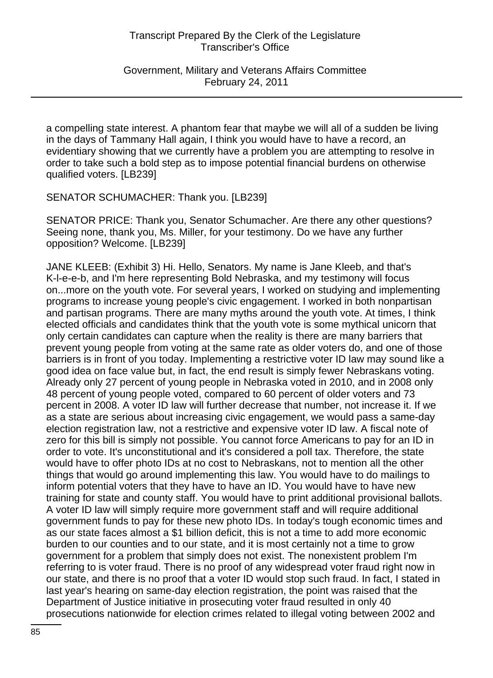Government, Military and Veterans Affairs Committee February 24, 2011

a compelling state interest. A phantom fear that maybe we will all of a sudden be living in the days of Tammany Hall again, I think you would have to have a record, an evidentiary showing that we currently have a problem you are attempting to resolve in order to take such a bold step as to impose potential financial burdens on otherwise qualified voters. [LB239]

SENATOR SCHUMACHER: Thank you. [LB239]

SENATOR PRICE: Thank you, Senator Schumacher. Are there any other questions? Seeing none, thank you, Ms. Miller, for your testimony. Do we have any further opposition? Welcome. [LB239]

JANE KLEEB: (Exhibit 3) Hi. Hello, Senators. My name is Jane Kleeb, and that's K-l-e-e-b, and I'm here representing Bold Nebraska, and my testimony will focus on...more on the youth vote. For several years, I worked on studying and implementing programs to increase young people's civic engagement. I worked in both nonpartisan and partisan programs. There are many myths around the youth vote. At times, I think elected officials and candidates think that the youth vote is some mythical unicorn that only certain candidates can capture when the reality is there are many barriers that prevent young people from voting at the same rate as older voters do, and one of those barriers is in front of you today. Implementing a restrictive voter ID law may sound like a good idea on face value but, in fact, the end result is simply fewer Nebraskans voting. Already only 27 percent of young people in Nebraska voted in 2010, and in 2008 only 48 percent of young people voted, compared to 60 percent of older voters and 73 percent in 2008. A voter ID law will further decrease that number, not increase it. If we as a state are serious about increasing civic engagement, we would pass a same-day election registration law, not a restrictive and expensive voter ID law. A fiscal note of zero for this bill is simply not possible. You cannot force Americans to pay for an ID in order to vote. It's unconstitutional and it's considered a poll tax. Therefore, the state would have to offer photo IDs at no cost to Nebraskans, not to mention all the other things that would go around implementing this law. You would have to do mailings to inform potential voters that they have to have an ID. You would have to have new training for state and county staff. You would have to print additional provisional ballots. A voter ID law will simply require more government staff and will require additional government funds to pay for these new photo IDs. In today's tough economic times and as our state faces almost a \$1 billion deficit, this is not a time to add more economic burden to our counties and to our state, and it is most certainly not a time to grow government for a problem that simply does not exist. The nonexistent problem I'm referring to is voter fraud. There is no proof of any widespread voter fraud right now in our state, and there is no proof that a voter ID would stop such fraud. In fact, I stated in last year's hearing on same-day election registration, the point was raised that the Department of Justice initiative in prosecuting voter fraud resulted in only 40 prosecutions nationwide for election crimes related to illegal voting between 2002 and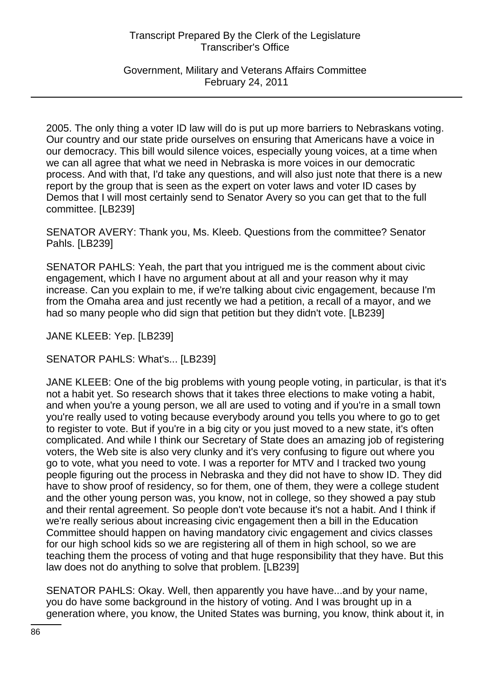Government, Military and Veterans Affairs Committee February 24, 2011

2005. The only thing a voter ID law will do is put up more barriers to Nebraskans voting. Our country and our state pride ourselves on ensuring that Americans have a voice in our democracy. This bill would silence voices, especially young voices, at a time when we can all agree that what we need in Nebraska is more voices in our democratic process. And with that, I'd take any questions, and will also just note that there is a new report by the group that is seen as the expert on voter laws and voter ID cases by Demos that I will most certainly send to Senator Avery so you can get that to the full committee. [LB239]

SENATOR AVERY: Thank you, Ms. Kleeb. Questions from the committee? Senator Pahls. [LB239]

SENATOR PAHLS: Yeah, the part that you intrigued me is the comment about civic engagement, which I have no argument about at all and your reason why it may increase. Can you explain to me, if we're talking about civic engagement, because I'm from the Omaha area and just recently we had a petition, a recall of a mayor, and we had so many people who did sign that petition but they didn't vote. [LB239]

JANE KLEEB: Yep. [LB239]

SENATOR PAHLS: What's... [LB239]

JANE KLEEB: One of the big problems with young people voting, in particular, is that it's not a habit yet. So research shows that it takes three elections to make voting a habit, and when you're a young person, we all are used to voting and if you're in a small town you're really used to voting because everybody around you tells you where to go to get to register to vote. But if you're in a big city or you just moved to a new state, it's often complicated. And while I think our Secretary of State does an amazing job of registering voters, the Web site is also very clunky and it's very confusing to figure out where you go to vote, what you need to vote. I was a reporter for MTV and I tracked two young people figuring out the process in Nebraska and they did not have to show ID. They did have to show proof of residency, so for them, one of them, they were a college student and the other young person was, you know, not in college, so they showed a pay stub and their rental agreement. So people don't vote because it's not a habit. And I think if we're really serious about increasing civic engagement then a bill in the Education Committee should happen on having mandatory civic engagement and civics classes for our high school kids so we are registering all of them in high school, so we are teaching them the process of voting and that huge responsibility that they have. But this law does not do anything to solve that problem. [LB239]

SENATOR PAHLS: Okay. Well, then apparently you have have...and by your name, you do have some background in the history of voting. And I was brought up in a generation where, you know, the United States was burning, you know, think about it, in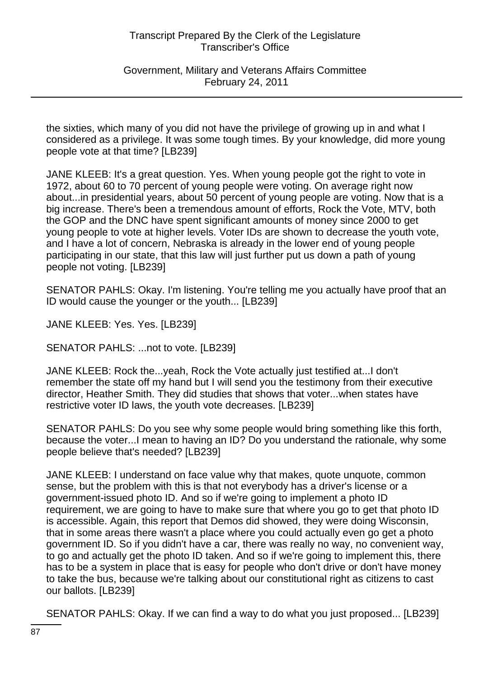Government, Military and Veterans Affairs Committee February 24, 2011

the sixties, which many of you did not have the privilege of growing up in and what I considered as a privilege. It was some tough times. By your knowledge, did more young people vote at that time? [LB239]

JANE KLEEB: It's a great question. Yes. When young people got the right to vote in 1972, about 60 to 70 percent of young people were voting. On average right now about...in presidential years, about 50 percent of young people are voting. Now that is a big increase. There's been a tremendous amount of efforts, Rock the Vote, MTV, both the GOP and the DNC have spent significant amounts of money since 2000 to get young people to vote at higher levels. Voter IDs are shown to decrease the youth vote, and I have a lot of concern, Nebraska is already in the lower end of young people participating in our state, that this law will just further put us down a path of young people not voting. [LB239]

SENATOR PAHLS: Okay. I'm listening. You're telling me you actually have proof that an ID would cause the younger or the youth... [LB239]

JANE KLEEB: Yes. Yes. [LB239]

SENATOR PAHLS: ...not to vote. [LB239]

JANE KLEEB: Rock the...yeah, Rock the Vote actually just testified at...I don't remember the state off my hand but I will send you the testimony from their executive director, Heather Smith. They did studies that shows that voter...when states have restrictive voter ID laws, the youth vote decreases. [LB239]

SENATOR PAHLS: Do you see why some people would bring something like this forth, because the voter...I mean to having an ID? Do you understand the rationale, why some people believe that's needed? [LB239]

JANE KLEEB: I understand on face value why that makes, quote unquote, common sense, but the problem with this is that not everybody has a driver's license or a government-issued photo ID. And so if we're going to implement a photo ID requirement, we are going to have to make sure that where you go to get that photo ID is accessible. Again, this report that Demos did showed, they were doing Wisconsin, that in some areas there wasn't a place where you could actually even go get a photo government ID. So if you didn't have a car, there was really no way, no convenient way, to go and actually get the photo ID taken. And so if we're going to implement this, there has to be a system in place that is easy for people who don't drive or don't have money to take the bus, because we're talking about our constitutional right as citizens to cast our ballots. [LB239]

SENATOR PAHLS: Okay. If we can find a way to do what you just proposed... [LB239]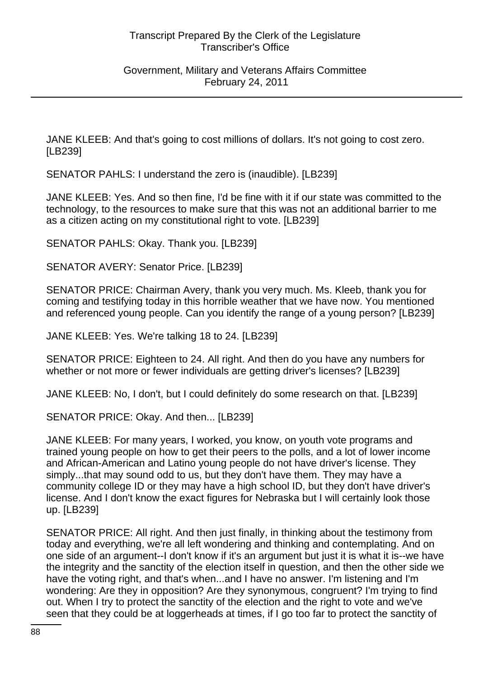### Government, Military and Veterans Affairs Committee February 24, 2011

JANE KLEEB: And that's going to cost millions of dollars. It's not going to cost zero. [LB239]

SENATOR PAHLS: I understand the zero is (inaudible). [LB239]

JANE KLEEB: Yes. And so then fine, I'd be fine with it if our state was committed to the technology, to the resources to make sure that this was not an additional barrier to me as a citizen acting on my constitutional right to vote. [LB239]

SENATOR PAHLS: Okay. Thank you. [LB239]

SENATOR AVERY: Senator Price. [LB239]

SENATOR PRICE: Chairman Avery, thank you very much. Ms. Kleeb, thank you for coming and testifying today in this horrible weather that we have now. You mentioned and referenced young people. Can you identify the range of a young person? [LB239]

JANE KLEEB: Yes. We're talking 18 to 24. [LB239]

SENATOR PRICE: Eighteen to 24. All right. And then do you have any numbers for whether or not more or fewer individuals are getting driver's licenses? [LB239]

JANE KLEEB: No, I don't, but I could definitely do some research on that. [LB239]

SENATOR PRICE: Okay. And then... [LB239]

JANE KLEEB: For many years, I worked, you know, on youth vote programs and trained young people on how to get their peers to the polls, and a lot of lower income and African-American and Latino young people do not have driver's license. They simply...that may sound odd to us, but they don't have them. They may have a community college ID or they may have a high school ID, but they don't have driver's license. And I don't know the exact figures for Nebraska but I will certainly look those up. [LB239]

SENATOR PRICE: All right. And then just finally, in thinking about the testimony from today and everything, we're all left wondering and thinking and contemplating. And on one side of an argument--I don't know if it's an argument but just it is what it is--we have the integrity and the sanctity of the election itself in question, and then the other side we have the voting right, and that's when...and I have no answer. I'm listening and I'm wondering: Are they in opposition? Are they synonymous, congruent? I'm trying to find out. When I try to protect the sanctity of the election and the right to vote and we've seen that they could be at loggerheads at times, if I go too far to protect the sanctity of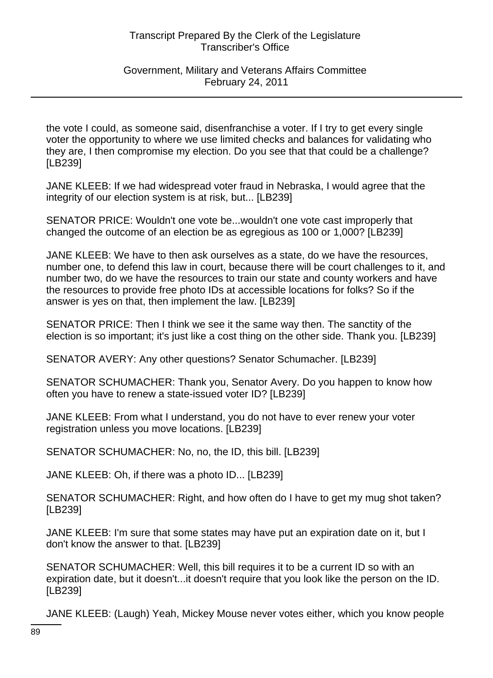# Government, Military and Veterans Affairs Committee February 24, 2011

the vote I could, as someone said, disenfranchise a voter. If I try to get every single voter the opportunity to where we use limited checks and balances for validating who they are, I then compromise my election. Do you see that that could be a challenge? [LB239]

JANE KLEEB: If we had widespread voter fraud in Nebraska, I would agree that the integrity of our election system is at risk, but... [LB239]

SENATOR PRICE: Wouldn't one vote be...wouldn't one vote cast improperly that changed the outcome of an election be as egregious as 100 or 1,000? [LB239]

JANE KLEEB: We have to then ask ourselves as a state, do we have the resources, number one, to defend this law in court, because there will be court challenges to it, and number two, do we have the resources to train our state and county workers and have the resources to provide free photo IDs at accessible locations for folks? So if the answer is yes on that, then implement the law. [LB239]

SENATOR PRICE: Then I think we see it the same way then. The sanctity of the election is so important; it's just like a cost thing on the other side. Thank you. [LB239]

SENATOR AVERY: Any other questions? Senator Schumacher. [LB239]

SENATOR SCHUMACHER: Thank you, Senator Avery. Do you happen to know how often you have to renew a state-issued voter ID? [LB239]

JANE KLEEB: From what I understand, you do not have to ever renew your voter registration unless you move locations. [LB239]

SENATOR SCHUMACHER: No, no, the ID, this bill. [LB239]

JANE KLEEB: Oh, if there was a photo ID... [LB239]

SENATOR SCHUMACHER: Right, and how often do I have to get my mug shot taken? [LB239]

JANE KLEEB: I'm sure that some states may have put an expiration date on it, but I don't know the answer to that. [LB239]

SENATOR SCHUMACHER: Well, this bill requires it to be a current ID so with an expiration date, but it doesn't...it doesn't require that you look like the person on the ID. [LB239]

JANE KLEEB: (Laugh) Yeah, Mickey Mouse never votes either, which you know people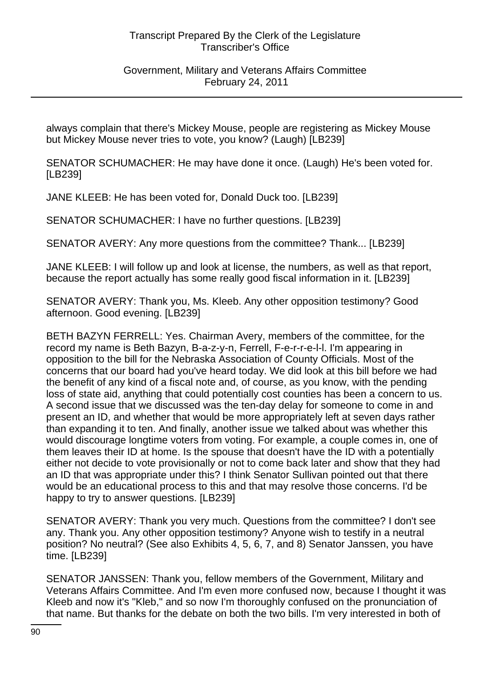Government, Military and Veterans Affairs Committee February 24, 2011

always complain that there's Mickey Mouse, people are registering as Mickey Mouse but Mickey Mouse never tries to vote, you know? (Laugh) [LB239]

SENATOR SCHUMACHER: He may have done it once. (Laugh) He's been voted for. [LB239]

JANE KLEEB: He has been voted for, Donald Duck too. [LB239]

SENATOR SCHUMACHER: I have no further questions. [LB239]

SENATOR AVERY: Any more questions from the committee? Thank... [LB239]

JANE KLEEB: I will follow up and look at license, the numbers, as well as that report, because the report actually has some really good fiscal information in it. [LB239]

SENATOR AVERY: Thank you, Ms. Kleeb. Any other opposition testimony? Good afternoon. Good evening. [LB239]

BETH BAZYN FERRELL: Yes. Chairman Avery, members of the committee, for the record my name is Beth Bazyn, B-a-z-y-n, Ferrell, F-e-r-r-e-l-l. I'm appearing in opposition to the bill for the Nebraska Association of County Officials. Most of the concerns that our board had you've heard today. We did look at this bill before we had the benefit of any kind of a fiscal note and, of course, as you know, with the pending loss of state aid, anything that could potentially cost counties has been a concern to us. A second issue that we discussed was the ten-day delay for someone to come in and present an ID, and whether that would be more appropriately left at seven days rather than expanding it to ten. And finally, another issue we talked about was whether this would discourage longtime voters from voting. For example, a couple comes in, one of them leaves their ID at home. Is the spouse that doesn't have the ID with a potentially either not decide to vote provisionally or not to come back later and show that they had an ID that was appropriate under this? I think Senator Sullivan pointed out that there would be an educational process to this and that may resolve those concerns. I'd be happy to try to answer questions. [LB239]

SENATOR AVERY: Thank you very much. Questions from the committee? I don't see any. Thank you. Any other opposition testimony? Anyone wish to testify in a neutral position? No neutral? (See also Exhibits 4, 5, 6, 7, and 8) Senator Janssen, you have time. [LB239]

SENATOR JANSSEN: Thank you, fellow members of the Government, Military and Veterans Affairs Committee. And I'm even more confused now, because I thought it was Kleeb and now it's "Kleb," and so now I'm thoroughly confused on the pronunciation of that name. But thanks for the debate on both the two bills. I'm very interested in both of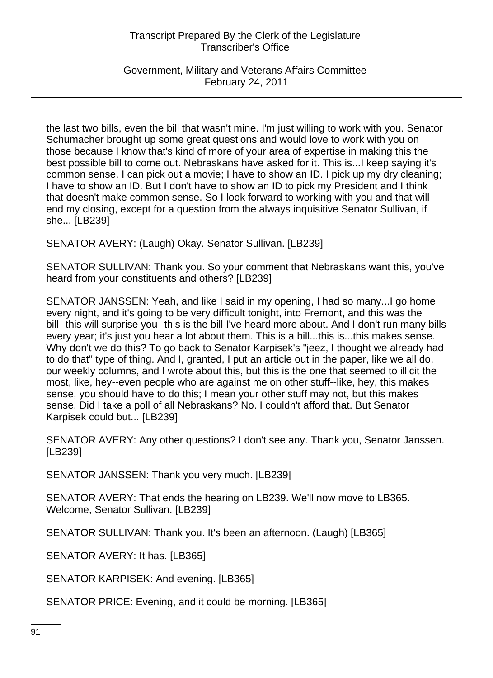Government, Military and Veterans Affairs Committee February 24, 2011

the last two bills, even the bill that wasn't mine. I'm just willing to work with you. Senator Schumacher brought up some great questions and would love to work with you on those because I know that's kind of more of your area of expertise in making this the best possible bill to come out. Nebraskans have asked for it. This is...I keep saying it's common sense. I can pick out a movie; I have to show an ID. I pick up my dry cleaning; I have to show an ID. But I don't have to show an ID to pick my President and I think that doesn't make common sense. So I look forward to working with you and that will end my closing, except for a question from the always inquisitive Senator Sullivan, if she... [LB239]

SENATOR AVERY: (Laugh) Okay. Senator Sullivan. [LB239]

SENATOR SULLIVAN: Thank you. So your comment that Nebraskans want this, you've heard from your constituents and others? [LB239]

SENATOR JANSSEN: Yeah, and like I said in my opening, I had so many...I go home every night, and it's going to be very difficult tonight, into Fremont, and this was the bill--this will surprise you--this is the bill I've heard more about. And I don't run many bills every year; it's just you hear a lot about them. This is a bill...this is...this makes sense. Why don't we do this? To go back to Senator Karpisek's "jeez, I thought we already had to do that" type of thing. And I, granted, I put an article out in the paper, like we all do, our weekly columns, and I wrote about this, but this is the one that seemed to illicit the most, like, hey--even people who are against me on other stuff--like, hey, this makes sense, you should have to do this; I mean your other stuff may not, but this makes sense. Did I take a poll of all Nebraskans? No. I couldn't afford that. But Senator Karpisek could but... [LB239]

SENATOR AVERY: Any other questions? I don't see any. Thank you, Senator Janssen. [LB239]

SENATOR JANSSEN: Thank you very much. [LB239]

SENATOR AVERY: That ends the hearing on LB239. We'll now move to LB365. Welcome, Senator Sullivan. [LB239]

SENATOR SULLIVAN: Thank you. It's been an afternoon. (Laugh) [LB365]

SENATOR AVERY: It has. [LB365]

SENATOR KARPISEK: And evening. [LB365]

SENATOR PRICE: Evening, and it could be morning. [LB365]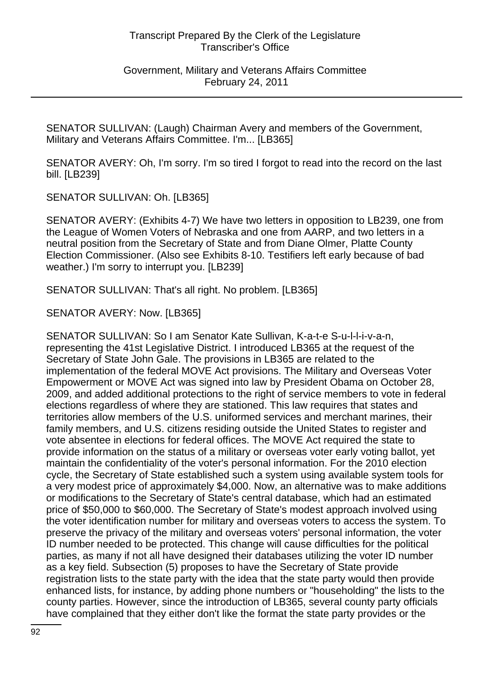Government, Military and Veterans Affairs Committee February 24, 2011

SENATOR SULLIVAN: (Laugh) Chairman Avery and members of the Government, Military and Veterans Affairs Committee. I'm... [LB365]

SENATOR AVERY: Oh, I'm sorry. I'm so tired I forgot to read into the record on the last bill. [LB239]

SENATOR SULLIVAN: Oh. [LB365]

SENATOR AVERY: (Exhibits 4-7) We have two letters in opposition to LB239, one from the League of Women Voters of Nebraska and one from AARP, and two letters in a neutral position from the Secretary of State and from Diane Olmer, Platte County Election Commissioner. (Also see Exhibits 8-10. Testifiers left early because of bad weather.) I'm sorry to interrupt you. [LB239]

SENATOR SULLIVAN: That's all right. No problem. [LB365]

SENATOR AVERY: Now. [LB365]

SENATOR SULLIVAN: So I am Senator Kate Sullivan, K-a-t-e S-u-l-l-i-v-a-n, representing the 41st Legislative District. I introduced LB365 at the request of the Secretary of State John Gale. The provisions in LB365 are related to the implementation of the federal MOVE Act provisions. The Military and Overseas Voter Empowerment or MOVE Act was signed into law by President Obama on October 28, 2009, and added additional protections to the right of service members to vote in federal elections regardless of where they are stationed. This law requires that states and territories allow members of the U.S. uniformed services and merchant marines, their family members, and U.S. citizens residing outside the United States to register and vote absentee in elections for federal offices. The MOVE Act required the state to provide information on the status of a military or overseas voter early voting ballot, yet maintain the confidentiality of the voter's personal information. For the 2010 election cycle, the Secretary of State established such a system using available system tools for a very modest price of approximately \$4,000. Now, an alternative was to make additions or modifications to the Secretary of State's central database, which had an estimated price of \$50,000 to \$60,000. The Secretary of State's modest approach involved using the voter identification number for military and overseas voters to access the system. To preserve the privacy of the military and overseas voters' personal information, the voter ID number needed to be protected. This change will cause difficulties for the political parties, as many if not all have designed their databases utilizing the voter ID number as a key field. Subsection (5) proposes to have the Secretary of State provide registration lists to the state party with the idea that the state party would then provide enhanced lists, for instance, by adding phone numbers or "householding" the lists to the county parties. However, since the introduction of LB365, several county party officials have complained that they either don't like the format the state party provides or the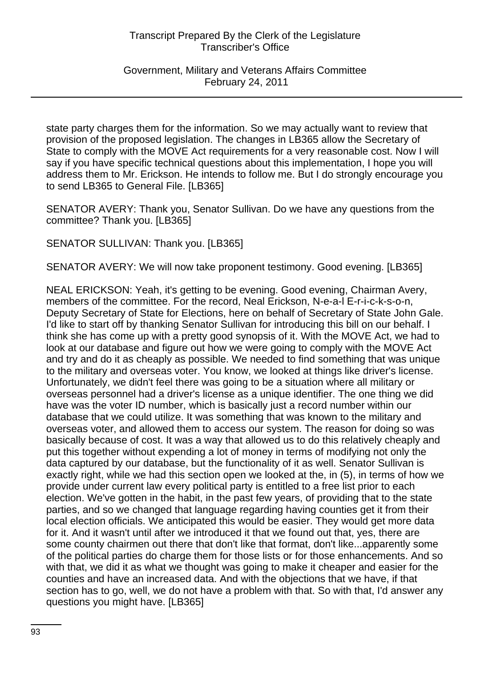Government, Military and Veterans Affairs Committee February 24, 2011

state party charges them for the information. So we may actually want to review that provision of the proposed legislation. The changes in LB365 allow the Secretary of State to comply with the MOVE Act requirements for a very reasonable cost. Now I will say if you have specific technical questions about this implementation, I hope you will address them to Mr. Erickson. He intends to follow me. But I do strongly encourage you to send LB365 to General File. [LB365]

SENATOR AVERY: Thank you, Senator Sullivan. Do we have any questions from the committee? Thank you. [LB365]

SENATOR SULLIVAN: Thank you. [LB365]

SENATOR AVERY: We will now take proponent testimony. Good evening. [LB365]

NEAL ERICKSON: Yeah, it's getting to be evening. Good evening, Chairman Avery, members of the committee. For the record, Neal Erickson, N-e-a-l E-r-i-c-k-s-o-n, Deputy Secretary of State for Elections, here on behalf of Secretary of State John Gale. I'd like to start off by thanking Senator Sullivan for introducing this bill on our behalf. I think she has come up with a pretty good synopsis of it. With the MOVE Act, we had to look at our database and figure out how we were going to comply with the MOVE Act and try and do it as cheaply as possible. We needed to find something that was unique to the military and overseas voter. You know, we looked at things like driver's license. Unfortunately, we didn't feel there was going to be a situation where all military or overseas personnel had a driver's license as a unique identifier. The one thing we did have was the voter ID number, which is basically just a record number within our database that we could utilize. It was something that was known to the military and overseas voter, and allowed them to access our system. The reason for doing so was basically because of cost. It was a way that allowed us to do this relatively cheaply and put this together without expending a lot of money in terms of modifying not only the data captured by our database, but the functionality of it as well. Senator Sullivan is exactly right, while we had this section open we looked at the, in (5), in terms of how we provide under current law every political party is entitled to a free list prior to each election. We've gotten in the habit, in the past few years, of providing that to the state parties, and so we changed that language regarding having counties get it from their local election officials. We anticipated this would be easier. They would get more data for it. And it wasn't until after we introduced it that we found out that, yes, there are some county chairmen out there that don't like that format, don't like...apparently some of the political parties do charge them for those lists or for those enhancements. And so with that, we did it as what we thought was going to make it cheaper and easier for the counties and have an increased data. And with the objections that we have, if that section has to go, well, we do not have a problem with that. So with that, I'd answer any questions you might have. [LB365]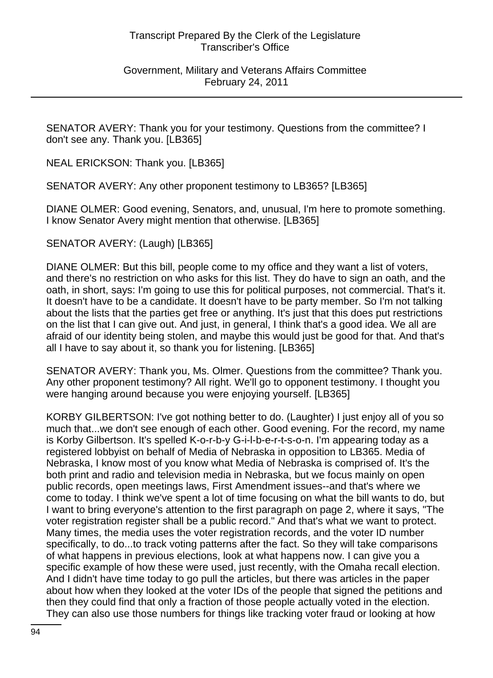#### Government, Military and Veterans Affairs Committee February 24, 2011

SENATOR AVERY: Thank you for your testimony. Questions from the committee? I don't see any. Thank you. [LB365]

NEAL ERICKSON: Thank you. [LB365]

SENATOR AVERY: Any other proponent testimony to LB365? [LB365]

DIANE OLMER: Good evening, Senators, and, unusual, I'm here to promote something. I know Senator Avery might mention that otherwise. [LB365]

SENATOR AVERY: (Laugh) [LB365]

DIANE OLMER: But this bill, people come to my office and they want a list of voters, and there's no restriction on who asks for this list. They do have to sign an oath, and the oath, in short, says: I'm going to use this for political purposes, not commercial. That's it. It doesn't have to be a candidate. It doesn't have to be party member. So I'm not talking about the lists that the parties get free or anything. It's just that this does put restrictions on the list that I can give out. And just, in general, I think that's a good idea. We all are afraid of our identity being stolen, and maybe this would just be good for that. And that's all I have to say about it, so thank you for listening. [LB365]

SENATOR AVERY: Thank you, Ms. Olmer. Questions from the committee? Thank you. Any other proponent testimony? All right. We'll go to opponent testimony. I thought you were hanging around because you were enjoying yourself. [LB365]

KORBY GILBERTSON: I've got nothing better to do. (Laughter) I just enjoy all of you so much that...we don't see enough of each other. Good evening. For the record, my name is Korby Gilbertson. It's spelled K-o-r-b-y G-i-l-b-e-r-t-s-o-n. I'm appearing today as a registered lobbyist on behalf of Media of Nebraska in opposition to LB365. Media of Nebraska, I know most of you know what Media of Nebraska is comprised of. It's the both print and radio and television media in Nebraska, but we focus mainly on open public records, open meetings laws, First Amendment issues--and that's where we come to today. I think we've spent a lot of time focusing on what the bill wants to do, but I want to bring everyone's attention to the first paragraph on page 2, where it says, "The voter registration register shall be a public record." And that's what we want to protect. Many times, the media uses the voter registration records, and the voter ID number specifically, to do...to track voting patterns after the fact. So they will take comparisons of what happens in previous elections, look at what happens now. I can give you a specific example of how these were used, just recently, with the Omaha recall election. And I didn't have time today to go pull the articles, but there was articles in the paper about how when they looked at the voter IDs of the people that signed the petitions and then they could find that only a fraction of those people actually voted in the election. They can also use those numbers for things like tracking voter fraud or looking at how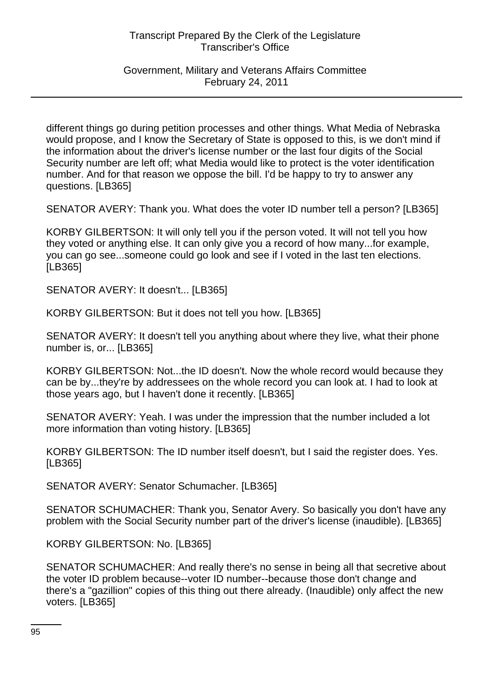Government, Military and Veterans Affairs Committee February 24, 2011

different things go during petition processes and other things. What Media of Nebraska would propose, and I know the Secretary of State is opposed to this, is we don't mind if the information about the driver's license number or the last four digits of the Social Security number are left off; what Media would like to protect is the voter identification number. And for that reason we oppose the bill. I'd be happy to try to answer any questions. [LB365]

SENATOR AVERY: Thank you. What does the voter ID number tell a person? [LB365]

KORBY GILBERTSON: It will only tell you if the person voted. It will not tell you how they voted or anything else. It can only give you a record of how many...for example, you can go see...someone could go look and see if I voted in the last ten elections. [LB365]

SENATOR AVERY: It doesn't... [LB365]

KORBY GILBERTSON: But it does not tell you how. [LB365]

SENATOR AVERY: It doesn't tell you anything about where they live, what their phone number is, or... [LB365]

KORBY GILBERTSON: Not...the ID doesn't. Now the whole record would because they can be by...they're by addressees on the whole record you can look at. I had to look at those years ago, but I haven't done it recently. [LB365]

SENATOR AVERY: Yeah. I was under the impression that the number included a lot more information than voting history. [LB365]

KORBY GILBERTSON: The ID number itself doesn't, but I said the register does. Yes. [LB365]

SENATOR AVERY: Senator Schumacher. [LB365]

SENATOR SCHUMACHER: Thank you, Senator Avery. So basically you don't have any problem with the Social Security number part of the driver's license (inaudible). [LB365]

KORBY GILBERTSON: No. [LB365]

SENATOR SCHUMACHER: And really there's no sense in being all that secretive about the voter ID problem because--voter ID number--because those don't change and there's a "gazillion" copies of this thing out there already. (Inaudible) only affect the new voters. [LB365]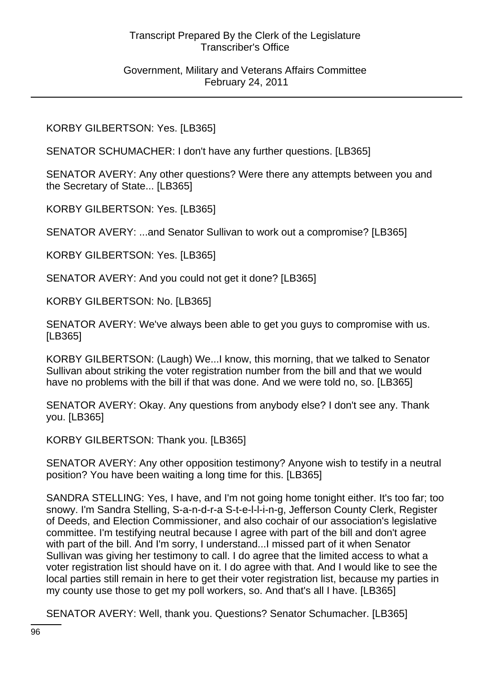#### Government, Military and Veterans Affairs Committee February 24, 2011

# KORBY GILBERTSON: Yes. [LB365]

SENATOR SCHUMACHER: I don't have any further questions. [LB365]

SENATOR AVERY: Any other questions? Were there any attempts between you and the Secretary of State... [LB365]

KORBY GILBERTSON: Yes. [LB365]

SENATOR AVERY: ...and Senator Sullivan to work out a compromise? [LB365]

KORBY GILBERTSON: Yes. [LB365]

SENATOR AVERY: And you could not get it done? [LB365]

KORBY GILBERTSON: No. [LB365]

SENATOR AVERY: We've always been able to get you guys to compromise with us. [LB365]

KORBY GILBERTSON: (Laugh) We...I know, this morning, that we talked to Senator Sullivan about striking the voter registration number from the bill and that we would have no problems with the bill if that was done. And we were told no, so. [LB365]

SENATOR AVERY: Okay. Any questions from anybody else? I don't see any. Thank you. [LB365]

KORBY GILBERTSON: Thank you. [LB365]

SENATOR AVERY: Any other opposition testimony? Anyone wish to testify in a neutral position? You have been waiting a long time for this. [LB365]

SANDRA STELLING: Yes, I have, and I'm not going home tonight either. It's too far; too snowy. I'm Sandra Stelling, S-a-n-d-r-a S-t-e-l-l-i-n-g, Jefferson County Clerk, Register of Deeds, and Election Commissioner, and also cochair of our association's legislative committee. I'm testifying neutral because I agree with part of the bill and don't agree with part of the bill. And I'm sorry, I understand...I missed part of it when Senator Sullivan was giving her testimony to call. I do agree that the limited access to what a voter registration list should have on it. I do agree with that. And I would like to see the local parties still remain in here to get their voter registration list, because my parties in my county use those to get my poll workers, so. And that's all I have. [LB365]

SENATOR AVERY: Well, thank you. Questions? Senator Schumacher. [LB365]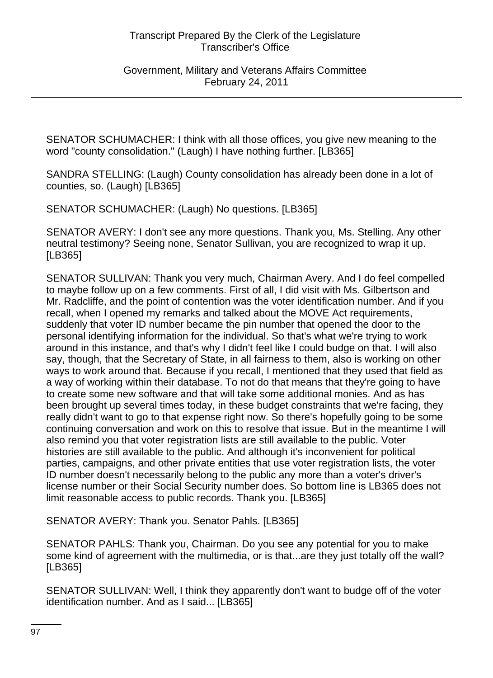Government, Military and Veterans Affairs Committee February 24, 2011

SENATOR SCHUMACHER: I think with all those offices, you give new meaning to the word "county consolidation." (Laugh) I have nothing further. [LB365]

SANDRA STELLING: (Laugh) County consolidation has already been done in a lot of counties, so. (Laugh) [LB365]

SENATOR SCHUMACHER: (Laugh) No questions. [LB365]

SENATOR AVERY: I don't see any more questions. Thank you, Ms. Stelling. Any other neutral testimony? Seeing none, Senator Sullivan, you are recognized to wrap it up. [LB365]

SENATOR SULLIVAN: Thank you very much, Chairman Avery. And I do feel compelled to maybe follow up on a few comments. First of all, I did visit with Ms. Gilbertson and Mr. Radcliffe, and the point of contention was the voter identification number. And if you recall, when I opened my remarks and talked about the MOVE Act requirements, suddenly that voter ID number became the pin number that opened the door to the personal identifying information for the individual. So that's what we're trying to work around in this instance, and that's why I didn't feel like I could budge on that. I will also say, though, that the Secretary of State, in all fairness to them, also is working on other ways to work around that. Because if you recall, I mentioned that they used that field as a way of working within their database. To not do that means that they're going to have to create some new software and that will take some additional monies. And as has been brought up several times today, in these budget constraints that we're facing, they really didn't want to go to that expense right now. So there's hopefully going to be some continuing conversation and work on this to resolve that issue. But in the meantime I will also remind you that voter registration lists are still available to the public. Voter histories are still available to the public. And although it's inconvenient for political parties, campaigns, and other private entities that use voter registration lists, the voter ID number doesn't necessarily belong to the public any more than a voter's driver's license number or their Social Security number does. So bottom line is LB365 does not limit reasonable access to public records. Thank you. [LB365]

SENATOR AVERY: Thank you. Senator Pahls. [LB365]

SENATOR PAHLS: Thank you, Chairman. Do you see any potential for you to make some kind of agreement with the multimedia, or is that...are they just totally off the wall? [LB365]

SENATOR SULLIVAN: Well, I think they apparently don't want to budge off of the voter identification number. And as I said... [LB365]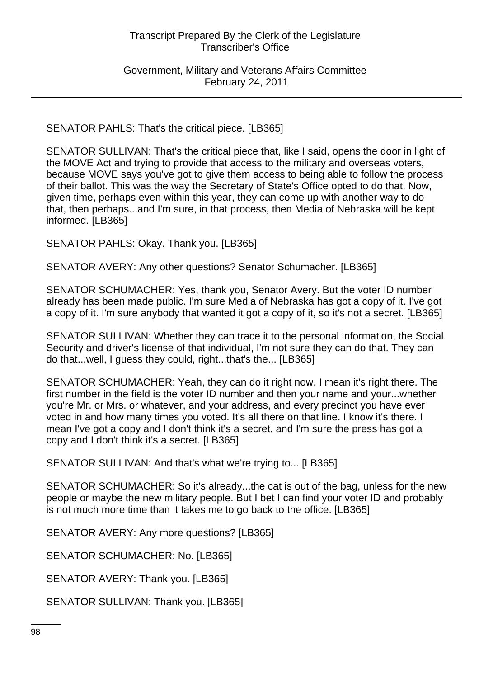Government, Military and Veterans Affairs Committee February 24, 2011

SENATOR PAHLS: That's the critical piece. [LB365]

SENATOR SULLIVAN: That's the critical piece that, like I said, opens the door in light of the MOVE Act and trying to provide that access to the military and overseas voters, because MOVE says you've got to give them access to being able to follow the process of their ballot. This was the way the Secretary of State's Office opted to do that. Now, given time, perhaps even within this year, they can come up with another way to do that, then perhaps...and I'm sure, in that process, then Media of Nebraska will be kept informed. [LB365]

SENATOR PAHLS: Okay. Thank you. [LB365]

SENATOR AVERY: Any other questions? Senator Schumacher. [LB365]

SENATOR SCHUMACHER: Yes, thank you, Senator Avery. But the voter ID number already has been made public. I'm sure Media of Nebraska has got a copy of it. I've got a copy of it. I'm sure anybody that wanted it got a copy of it, so it's not a secret. [LB365]

SENATOR SULLIVAN: Whether they can trace it to the personal information, the Social Security and driver's license of that individual, I'm not sure they can do that. They can do that...well, I guess they could, right...that's the... [LB365]

SENATOR SCHUMACHER: Yeah, they can do it right now. I mean it's right there. The first number in the field is the voter ID number and then your name and your...whether you're Mr. or Mrs. or whatever, and your address, and every precinct you have ever voted in and how many times you voted. It's all there on that line. I know it's there. I mean I've got a copy and I don't think it's a secret, and I'm sure the press has got a copy and I don't think it's a secret. [LB365]

SENATOR SULLIVAN: And that's what we're trying to... [LB365]

SENATOR SCHUMACHER: So it's already...the cat is out of the bag, unless for the new people or maybe the new military people. But I bet I can find your voter ID and probably is not much more time than it takes me to go back to the office. [LB365]

SENATOR AVERY: Any more questions? [LB365]

SENATOR SCHUMACHER: No. [LB365]

SENATOR AVERY: Thank you. [LB365]

SENATOR SULLIVAN: Thank you. [LB365]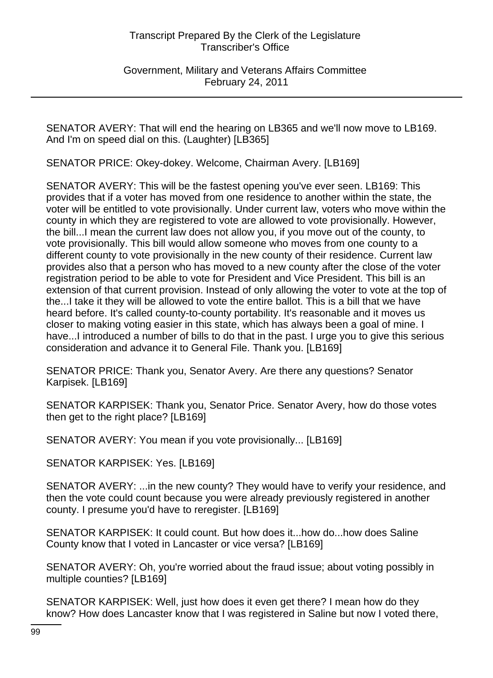Government, Military and Veterans Affairs Committee February 24, 2011

SENATOR AVERY: That will end the hearing on LB365 and we'll now move to LB169. And I'm on speed dial on this. (Laughter) [LB365]

SENATOR PRICE: Okey-dokey. Welcome, Chairman Avery. [LB169]

SENATOR AVERY: This will be the fastest opening you've ever seen. LB169: This provides that if a voter has moved from one residence to another within the state, the voter will be entitled to vote provisionally. Under current law, voters who move within the county in which they are registered to vote are allowed to vote provisionally. However, the bill...I mean the current law does not allow you, if you move out of the county, to vote provisionally. This bill would allow someone who moves from one county to a different county to vote provisionally in the new county of their residence. Current law provides also that a person who has moved to a new county after the close of the voter registration period to be able to vote for President and Vice President. This bill is an extension of that current provision. Instead of only allowing the voter to vote at the top of the...I take it they will be allowed to vote the entire ballot. This is a bill that we have heard before. It's called county-to-county portability. It's reasonable and it moves us closer to making voting easier in this state, which has always been a goal of mine. I have...I introduced a number of bills to do that in the past. I urge you to give this serious consideration and advance it to General File. Thank you. [LB169]

SENATOR PRICE: Thank you, Senator Avery. Are there any questions? Senator Karpisek. [LB169]

SENATOR KARPISEK: Thank you, Senator Price. Senator Avery, how do those votes then get to the right place? [LB169]

SENATOR AVERY: You mean if you vote provisionally... [LB169]

SENATOR KARPISEK: Yes. [LB169]

SENATOR AVERY: ...in the new county? They would have to verify your residence, and then the vote could count because you were already previously registered in another county. I presume you'd have to reregister. [LB169]

SENATOR KARPISEK: It could count. But how does it...how do...how does Saline County know that I voted in Lancaster or vice versa? [LB169]

SENATOR AVERY: Oh, you're worried about the fraud issue; about voting possibly in multiple counties? [LB169]

SENATOR KARPISEK: Well, just how does it even get there? I mean how do they know? How does Lancaster know that I was registered in Saline but now I voted there,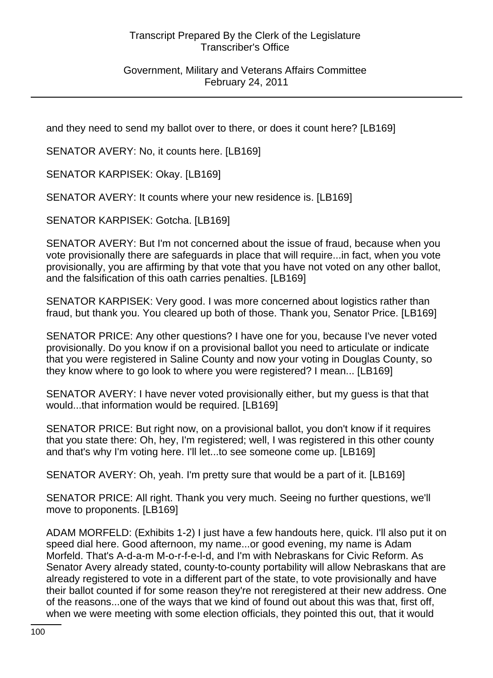Government, Military and Veterans Affairs Committee February 24, 2011

and they need to send my ballot over to there, or does it count here? [LB169]

SENATOR AVERY: No, it counts here. [LB169]

SENATOR KARPISEK: Okay. [LB169]

SENATOR AVERY: It counts where your new residence is. [LB169]

SENATOR KARPISEK: Gotcha. [LB169]

SENATOR AVERY: But I'm not concerned about the issue of fraud, because when you vote provisionally there are safeguards in place that will require...in fact, when you vote provisionally, you are affirming by that vote that you have not voted on any other ballot, and the falsification of this oath carries penalties. [LB169]

SENATOR KARPISEK: Very good. I was more concerned about logistics rather than fraud, but thank you. You cleared up both of those. Thank you, Senator Price. [LB169]

SENATOR PRICE: Any other questions? I have one for you, because I've never voted provisionally. Do you know if on a provisional ballot you need to articulate or indicate that you were registered in Saline County and now your voting in Douglas County, so they know where to go look to where you were registered? I mean... [LB169]

SENATOR AVERY: I have never voted provisionally either, but my guess is that that would...that information would be required. [LB169]

SENATOR PRICE: But right now, on a provisional ballot, you don't know if it requires that you state there: Oh, hey, I'm registered; well, I was registered in this other county and that's why I'm voting here. I'll let...to see someone come up. [LB169]

SENATOR AVERY: Oh, yeah. I'm pretty sure that would be a part of it. [LB169]

SENATOR PRICE: All right. Thank you very much. Seeing no further questions, we'll move to proponents. [LB169]

ADAM MORFELD: (Exhibits 1-2) I just have a few handouts here, quick. I'll also put it on speed dial here. Good afternoon, my name...or good evening, my name is Adam Morfeld. That's A-d-a-m M-o-r-f-e-l-d, and I'm with Nebraskans for Civic Reform. As Senator Avery already stated, county-to-county portability will allow Nebraskans that are already registered to vote in a different part of the state, to vote provisionally and have their ballot counted if for some reason they're not reregistered at their new address. One of the reasons...one of the ways that we kind of found out about this was that, first off, when we were meeting with some election officials, they pointed this out, that it would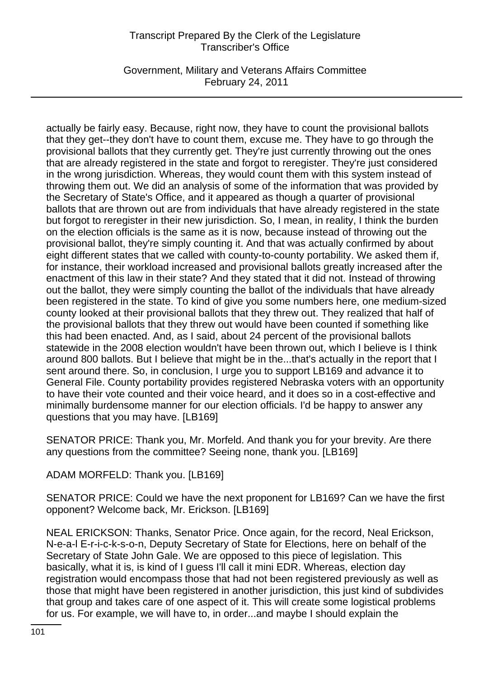Government, Military and Veterans Affairs Committee February 24, 2011

actually be fairly easy. Because, right now, they have to count the provisional ballots that they get--they don't have to count them, excuse me. They have to go through the provisional ballots that they currently get. They're just currently throwing out the ones that are already registered in the state and forgot to reregister. They're just considered in the wrong jurisdiction. Whereas, they would count them with this system instead of throwing them out. We did an analysis of some of the information that was provided by the Secretary of State's Office, and it appeared as though a quarter of provisional ballots that are thrown out are from individuals that have already registered in the state but forgot to reregister in their new jurisdiction. So, I mean, in reality, I think the burden on the election officials is the same as it is now, because instead of throwing out the provisional ballot, they're simply counting it. And that was actually confirmed by about eight different states that we called with county-to-county portability. We asked them if, for instance, their workload increased and provisional ballots greatly increased after the enactment of this law in their state? And they stated that it did not. Instead of throwing out the ballot, they were simply counting the ballot of the individuals that have already been registered in the state. To kind of give you some numbers here, one medium-sized county looked at their provisional ballots that they threw out. They realized that half of the provisional ballots that they threw out would have been counted if something like this had been enacted. And, as I said, about 24 percent of the provisional ballots statewide in the 2008 election wouldn't have been thrown out, which I believe is I think around 800 ballots. But I believe that might be in the...that's actually in the report that I sent around there. So, in conclusion, I urge you to support LB169 and advance it to General File. County portability provides registered Nebraska voters with an opportunity to have their vote counted and their voice heard, and it does so in a cost-effective and minimally burdensome manner for our election officials. I'd be happy to answer any questions that you may have. [LB169]

SENATOR PRICE: Thank you, Mr. Morfeld. And thank you for your brevity. Are there any questions from the committee? Seeing none, thank you. [LB169]

ADAM MORFELD: Thank you. [LB169]

SENATOR PRICE: Could we have the next proponent for LB169? Can we have the first opponent? Welcome back, Mr. Erickson. [LB169]

NEAL ERICKSON: Thanks, Senator Price. Once again, for the record, Neal Erickson, N-e-a-l E-r-i-c-k-s-o-n, Deputy Secretary of State for Elections, here on behalf of the Secretary of State John Gale. We are opposed to this piece of legislation. This basically, what it is, is kind of I guess I'll call it mini EDR. Whereas, election day registration would encompass those that had not been registered previously as well as those that might have been registered in another jurisdiction, this just kind of subdivides that group and takes care of one aspect of it. This will create some logistical problems for us. For example, we will have to, in order...and maybe I should explain the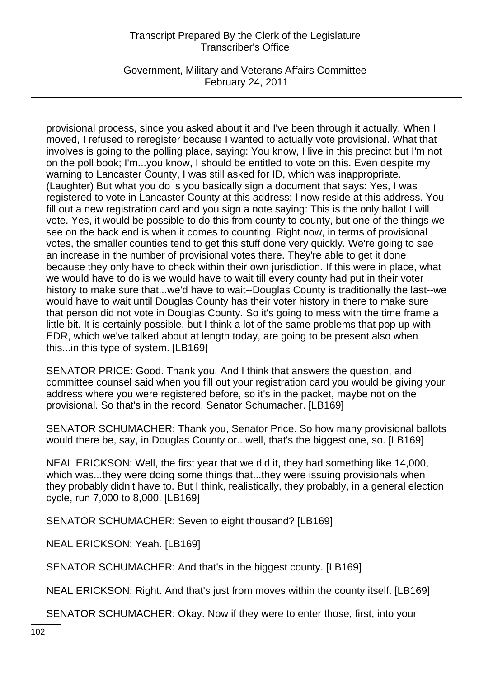Government, Military and Veterans Affairs Committee February 24, 2011

provisional process, since you asked about it and I've been through it actually. When I moved, I refused to reregister because I wanted to actually vote provisional. What that involves is going to the polling place, saying: You know, I live in this precinct but I'm not on the poll book; I'm...you know, I should be entitled to vote on this. Even despite my warning to Lancaster County, I was still asked for ID, which was inappropriate. (Laughter) But what you do is you basically sign a document that says: Yes, I was registered to vote in Lancaster County at this address; I now reside at this address. You fill out a new registration card and you sign a note saying: This is the only ballot I will vote. Yes, it would be possible to do this from county to county, but one of the things we see on the back end is when it comes to counting. Right now, in terms of provisional votes, the smaller counties tend to get this stuff done very quickly. We're going to see an increase in the number of provisional votes there. They're able to get it done because they only have to check within their own jurisdiction. If this were in place, what we would have to do is we would have to wait till every county had put in their voter history to make sure that...we'd have to wait--Douglas County is traditionally the last--we would have to wait until Douglas County has their voter history in there to make sure that person did not vote in Douglas County. So it's going to mess with the time frame a little bit. It is certainly possible, but I think a lot of the same problems that pop up with EDR, which we've talked about at length today, are going to be present also when this...in this type of system. [LB169]

SENATOR PRICE: Good. Thank you. And I think that answers the question, and committee counsel said when you fill out your registration card you would be giving your address where you were registered before, so it's in the packet, maybe not on the provisional. So that's in the record. Senator Schumacher. [LB169]

SENATOR SCHUMACHER: Thank you, Senator Price. So how many provisional ballots would there be, say, in Douglas County or...well, that's the biggest one, so. [LB169]

NEAL ERICKSON: Well, the first year that we did it, they had something like 14,000, which was...they were doing some things that...they were issuing provisionals when they probably didn't have to. But I think, realistically, they probably, in a general election cycle, run 7,000 to 8,000. [LB169]

SENATOR SCHUMACHER: Seven to eight thousand? [LB169]

NEAL ERICKSON: Yeah. [LB169]

SENATOR SCHUMACHER: And that's in the biggest county. [LB169]

NEAL ERICKSON: Right. And that's just from moves within the county itself. [LB169]

SENATOR SCHUMACHER: Okay. Now if they were to enter those, first, into your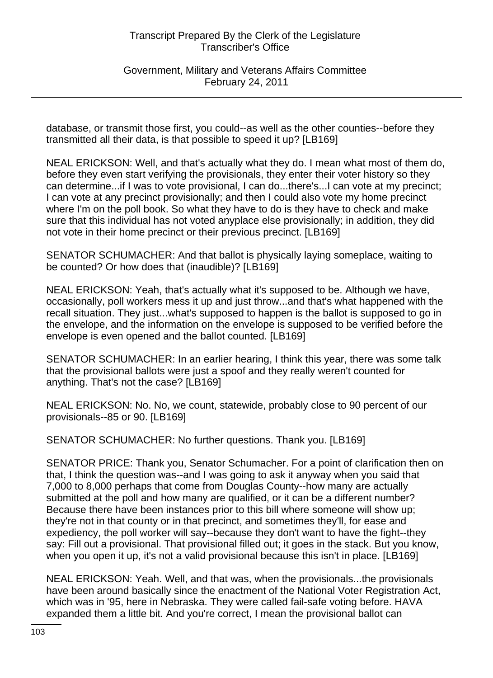Government, Military and Veterans Affairs Committee February 24, 2011

database, or transmit those first, you could--as well as the other counties--before they transmitted all their data, is that possible to speed it up? [LB169]

NEAL ERICKSON: Well, and that's actually what they do. I mean what most of them do, before they even start verifying the provisionals, they enter their voter history so they can determine...if I was to vote provisional, I can do...there's...I can vote at my precinct; I can vote at any precinct provisionally; and then I could also vote my home precinct where I'm on the poll book. So what they have to do is they have to check and make sure that this individual has not voted anyplace else provisionally; in addition, they did not vote in their home precinct or their previous precinct. [LB169]

SENATOR SCHUMACHER: And that ballot is physically laying someplace, waiting to be counted? Or how does that (inaudible)? [LB169]

NEAL ERICKSON: Yeah, that's actually what it's supposed to be. Although we have, occasionally, poll workers mess it up and just throw...and that's what happened with the recall situation. They just...what's supposed to happen is the ballot is supposed to go in the envelope, and the information on the envelope is supposed to be verified before the envelope is even opened and the ballot counted. [LB169]

SENATOR SCHUMACHER: In an earlier hearing, I think this year, there was some talk that the provisional ballots were just a spoof and they really weren't counted for anything. That's not the case? [LB169]

NEAL ERICKSON: No. No, we count, statewide, probably close to 90 percent of our provisionals--85 or 90. [LB169]

SENATOR SCHUMACHER: No further questions. Thank you. [LB169]

SENATOR PRICE: Thank you, Senator Schumacher. For a point of clarification then on that, I think the question was--and I was going to ask it anyway when you said that 7,000 to 8,000 perhaps that come from Douglas County--how many are actually submitted at the poll and how many are qualified, or it can be a different number? Because there have been instances prior to this bill where someone will show up; they're not in that county or in that precinct, and sometimes they'll, for ease and expediency, the poll worker will say--because they don't want to have the fight--they say: Fill out a provisional. That provisional filled out; it goes in the stack. But you know, when you open it up, it's not a valid provisional because this isn't in place. [LB169]

NEAL ERICKSON: Yeah. Well, and that was, when the provisionals...the provisionals have been around basically since the enactment of the National Voter Registration Act, which was in '95, here in Nebraska. They were called fail-safe voting before. HAVA expanded them a little bit. And you're correct, I mean the provisional ballot can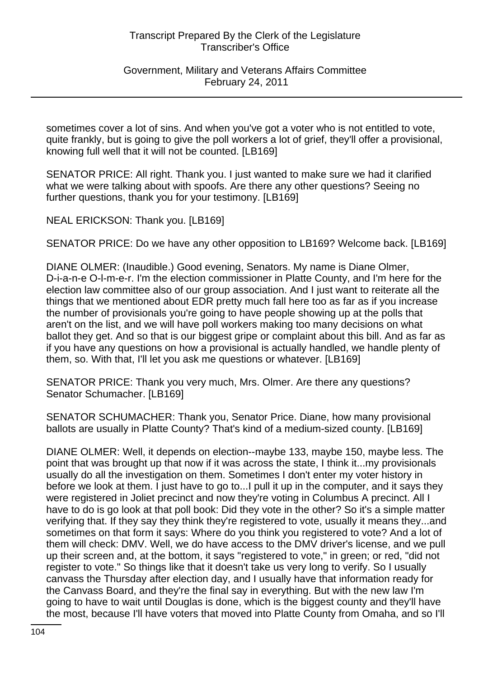Government, Military and Veterans Affairs Committee February 24, 2011

sometimes cover a lot of sins. And when you've got a voter who is not entitled to vote, quite frankly, but is going to give the poll workers a lot of grief, they'll offer a provisional, knowing full well that it will not be counted. [LB169]

SENATOR PRICE: All right. Thank you. I just wanted to make sure we had it clarified what we were talking about with spoofs. Are there any other questions? Seeing no further questions, thank you for your testimony. [LB169]

NEAL ERICKSON: Thank you. [LB169]

SENATOR PRICE: Do we have any other opposition to LB169? Welcome back. [LB169]

DIANE OLMER: (Inaudible.) Good evening, Senators. My name is Diane Olmer, D-i-a-n-e O-l-m-e-r. I'm the election commissioner in Platte County, and I'm here for the election law committee also of our group association. And I just want to reiterate all the things that we mentioned about EDR pretty much fall here too as far as if you increase the number of provisionals you're going to have people showing up at the polls that aren't on the list, and we will have poll workers making too many decisions on what ballot they get. And so that is our biggest gripe or complaint about this bill. And as far as if you have any questions on how a provisional is actually handled, we handle plenty of them, so. With that, I'll let you ask me questions or whatever. [LB169]

SENATOR PRICE: Thank you very much, Mrs. Olmer. Are there any questions? Senator Schumacher. [LB169]

SENATOR SCHUMACHER: Thank you, Senator Price. Diane, how many provisional ballots are usually in Platte County? That's kind of a medium-sized county. [LB169]

DIANE OLMER: Well, it depends on election--maybe 133, maybe 150, maybe less. The point that was brought up that now if it was across the state, I think it...my provisionals usually do all the investigation on them. Sometimes I don't enter my voter history in before we look at them. I just have to go to...I pull it up in the computer, and it says they were registered in Joliet precinct and now they're voting in Columbus A precinct. All I have to do is go look at that poll book: Did they vote in the other? So it's a simple matter verifying that. If they say they think they're registered to vote, usually it means they...and sometimes on that form it says: Where do you think you registered to vote? And a lot of them will check: DMV. Well, we do have access to the DMV driver's license, and we pull up their screen and, at the bottom, it says "registered to vote," in green; or red, "did not register to vote." So things like that it doesn't take us very long to verify. So I usually canvass the Thursday after election day, and I usually have that information ready for the Canvass Board, and they're the final say in everything. But with the new law I'm going to have to wait until Douglas is done, which is the biggest county and they'll have the most, because I'll have voters that moved into Platte County from Omaha, and so I'll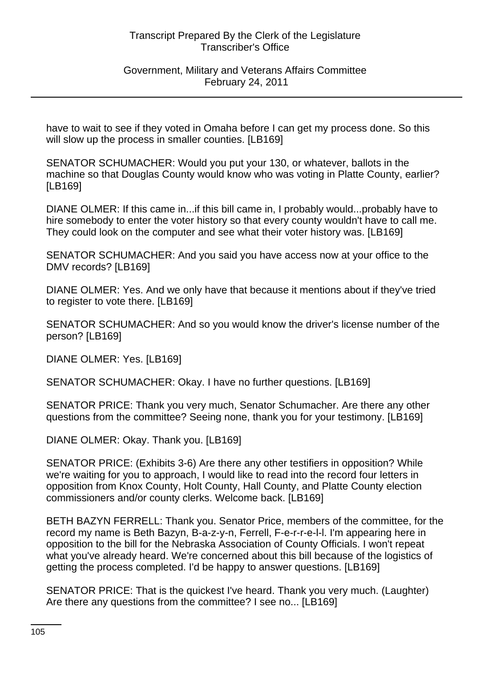Government, Military and Veterans Affairs Committee February 24, 2011

have to wait to see if they voted in Omaha before I can get my process done. So this will slow up the process in smaller counties. [LB169]

SENATOR SCHUMACHER: Would you put your 130, or whatever, ballots in the machine so that Douglas County would know who was voting in Platte County, earlier? [LB169]

DIANE OLMER: If this came in...if this bill came in, I probably would...probably have to hire somebody to enter the voter history so that every county wouldn't have to call me. They could look on the computer and see what their voter history was. [LB169]

SENATOR SCHUMACHER: And you said you have access now at your office to the DMV records? [LB169]

DIANE OLMER: Yes. And we only have that because it mentions about if they've tried to register to vote there. [LB169]

SENATOR SCHUMACHER: And so you would know the driver's license number of the person? [LB169]

DIANE OLMER: Yes. [LB169]

SENATOR SCHUMACHER: Okay. I have no further questions. [LB169]

SENATOR PRICE: Thank you very much, Senator Schumacher. Are there any other questions from the committee? Seeing none, thank you for your testimony. [LB169]

DIANE OLMER: Okay. Thank you. [LB169]

SENATOR PRICE: (Exhibits 3-6) Are there any other testifiers in opposition? While we're waiting for you to approach, I would like to read into the record four letters in opposition from Knox County, Holt County, Hall County, and Platte County election commissioners and/or county clerks. Welcome back. [LB169]

BETH BAZYN FERRELL: Thank you. Senator Price, members of the committee, for the record my name is Beth Bazyn, B-a-z-y-n, Ferrell, F-e-r-r-e-l-l. I'm appearing here in opposition to the bill for the Nebraska Association of County Officials. I won't repeat what you've already heard. We're concerned about this bill because of the logistics of getting the process completed. I'd be happy to answer questions. [LB169]

SENATOR PRICE: That is the quickest I've heard. Thank you very much. (Laughter) Are there any questions from the committee? I see no... [LB169]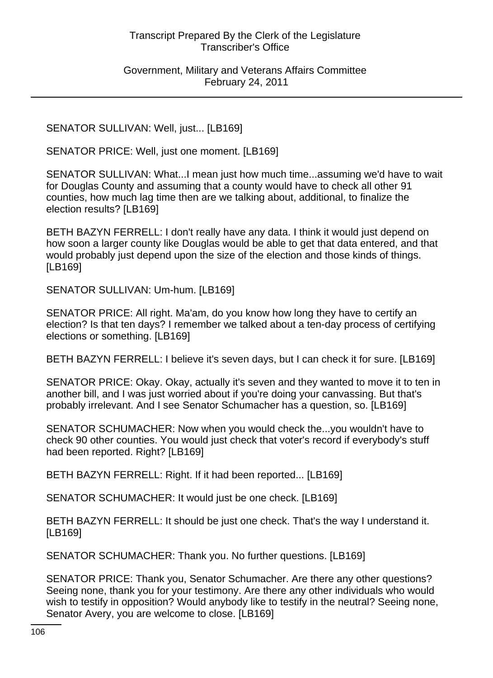Government, Military and Veterans Affairs Committee February 24, 2011

SENATOR SULLIVAN: Well, just... [LB169]

SENATOR PRICE: Well, just one moment. [LB169]

SENATOR SULLIVAN: What...I mean just how much time...assuming we'd have to wait for Douglas County and assuming that a county would have to check all other 91 counties, how much lag time then are we talking about, additional, to finalize the election results? [LB169]

BETH BAZYN FERRELL: I don't really have any data. I think it would just depend on how soon a larger county like Douglas would be able to get that data entered, and that would probably just depend upon the size of the election and those kinds of things. [LB169]

SENATOR SULLIVAN: Um-hum. [LB169]

SENATOR PRICE: All right. Ma'am, do you know how long they have to certify an election? Is that ten days? I remember we talked about a ten-day process of certifying elections or something. [LB169]

BETH BAZYN FERRELL: I believe it's seven days, but I can check it for sure. [LB169]

SENATOR PRICE: Okay. Okay, actually it's seven and they wanted to move it to ten in another bill, and I was just worried about if you're doing your canvassing. But that's probably irrelevant. And I see Senator Schumacher has a question, so. [LB169]

SENATOR SCHUMACHER: Now when you would check the...you wouldn't have to check 90 other counties. You would just check that voter's record if everybody's stuff had been reported. Right? [LB169]

BETH BAZYN FERRELL: Right. If it had been reported... [LB169]

SENATOR SCHUMACHER: It would just be one check. [LB169]

BETH BAZYN FERRELL: It should be just one check. That's the way I understand it. [LB169]

SENATOR SCHUMACHER: Thank you. No further questions. [LB169]

SENATOR PRICE: Thank you, Senator Schumacher. Are there any other questions? Seeing none, thank you for your testimony. Are there any other individuals who would wish to testify in opposition? Would anybody like to testify in the neutral? Seeing none, Senator Avery, you are welcome to close. [LB169]